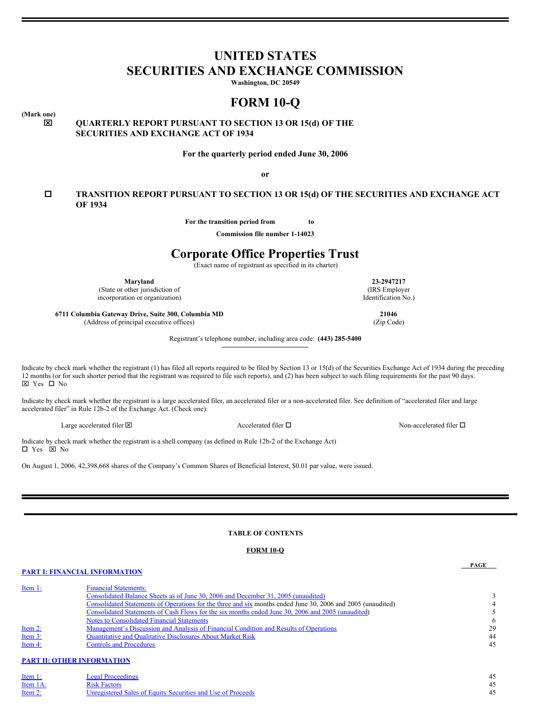# **UNITED STATES SECURITIES AND EXCHANGE COMMISSION**

**Washington, DC 20549**

# **FORM 10-Q**

# **(Mark one)**

# x **QUARTERLY REPORT PURSUANT TO SECTION 13 OR 15(d) OF THE SECURITIES AND EXCHANGE ACT OF 1934**

**For the quarterly period ended June 30, 2006**

**or**

## o **TRANSITION REPORT PURSUANT TO SECTION 13 OR 15(d) OF THE SECURITIES AND EXCHANGE ACT OF 1934**

**For the transition period from to**

**Commission file number 1-14023**

# **Corporate Office Properties Trust**

(Exact name of registrant as specified in its charter)

**Maryland 23-2947217** (State or other jurisdiction of (IRS Employer) (IRS Employer) (IRS Employer incorporation or organization)

incorporation or organization)

**6711 Columbia Gateway Drive, Suite 300, Columbia MD 21046** (Address of principal executive offices) (Zip Code)

Registrant's telephone number, including area code: **(443) 285-5400**

Indicate by check mark whether the registrant (1) has filed all reports required to be filed by Section 13 or 15(d) of the Securities Exchange Act of 1934 during the preceding 12 months (or for such shorter period that the registrant was required to file such reports), and (2) has been subject to such filing requirements for the past 90 days. **x** Yes **□** No

Indicate by check mark whether the registrant is a large accelerated filer, an accelerated filer or a non-accelerated filer. See definition of "accelerated filer and large accelerated filer" in Rule 12b-2 of the Exchange Act. (Check one):

Large accelerated filer  $\boxtimes$  Accelerated filer  $\Box$  Accelerated filer  $\Box$  Non-accelerated filer  $\Box$ 

Indicate by check mark whether the registrant is a shell company (as defined in Rule 12b-2 of the Exchange Act) **□** Yes ⊠ No

On August 1, 2006, 42,398,668 shares of the Company's Common Shares of Beneficial Interest, \$0.01 par value, were issued.

## **TABLE OF CONTENTS**

## **FORM 10-Q**

|            | <b>PART I: FINANCIAL INFORMATION</b>                                                                        | <b>PAGE</b> |
|------------|-------------------------------------------------------------------------------------------------------------|-------------|
| Item 1:    | <b>Financial Statements:</b>                                                                                |             |
|            | Consolidated Balance Sheets as of June 30, 2006 and December 31, 2005 (unaudited)                           |             |
|            | Consolidated Statements of Operations for the three and six months ended June 30, 2006 and 2005 (unaudited) |             |
|            | Consolidated Statements of Cash Flows for the six months ended June 30, 2006 and 2005 (unaudited)           |             |
|            | <b>Notes to Consolidated Financial Statements</b>                                                           | 6           |
| Item $2$ : | Management's Discussion and Analysis of Financial Condition and Results of Operations                       | 29          |
| Item 3:    | <b>Quantitative and Qualitative Disclosures About Market Risk</b>                                           | 44          |
| Item 4:    | <b>Controls and Procedures</b>                                                                              | 45          |
|            | <b>PART II: OTHER INFORMATION</b>                                                                           |             |
| Item 1:    | <b>Legal Proceedings</b>                                                                                    | 45          |

[Item](#page-28-4) 1A: Risk [Factors](#page-28-4) 45 [Item](#page-29-0) 2: [Unregistered](#page-29-0) Sales of Equity Securities and Use of Proceeds 45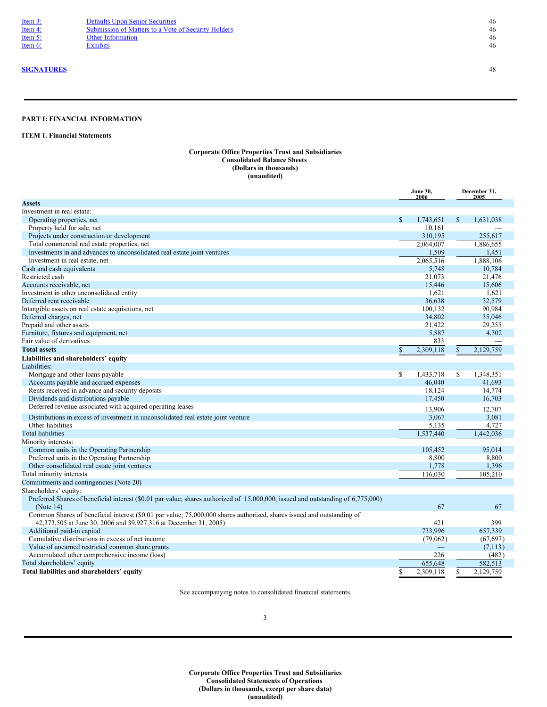## **[SIGNATURES](#page-30-0)** 48

## **PART I: FINANCIAL INFORMATION**

## **ITEM 1. Financial Statements**

## <span id="page-1-2"></span><span id="page-1-1"></span><span id="page-1-0"></span>**Corporate Office Properties Trust and Subsidiaries Consolidated Balance Sheets (Dollars in thousands) (unaudited)**

|                                                                                                                                                                                            |              | <b>June 30,</b><br>2006 |              | December 31,<br>2005 |  |  |
|--------------------------------------------------------------------------------------------------------------------------------------------------------------------------------------------|--------------|-------------------------|--------------|----------------------|--|--|
| <b>Assets</b>                                                                                                                                                                              |              |                         |              |                      |  |  |
| Investment in real estate:                                                                                                                                                                 |              |                         |              |                      |  |  |
| Operating properties, net                                                                                                                                                                  | $\mathbb{S}$ | 1,743,651               | $\mathbb{S}$ | 1,631,038            |  |  |
| Property held for sale, net                                                                                                                                                                |              | 10,161                  |              |                      |  |  |
| Projects under construction or development                                                                                                                                                 |              | 310,195                 |              | 255,617              |  |  |
| Total commercial real estate properties, net                                                                                                                                               |              | 2.064.007               |              | 1.886.655            |  |  |
| Investments in and advances to unconsolidated real estate joint ventures                                                                                                                   |              | 1,509                   |              | 1,451                |  |  |
| Investment in real estate, net                                                                                                                                                             |              | 2,065,516               |              | 1,888,106            |  |  |
| Cash and cash equivalents                                                                                                                                                                  |              | 5,748                   |              | 10,784               |  |  |
| Restricted cash                                                                                                                                                                            |              | 21,073                  |              | 21,476               |  |  |
| Accounts receivable, net                                                                                                                                                                   |              | 15,446                  |              | 15,606               |  |  |
| Investment in other unconsolidated entity                                                                                                                                                  |              | 1,621                   |              | 1,621                |  |  |
| Deferred rent receivable                                                                                                                                                                   |              | 36,638                  |              | 32,579               |  |  |
| Intangible assets on real estate acquisitions, net                                                                                                                                         |              | 100,132                 |              | 90,984               |  |  |
| Deferred charges, net                                                                                                                                                                      |              | 34,802                  |              | 35,046               |  |  |
| Prepaid and other assets                                                                                                                                                                   |              | 21,422                  |              | 29,255               |  |  |
| Furniture, fixtures and equipment, net                                                                                                                                                     |              | 5,887                   |              | 4,302                |  |  |
| Fair value of derivatives                                                                                                                                                                  |              | 833                     |              |                      |  |  |
| <b>Total assets</b>                                                                                                                                                                        | $\mathbb{S}$ | 2,309,118               | $\mathbb{S}$ | 2,129,759            |  |  |
| Liabilities and shareholders' equity                                                                                                                                                       |              |                         |              |                      |  |  |
| Liabilities:                                                                                                                                                                               |              |                         |              |                      |  |  |
| Mortgage and other loans payable                                                                                                                                                           | S            | 1,433,718               | S.           | 1,348,351            |  |  |
| Accounts payable and accrued expenses                                                                                                                                                      |              | 46,040                  |              | 41,693               |  |  |
| Rents received in advance and security deposits                                                                                                                                            |              | 18.124                  |              | 14,774               |  |  |
| Dividends and distributions payable                                                                                                                                                        |              | 17,450                  |              | 16,703               |  |  |
| Deferred revenue associated with acquired operating leases                                                                                                                                 |              | 13.906                  |              | 12.707               |  |  |
| Distributions in excess of investment in unconsolidated real estate joint venture                                                                                                          |              | 3,067                   |              | 3.081                |  |  |
| Other liabilities                                                                                                                                                                          |              | 5,135                   |              | 4,727                |  |  |
| <b>Total liabilities</b>                                                                                                                                                                   |              | 1,537,440               |              | 1,442,036            |  |  |
| Minority interests:                                                                                                                                                                        |              |                         |              |                      |  |  |
| Common units in the Operating Partnership                                                                                                                                                  |              | 105,452                 |              | 95,014               |  |  |
| Preferred units in the Operating Partnership                                                                                                                                               |              | 8,800                   |              | 8,800                |  |  |
| Other consolidated real estate joint ventures                                                                                                                                              |              | 1,778                   |              | 1.396                |  |  |
| Total minority interests                                                                                                                                                                   |              |                         |              |                      |  |  |
|                                                                                                                                                                                            |              | 116,030                 |              | 105,210              |  |  |
| Commitments and contingencies (Note 20)                                                                                                                                                    |              |                         |              |                      |  |  |
| Shareholders' equity:<br>Preferred Shares of beneficial interest (\$0.01 par value; shares authorized of 15,000,000, issued and outstanding of 6,775,000)                                  |              |                         |              |                      |  |  |
|                                                                                                                                                                                            |              | 67                      |              | 67                   |  |  |
| (Note 14)                                                                                                                                                                                  |              |                         |              |                      |  |  |
| Common Shares of beneficial interest (\$0.01 par value; 75,000,000 shares authorized, shares issued and outstanding of<br>42,373,505 at June 30, 2006 and 39,927,316 at December 31, 2005) |              | 421                     |              | 399                  |  |  |
| Additional paid-in capital                                                                                                                                                                 |              | 733,996                 |              | 657,339              |  |  |
| Cumulative distributions in excess of net income                                                                                                                                           |              | (79,062)                |              | (67, 697)            |  |  |
| Value of unearned restricted common share grants                                                                                                                                           |              |                         |              | (7, 113)             |  |  |
| Accumulated other comprehensive income (loss)                                                                                                                                              |              | 226                     |              | (482)                |  |  |
| Total shareholders' equity                                                                                                                                                                 |              | 655,648                 |              | 582,513              |  |  |
| Total liabilities and shareholders' equity                                                                                                                                                 | $\mathbf S$  | 2.309.118               | $\mathbf S$  | 2.129.759            |  |  |
|                                                                                                                                                                                            |              |                         |              |                      |  |  |

See accompanying notes to consolidated financial statements.

<span id="page-1-3"></span>**Corporate Office Properties Trust and Subsidiaries Consolidated Statements of Operations (Dollars in thousands, except per share data) (unaudited)**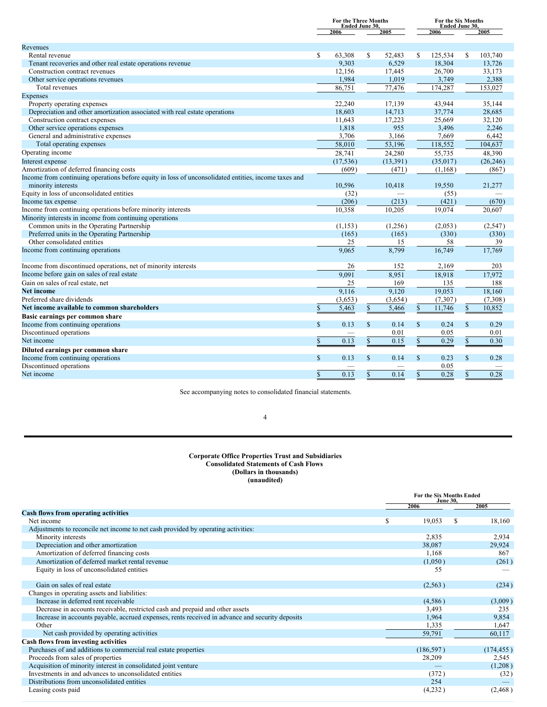|                                                                                                      | <b>For the Three Months</b><br><b>Ended June 30.</b> |           |               |           | For the Six Months<br><b>Ended June 30.</b> |          |              |           |
|------------------------------------------------------------------------------------------------------|------------------------------------------------------|-----------|---------------|-----------|---------------------------------------------|----------|--------------|-----------|
|                                                                                                      |                                                      | 2006      |               | 2005      |                                             | 2006     |              | 2005      |
|                                                                                                      |                                                      |           |               |           |                                             |          |              |           |
| Revenues                                                                                             |                                                      |           |               |           |                                             |          |              |           |
| Rental revenue                                                                                       | \$                                                   | 63,308    | S             | 52,483    | S                                           | 125,534  | S.           | 103,740   |
| Tenant recoveries and other real estate operations revenue                                           |                                                      | 9,303     |               | 6,529     |                                             | 18,304   |              | 13,726    |
| Construction contract revenues                                                                       |                                                      | 12,156    |               | 17,445    |                                             | 26,700   |              | 33,173    |
| Other service operations revenues                                                                    |                                                      | 1,984     |               | 1,019     |                                             | 3,749    |              | 2,388     |
| Total revenues                                                                                       |                                                      | 86,751    |               | 77,476    |                                             | 174,287  |              | 153,027   |
| <b>Expenses</b>                                                                                      |                                                      |           |               |           |                                             |          |              |           |
| Property operating expenses                                                                          |                                                      | 22,240    |               | 17.139    |                                             | 43,944   |              | 35.144    |
| Depreciation and other amortization associated with real estate operations                           |                                                      | 18,603    |               | 14,713    |                                             | 37,774   |              | 28,685    |
| Construction contract expenses                                                                       |                                                      | 11,643    |               | 17,223    |                                             | 25,669   |              | 32.120    |
| Other service operations expenses                                                                    |                                                      | 1,818     |               | 955       |                                             | 3,496    |              | 2,246     |
| General and administrative expenses                                                                  |                                                      | 3,706     |               | 3,166     |                                             | 7,669    |              | 6,442     |
| Total operating expenses                                                                             |                                                      | 58,010    |               | 53,196    |                                             | 118,552  |              | 104,637   |
| Operating income                                                                                     |                                                      | 28,741    |               | 24,280    |                                             | 55,735   |              | 48,390    |
| Interest expense                                                                                     |                                                      | (17, 536) |               | (13, 391) |                                             | (35,017) |              | (26, 246) |
| Amortization of deferred financing costs                                                             |                                                      | (609)     |               | (471)     |                                             | (1,168)  |              | (867)     |
| Income from continuing operations before equity in loss of unconsolidated entities, income taxes and |                                                      |           |               |           |                                             |          |              |           |
| minority interests                                                                                   |                                                      | 10,596    |               | 10,418    |                                             | 19,550   |              | 21,277    |
| Equity in loss of unconsolidated entities                                                            |                                                      | (32)      |               |           |                                             | (55)     |              |           |
| Income tax expense                                                                                   |                                                      | (206)     |               | (213)     |                                             | (421)    |              | (670)     |
| Income from continuing operations before minority interests                                          |                                                      | 10,358    |               | 10,205    |                                             | 19,074   |              | 20,607    |
| Minority interests in income from continuing operations                                              |                                                      |           |               |           |                                             |          |              |           |
| Common units in the Operating Partnership                                                            |                                                      | (1, 153)  |               | (1,256)   |                                             | (2,053)  |              | (2,547)   |
| Preferred units in the Operating Partnership                                                         |                                                      | (165)     |               | (165)     |                                             | (330)    |              | (330)     |
| Other consolidated entities                                                                          |                                                      | 25        |               | 15        |                                             | 58       |              | 39        |
| Income from continuing operations                                                                    |                                                      | 9.065     |               | 8,799     |                                             | 16,749   |              | 17,769    |
| Income from discontinued operations, net of minority interests                                       |                                                      | 26        |               | 152       |                                             | 2,169    |              | 203       |
| Income before gain on sales of real estate                                                           |                                                      | 9.091     |               | 8,951     |                                             | 18,918   |              | 17,972    |
| Gain on sales of real estate, net                                                                    |                                                      | 25        |               | 169       |                                             | 135      |              | 188       |
| <b>Net income</b>                                                                                    |                                                      | 9.116     |               | 9.120     |                                             | 19.053   |              | 18.160    |
| Preferred share dividends                                                                            |                                                      | (3,653)   |               | (3,654)   |                                             | (7, 307) |              | (7,308)   |
| Net income available to common shareholders                                                          | $\mathbb{S}$                                         | 5,463     | $\mathbb{S}$  | 5,466     | $\mathbb{S}$                                | 11,746   | $\$$         | 10,852    |
| Basic earnings per common share                                                                      |                                                      |           |               |           |                                             |          |              |           |
| Income from continuing operations                                                                    | $\mathcal{S}$                                        | 0.13      | $\mathcal{S}$ | 0.14      | $\mathbf{s}$                                | 0.24     | $\mathbb{S}$ | 0.29      |
| Discontinued operations                                                                              |                                                      |           |               | 0.01      |                                             | 0.05     |              | 0.01      |
| Net income                                                                                           | $\mathbb{S}$                                         | 0.13      | $\mathbb{S}$  | 0.15      | \$                                          | 0.29     | \$           | 0.30      |
| Diluted earnings per common share                                                                    |                                                      |           |               |           |                                             |          |              |           |
| Income from continuing operations                                                                    | $\mathcal{S}$                                        | 0.13      | $\mathbf{s}$  | 0.14      | <sup>\$</sup>                               | 0.23     | $\mathbb{S}$ | 0.28      |
| Discontinued operations                                                                              |                                                      |           |               |           |                                             | 0.05     |              |           |
| Net income                                                                                           | \$                                                   | 0.13      | $\mathbb{S}$  | 0.14      | \$                                          | 0.28     | \$           | 0.28      |
|                                                                                                      |                                                      |           |               |           |                                             |          |              |           |

See accompanying notes to consolidated financial statements.

## <span id="page-2-0"></span>4

#### **Corporate Office Properties Trust and Subsidiaries Consolidated Statements of Cash Flows (Dollars in thousands) (unaudited)**

|                                                                                                 |   | For the Six Months Ended<br>June 30. |   |            |
|-------------------------------------------------------------------------------------------------|---|--------------------------------------|---|------------|
|                                                                                                 |   | 2006                                 |   | 2005       |
| <b>Cash flows from operating activities</b>                                                     |   |                                      |   |            |
| Net income                                                                                      | S | 19,053                               | S | 18,160     |
| Adjustments to reconcile net income to net cash provided by operating activities:               |   |                                      |   |            |
| Minority interests                                                                              |   | 2,835                                |   | 2,934      |
| Depreciation and other amortization                                                             |   | 38,087                               |   | 29,924     |
| Amortization of deferred financing costs                                                        |   | 1,168                                |   | 867        |
| Amortization of deferred market rental revenue                                                  |   | (1,050)                              |   | (261)      |
| Equity in loss of unconsolidated entities                                                       |   | 55                                   |   |            |
| Gain on sales of real estate                                                                    |   | (2,563)                              |   | (234)      |
| Changes in operating assets and liabilities:                                                    |   |                                      |   |            |
| Increase in deferred rent receivable                                                            |   | (4,586)                              |   | (3,009)    |
| Decrease in accounts receivable, restricted cash and prepaid and other assets                   |   | 3,493                                |   | 235        |
| Increase in accounts payable, accrued expenses, rents received in advance and security deposits |   | 1,964                                |   | 9,854      |
| Other                                                                                           |   | 1,335                                |   | 1,647      |
| Net cash provided by operating activities                                                       |   | 59,791                               |   | 60,117     |
| Cash flows from investing activities                                                            |   |                                      |   |            |
| Purchases of and additions to commercial real estate properties                                 |   | (186, 597)                           |   | (174, 455) |
| Proceeds from sales of properties                                                               |   | 28,209                               |   | 2,545      |
| Acquisition of minority interest in consolidated joint venture                                  |   |                                      |   | (1,208)    |
| Investments in and advances to unconsolidated entities                                          |   | (372)                                |   | (32)       |
| Distributions from unconsolidated entities                                                      |   | 254                                  |   |            |
| Leasing costs paid                                                                              |   | (4,232)                              |   | (2, 468)   |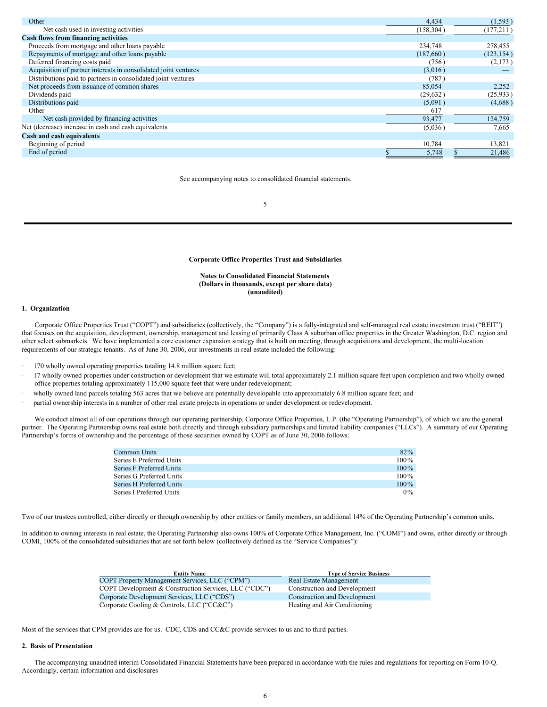| Other                                                           | 4,434      | (1,593)    |
|-----------------------------------------------------------------|------------|------------|
| Net cash used in investing activities                           | (158, 304) | (177, 211) |
| <b>Cash flows from financing activities</b>                     |            |            |
| Proceeds from mortgage and other loans payable                  | 234,748    | 278,455    |
| Repayments of mortgage and other loans payable                  | (187,660)  | (123, 154) |
| Deferred financing costs paid                                   | (756)      | (2,173)    |
| Acquisition of partner interests in consolidated joint ventures | (3,016)    |            |
| Distributions paid to partners in consolidated joint ventures   | (787)      |            |
| Net proceeds from issuance of common shares                     | 85,054     | 2,252      |
| Dividends paid                                                  | (29, 632)  | (25, 933)  |
| Distributions paid                                              | (5,091)    | (4,688)    |
| Other                                                           | 617        |            |
| Net cash provided by financing activities                       | 93,477     | 124,759    |
| Net (decrease) increase in cash and cash equivalents            | (5,036)    | 7,665      |
| Cash and cash equivalents                                       |            |            |
| Beginning of period                                             | 10,784     | 13,821     |
| End of period                                                   | 5,748      | 21,486     |
|                                                                 |            |            |

See accompanying notes to consolidated financial statements.

<span id="page-3-0"></span>5

### **Corporate Office Properties Trust and Subsidiaries**

**Notes to Consolidated Financial Statements (Dollars in thousands, except per share data) (unaudited)**

## **1. Organization**

Corporate Office Properties Trust ("COPT") and subsidiaries (collectively, the "Company") is a fully-integrated and self-managed real estate investment trust ("REIT") that focuses on the acquisition, development, ownership, management and leasing of primarily Class A suburban office properties in the Greater Washington, D.C. region and other select submarkets. We have implemented a core customer expansion strategy that is built on meeting, through acquisitions and development, the multi-location requirements of our strategic tenants. As of June 30, 2006, our investments in real estate included the following:

170 wholly owned operating properties totaling 14.8 million square feet;

- · 17 wholly owned properties under construction or development that we estimate will total approximately 2.1 million square feet upon completion and two wholly owned office properties totaling approximately 115,000 square feet that were under redevelopment;
- · wholly owned land parcels totaling 563 acres that we believe are potentially developable into approximately 6.8 million square feet; and
- partial ownership interests in a number of other real estate projects in operations or under development or redevelopment.

We conduct almost all of our operations through our operating partnership, Corporate Office Properties, L.P. (the "Operating Partnership"), of which we are the general partner. The Operating Partnership owns real estate both directly and through subsidiary partnerships and limited liability companies ("LLCs"). A summary of our Operating Partnership's forms of ownership and the percentage of those securities owned by COPT as of June 30, 2006 follows:

| Common Units             | $82\%$  |
|--------------------------|---------|
| Series E Preferred Units | $100\%$ |
| Series F Preferred Units | $100\%$ |
| Series G Preferred Units | $100\%$ |
| Series H Preferred Units | $100\%$ |
| Series I Preferred Units | $0\%$   |

Two of our trustees controlled, either directly or through ownership by other entities or family members, an additional 14% of the Operating Partnership's common units.

In addition to owning interests in real estate, the Operating Partnership also owns 100% of Corporate Office Management, Inc. ("COMI") and owns, either directly or through COMI, 100% of the consolidated subsidiaries that are set forth below (collectively defined as the "Service Companies"):

| <b>Entity Name</b>                                    | <b>Type of Service Business</b> |
|-------------------------------------------------------|---------------------------------|
| COPT Property Management Services, LLC ("CPM")        | Real Estate Management          |
| COPT Development & Construction Services, LLC ("CDC") | Construction and Development    |
| Corporate Development Services, LLC ("CDS")           | Construction and Development    |
| Corporate Cooling & Controls, LLC ("CC&C")            | Heating and Air Conditioning    |

Most of the services that CPM provides are for us. CDC, CDS and CC&C provide services to us and to third parties.

#### **2. Basis of Presentation**

The accompanying unaudited interim Consolidated Financial Statements have been prepared in accordance with the rules and regulations for reporting on Form 10-Q. Accordingly, certain information and disclosures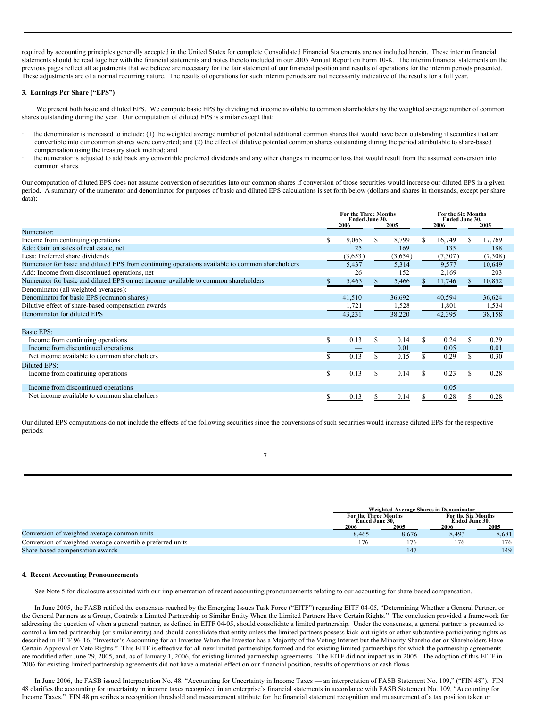required by accounting principles generally accepted in the United States for complete Consolidated Financial Statements are not included herein. These interim financial statements should be read together with the financial statements and notes thereto included in our 2005 Annual Report on Form 10-K. The interim financial statements on the previous pages reflect all adjustments that we believe are necessary for the fair statement of our financial position and results of operations for the interim periods presented. These adjustments are of a normal recurring nature. The results of operations for such interim periods are not necessarily indicative of the results for a full year.

#### **3. Earnings Per Share ("EPS")**

We present both basic and diluted EPS. We compute basic EPS by dividing net income available to common shareholders by the weighted average number of common shares outstanding during the year. Our computation of diluted EPS is similar except that:

- the denominator is increased to include: (1) the weighted average number of potential additional common shares that would have been outstanding if securities that are convertible into our common shares were converted; and (2) the effect of dilutive potential common shares outstanding during the period attributable to share-based compensation using the treasury stock method; and
- the numerator is adjusted to add back any convertible preferred dividends and any other changes in income or loss that would result from the assumed conversion into common shares.

Our computation of diluted EPS does not assume conversion of securities into our common shares if conversion of those securities would increase our diluted EPS in a given period. A summary of the numerator and denominator for purposes of basic and diluted EPS calculations is set forth below (dollars and shares in thousands, except per share data):

|                                                                                                 | <b>For the Three Months</b><br>Ended June 30, |         |    |         | For the Six Months<br>Ended June 30. |         |      |         |
|-------------------------------------------------------------------------------------------------|-----------------------------------------------|---------|----|---------|--------------------------------------|---------|------|---------|
|                                                                                                 | 2005<br>2006                                  |         |    | 2006    |                                      |         | 2005 |         |
| Numerator:                                                                                      |                                               |         |    |         |                                      |         |      |         |
| Income from continuing operations                                                               | S                                             | 9,065   | \$ | 8,799   | S                                    | 16,749  | S    | 17,769  |
| Add: Gain on sales of real estate, net                                                          |                                               | 25      |    | 169     |                                      | 135     |      | 188     |
| Less: Preferred share dividends                                                                 |                                               | (3,653) |    | (3,654) |                                      | (7,307) |      | (7,308) |
| Numerator for basic and diluted EPS from continuing operations available to common shareholders |                                               | 5,437   |    | 5,314   |                                      | 9,577   |      | 10,649  |
| Add: Income from discontinued operations, net                                                   |                                               | 26      |    | 152     |                                      | 2,169   |      | 203     |
| Numerator for basic and diluted EPS on net income available to common shareholders              |                                               | 5,463   |    | 5,466   |                                      | 11,746  |      | 10,852  |
| Denominator (all weighted averages):                                                            |                                               |         |    |         |                                      |         |      |         |
| Denominator for basic EPS (common shares)                                                       |                                               | 41,510  |    | 36,692  |                                      | 40,594  |      | 36,624  |
| Dilutive effect of share-based compensation awards                                              |                                               | 1,721   |    | 1,528   |                                      | 1,801   |      | 1,534   |
| Denominator for diluted EPS                                                                     |                                               | 43,231  |    | 38,220  |                                      | 42,395  |      | 38,158  |
|                                                                                                 |                                               |         |    |         |                                      |         |      |         |
| <b>Basic EPS:</b>                                                                               |                                               |         |    |         |                                      |         |      |         |
| Income from continuing operations                                                               | S                                             | 0.13    | \$ | 0.14    | S                                    | 0.24    | \$.  | 0.29    |
| Income from discontinued operations                                                             |                                               |         |    | 0.01    |                                      | 0.05    |      | 0.01    |
| Net income available to common shareholders                                                     |                                               | 0.13    |    | 0.15    |                                      | 0.29    |      | 0.30    |
| Diluted EPS:                                                                                    |                                               |         |    |         |                                      |         |      |         |
| Income from continuing operations                                                               | S                                             | 0.13    | \$ | 0.14    | S                                    | 0.23    | \$.  | 0.28    |
| Income from discontinued operations                                                             |                                               |         |    |         |                                      | 0.05    |      |         |
| Net income available to common shareholders                                                     |                                               | 0.13    |    | 0.14    |                                      | 0.28    |      | 0.28    |

Our diluted EPS computations do not include the effects of the following securities since the conversions of such securities would increase diluted EPS for the respective periods:

|                                                            |       | Weighted Average Shares in Denominator        |                                      |       |  |  |  |  |
|------------------------------------------------------------|-------|-----------------------------------------------|--------------------------------------|-------|--|--|--|--|
|                                                            |       | <b>For the Three Months</b><br>Ended June 30. | For the Six Months<br>Ended June 30. |       |  |  |  |  |
|                                                            | 2006  | 2005                                          | 2006                                 | 2005  |  |  |  |  |
| Conversion of weighted average common units                | 8.465 | 8.676                                         | 8.493                                | 8.681 |  |  |  |  |
| Conversion of weighted average convertible preferred units | 176   | '76                                           | 176                                  | 176   |  |  |  |  |
| Share-based compensation awards                            |       | 147                                           |                                      | 149   |  |  |  |  |

#### **4. Recent Accounting Pronouncements**

See Note 5 for disclosure associated with our implementation of recent accounting pronouncements relating to our accounting for share-based compensation.

In June 2005, the FASB ratified the consensus reached by the Emerging Issues Task Force ("EITF") regarding EITF 04-05, "Determining Whether a General Partner, or the General Partners as a Group, Controls a Limited Partnership or Similar Entity When the Limited Partners Have Certain Rights." The conclusion provided a framework for addressing the question of when a general partner, as defined in EITF 04-05, should consolidate a limited partnership. Under the consensus, a general partner is presumed to control a limited partnership (or similar entity) and should consolidate that entity unless the limited partners possess kick-out rights or other substantive participating rights as described in EITF 96-16, "Investor's Accounting for an Investee When the Investor has a Majority of the Voting Interest but the Minority Shareholder or Shareholders Have Certain Approval or Veto Rights." This EITF is effective for all new limited partnerships formed and for existing limited partnerships for which the partnership agreements are modified after June 29, 2005, and, as of January 1, 2006, for existing limited partnership agreements. The EITF did not impact us in 2005. The adoption of this EITF in 2006 for existing limited partnership agreements did not have a material effect on our financial position, results of operations or cash flows.

In June 2006, the FASB issued Interpretation No. 48, "Accounting for Uncertainty in Income Taxes — an interpretation of FASB Statement No. 109," ("FIN 48"). FIN 48 clarifies the accounting for uncertainty in income taxes recognized in an enterprise's financial statements in accordance with FASB Statement No. 109, "Accounting for Income Taxes." FIN 48 prescribes a recognition threshold and measurement attribute for the financial statement recognition and measurement of a tax position taken or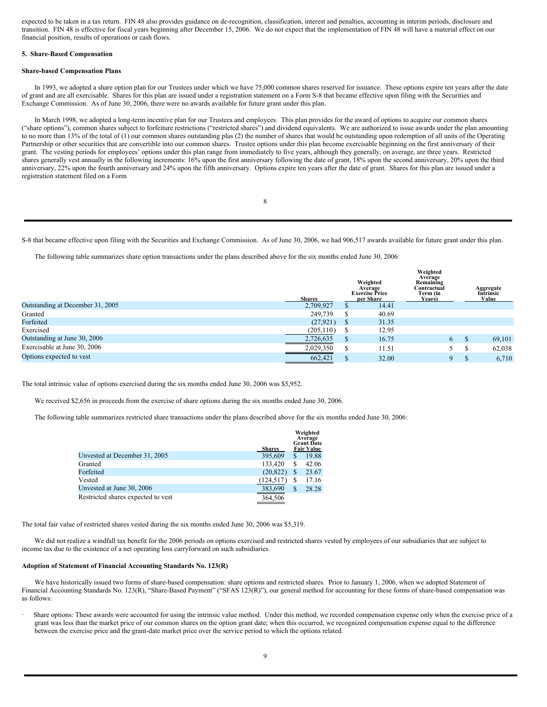expected to be taken in a tax return. FIN 48 also provides guidance on de-recognition, classification, interest and penalties, accounting in interim periods, disclosure and transition. FIN 48 is effective for fiscal years beginning after December 15, 2006. We do not expect that the implementation of FIN 48 will have a material effect on our financial position, results of operations or cash flows.

## **5. Share-Based Compensation**

## **Share-based Compensation Plans**

In 1993, we adopted a share option plan for our Trustees under which we have 75,000 common shares reserved for issuance. These options expire ten years after the date of grant and are all exercisable. Shares for this plan are issued under a registration statement on a Form S-8 that became effective upon filing with the Securities and Exchange Commission. As of June 30, 2006, there were no awards available for future grant under this plan.

In March 1998, we adopted a long-term incentive plan for our Trustees and employees. This plan provides for the award of options to acquire our common shares ("share options"), common shares subject to forfeiture restrictions ("restricted shares") and dividend equivalents. We are authorized to issue awards under the plan amounting to no more than 13% of the total of (1) our common shares outstanding plus (2) the number of shares that would be outstanding upon redemption of all units of the Operating Partnership or other securities that are convertible into our common shares. Trustee options under this plan become exercisable beginning on the first anniversary of their grant. The vesting periods for employees' options under this plan range from immediately to five years, although they generally, on average, are three years. Restricted shares generally vest annually in the following increments: 16% upon the first anniversary following the date of grant, 18% upon the second anniversary, 20% upon the third anniversary, 22% upon the fourth anniversary and 24% upon the fifth anniversary. Options expire ten years after the date of grant. Shares for this plan are issued under a registration statement filed on a Form

|   |         | I |  |
|---|---------|---|--|
| I |         |   |  |
| × | ï<br>۰, | ٦ |  |
|   |         |   |  |

S-8 that became effective upon filing with the Securities and Exchange Commission. As of June 30, 2006, we had 906,517 awards available for future grant under this plan.

The following table summarizes share option transactions under the plans described above for the six months ended June 30, 2006:

| Outstanding at December 31, 2005<br>2,709,927<br>14.41<br>249,739<br>40.69<br>Granted<br>S<br>Forfeited<br>(27, 921)<br>31.35<br><sup>8</sup><br>Exercised<br>12.95<br>(205, 110)<br>S<br>Outstanding at June 30, 2006<br>2,726,635<br>16.75<br>69,101<br><sup>\$</sup><br>S<br>6<br>Exercisable at June 30, 2006<br>2,029,350<br>62,038<br>S<br>11.51<br>S<br>Options expected to vest<br>662,421<br>32.00<br>9<br>S | <b>Shares</b> | Weighted<br>Average<br><b>Exercise Price</b><br>per Share | Weighted<br>Average<br>Remaining<br>Contractual<br>Term (in<br>Years) | Aggregate<br>Intrinsic<br>Value |
|-----------------------------------------------------------------------------------------------------------------------------------------------------------------------------------------------------------------------------------------------------------------------------------------------------------------------------------------------------------------------------------------------------------------------|---------------|-----------------------------------------------------------|-----------------------------------------------------------------------|---------------------------------|
|                                                                                                                                                                                                                                                                                                                                                                                                                       |               |                                                           |                                                                       |                                 |
|                                                                                                                                                                                                                                                                                                                                                                                                                       |               |                                                           |                                                                       |                                 |
|                                                                                                                                                                                                                                                                                                                                                                                                                       |               |                                                           |                                                                       |                                 |
|                                                                                                                                                                                                                                                                                                                                                                                                                       |               |                                                           |                                                                       |                                 |
|                                                                                                                                                                                                                                                                                                                                                                                                                       |               |                                                           |                                                                       |                                 |
|                                                                                                                                                                                                                                                                                                                                                                                                                       |               |                                                           |                                                                       |                                 |
|                                                                                                                                                                                                                                                                                                                                                                                                                       |               |                                                           |                                                                       | 6,710                           |

The total intrinsic value of options exercised during the six months ended June 30, 2006 was \$5,952.

We received \$2,656 in proceeds from the exercise of share options during the six months ended June 30, 2006.

The following table summarizes restricted share transactions under the plans described above for the six months ended June 30, 2006:

|                                    | <b>Shares</b> |   | Weighted<br>Average<br><b>Grant Date</b><br><b>Fair Value</b> |
|------------------------------------|---------------|---|---------------------------------------------------------------|
| Unvested at December 31, 2005      | 395,609       | S | 19.88                                                         |
| Granted                            | 133.420       | S | 42.06                                                         |
| Forfeited                          | (20, 822)     | S | 23.67                                                         |
| Vested                             | (124, 517)    | S | 17.16                                                         |
| Unvested at June 30, 2006          | 383,690       | S | 28.28                                                         |
| Restricted shares expected to vest | 364,506       |   |                                                               |

The total fair value of restricted shares vested during the six months ended June 30, 2006 was \$5,319.

We did not realize a windfall tax benefit for the 2006 periods on options exercised and restricted shares vested by employees of our subsidiaries that are subject to income tax due to the existence of a net operating loss carryforward on such subsidiaries.

## **Adoption of Statement of Financial Accounting Standards No. 123(R)**

We have historically issued two forms of share-based compensation: share options and restricted shares. Prior to January 1, 2006, when we adopted Statement of Financial Accounting Standards No. 123(R), "Share-Based Payment" ("SFAS 123(R)"), our general method for accounting for these forms of share-based compensation was as follows:

Share options: These awards were accounted for using the intrinsic value method. Under this method, we recorded compensation expense only when the exercise price of a grant was less than the market price of our common shares on the option grant date; when this occurred, we recognized compensation expense equal to the difference between the exercise price and the grant-date market price over the service period to which the options related.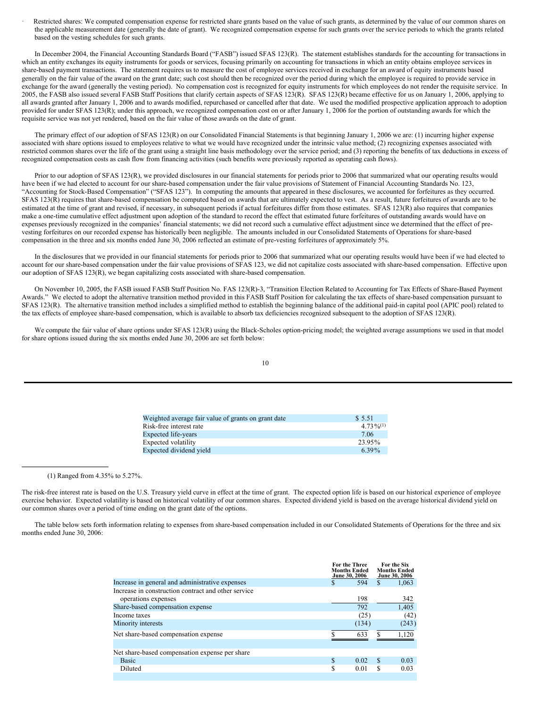Restricted shares: We computed compensation expense for restricted share grants based on the value of such grants, as determined by the value of our common shares on the applicable measurement date (generally the date of grant). We recognized compensation expense for such grants over the service periods to which the grants related based on the vesting schedules for such grants.

In December 2004, the Financial Accounting Standards Board ("FASB") issued SFAS 123(R). The statement establishes standards for the accounting for transactions in which an entity exchanges its equity instruments for goods or services, focusing primarily on accounting for transactions in which an entity obtains employee services in share-based payment transactions. The statement requires us to measure the cost of employee services received in exchange for an award of equity instruments based generally on the fair value of the award on the grant date; such cost should then be recognized over the period during which the employee is required to provide service in exchange for the award (generally the vesting period). No compensation cost is recognized for equity instruments for which employees do not render the requisite service. In 2005, the FASB also issued several FASB Staff Positions that clarify certain aspects of SFAS 123(R). SFAS 123(R) became effective for us on January 1, 2006, applying to all awards granted after January 1, 2006 and to awards modified, repurchased or cancelled after that date. We used the modified prospective application approach to adoption provided for under SFAS 123(R); under this approach, we recognized compensation cost on or after January 1, 2006 for the portion of outstanding awards for which the requisite service was not yet rendered, based on the fair value of those awards on the date of grant.

The primary effect of our adoption of SFAS 123(R) on our Consolidated Financial Statements is that beginning January 1, 2006 we are: (1) incurring higher expense associated with share options issued to employees relative to what we would have recognized under the intrinsic value method; (2) recognizing expenses associated with restricted common shares over the life of the grant using a straight line basis methodology over the service period; and (3) reporting the benefits of tax deductions in excess of recognized compensation costs as cash flow from financing activities (such benefits were previously reported as operating cash flows).

Prior to our adoption of SFAS 123(R), we provided disclosures in our financial statements for periods prior to 2006 that summarized what our operating results would have been if we had elected to account for our share-based compensation under the fair value provisions of Statement of Financial Accounting Standards No. 123, "Accounting for Stock-Based Compensation" ("SFAS 123"). In computing the amounts that appeared in these disclosures, we accounted for forfeitures as they occurred. SFAS 123(R) requires that share-based compensation be computed based on awards that are ultimately expected to vest. As a result, future forfeitures of awards are to be estimated at the time of grant and revised, if necessary, in subsequent periods if actual forfeitures differ from those estimates. SFAS 123(R) also requires that companies make a one-time cumulative effect adjustment upon adoption of the standard to record the effect that estimated future forfeitures of outstanding awards would have on expenses previously recognized in the companies' financial statements; we did not record such a cumulative effect adjustment since we determined that the effect of prevesting forfeitures on our recorded expense has historically been negligible. The amounts included in our Consolidated Statements of Operations for share-based compensation in the three and six months ended June 30, 2006 reflected an estimate of pre-vesting forfeitures of approximately 5%.

In the disclosures that we provided in our financial statements for periods prior to 2006 that summarized what our operating results would have been if we had elected to account for our share-based compensation under the fair value provisions of SFAS 123, we did not capitalize costs associated with share-based compensation. Effective upon our adoption of SFAS 123(R), we began capitalizing costs associated with share-based compensation.

On November 10, 2005, the FASB issued FASB Staff Position No. FAS 123(R)-3, "Transition Election Related to Accounting for Tax Effects of Share-Based Payment Awards." We elected to adopt the alternative transition method provided in this FASB Staff Position for calculating the tax effects of share-based compensation pursuant to SFAS 123(R). The alternative transition method includes a simplified method to establish the beginning balance of the additional paid-in capital pool (APIC pool) related to the tax effects of employee share-based compensation, which is available to absorb tax deficiencies recognized subsequent to the adoption of SFAS 123(R).

We compute the fair value of share options under SFAS 123(R) using the Black-Scholes option-pricing model; the weighted average assumptions we used in that model for share options issued during the six months ended June 30, 2006 are set forth below:

| I            |
|--------------|
|              |
| ٦<br>×<br>۰. |

| Weighted average fair value of grants on grant date | \$ 5.51     |
|-----------------------------------------------------|-------------|
| Risk-free interest rate                             | $4.73\%/1)$ |
| Expected life-years                                 | 7.06        |
| Expected volatility                                 | 23.95%      |
| Expected dividend yield                             | 6.39%       |

## (1) Ranged from 4.35% to 5.27%.

The risk-free interest rate is based on the U.S. Treasury yield curve in effect at the time of grant. The expected option life is based on our historical experience of employee exercise behavior. Expected volatility is based on historical volatility of our common shares. Expected dividend yield is based on the average historical dividend yield on our common shares over a period of time ending on the grant date of the options.

The table below sets forth information relating to expenses from share-based compensation included in our Consolidated Statements of Operations for the three and six months ended June 30, 2006:

|                                                     |    | <b>For the Three</b><br><b>Months Ended</b><br>June 30, 2006 |    | <b>For the Six</b><br><b>Months Ended</b><br>June 30, 2006 |
|-----------------------------------------------------|----|--------------------------------------------------------------|----|------------------------------------------------------------|
| Increase in general and administrative expenses     | S  | 594                                                          | \$ | 1,063                                                      |
| Increase in construction contract and other service |    |                                                              |    |                                                            |
| operations expenses                                 |    | 198                                                          |    | 342                                                        |
| Share-based compensation expense                    |    | 792                                                          |    | 1,405                                                      |
| Income taxes                                        |    | (25)                                                         |    | (42)                                                       |
| Minority interests                                  |    | (134)                                                        |    | (243)                                                      |
| Net share-based compensation expense                |    | 633                                                          | \$ | 1,120                                                      |
| Net share-based compensation expense per share      |    |                                                              |    |                                                            |
| <b>Basic</b>                                        | \$ | 0.02                                                         | S  | 0.03                                                       |
| Diluted                                             | S  | 0.01                                                         | S  | 0.03                                                       |
|                                                     |    |                                                              |    |                                                            |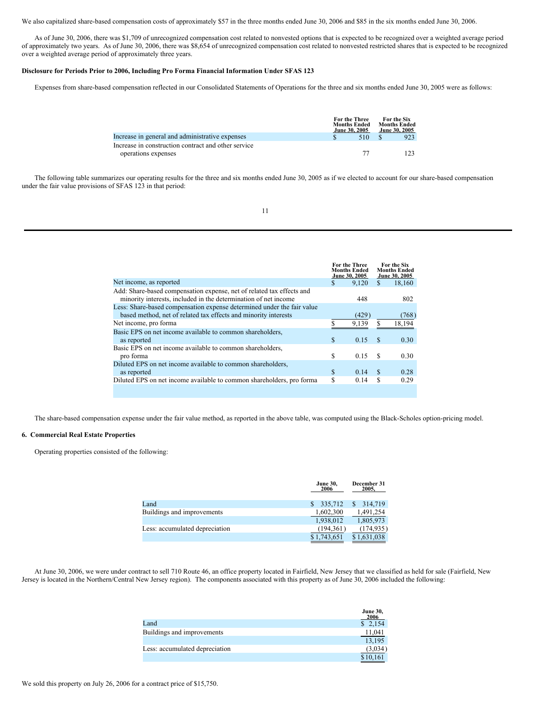We also capitalized share-based compensation costs of approximately \$57 in the three months ended June 30, 2006 and \$85 in the six months ended June 30, 2006.

As of June 30, 2006, there was \$1,709 of unrecognized compensation cost related to nonvested options that is expected to be recognized over a weighted average period of approximately two years. As of June 30, 2006, there was \$8,654 of unrecognized compensation cost related to nonvested restricted shares that is expected to be recognized over a weighted average period of approximately three years.

#### **Disclosure for Periods Prior to 2006, Including Pro Forma Financial Information Under SFAS 123**

Expenses from share-based compensation reflected in our Consolidated Statements of Operations for the three and six months ended June 30, 2005 were as follows:

|                                                     | For the Three<br><b>Months Ended</b><br>June 30, 2005 | For the Six<br><b>Months Ended</b><br>June 30, 2005 |
|-----------------------------------------------------|-------------------------------------------------------|-----------------------------------------------------|
| Increase in general and administrative expenses     | 510                                                   | 923                                                 |
| Increase in construction contract and other service |                                                       |                                                     |
| operations expenses                                 |                                                       |                                                     |

The following table summarizes our operating results for the three and six months ended June 30, 2005 as if we elected to account for our share-based compensation under the fair value provisions of SFAS 123 in that period:

|                                                                        |    | For the Three<br><b>Months Ended</b><br>June 30, 2005 |          | For the Six<br><b>Months Ended</b><br>June 30, 2005 |
|------------------------------------------------------------------------|----|-------------------------------------------------------|----------|-----------------------------------------------------|
| Net income, as reported                                                | \$ | 9.120                                                 | \$       | 18,160                                              |
| Add: Share-based compensation expense, net of related tax effects and  |    |                                                       |          |                                                     |
| minority interests, included in the determination of net income        |    | 448                                                   |          | 802                                                 |
| Less: Share-based compensation expense determined under the fair value |    |                                                       |          |                                                     |
| based method, net of related tax effects and minority interests        |    | (429)                                                 |          | (768)                                               |
| Net income, pro forma                                                  |    | 9.139                                                 |          | 18.194                                              |
| Basic EPS on net income available to common shareholders,              |    |                                                       |          |                                                     |
| as reported                                                            | \$ | 0.15                                                  | <b>S</b> | 0.30                                                |
| Basic EPS on net income available to common shareholders,              |    |                                                       |          |                                                     |
| pro forma                                                              | S  | 0.15                                                  | -S       | 0.30                                                |
| Diluted EPS on net income available to common shareholders,            |    |                                                       |          |                                                     |
| as reported                                                            | \$ | 0.14                                                  | <b>S</b> | 0.28                                                |
| Diluted EPS on net income available to common shareholders, pro forma  | S  | 0.14                                                  | S        | 0.29                                                |
|                                                                        |    |                                                       |          |                                                     |

The share-based compensation expense under the fair value method, as reported in the above table, was computed using the Black-Scholes option-pricing model.

#### **6. Commercial Real Estate Properties**

Operating properties consisted of the following:

|                                | <b>June 30,</b><br>2006 | December 31<br>2005. |
|--------------------------------|-------------------------|----------------------|
| Land                           | 335,712                 | 314,719<br>S.        |
| Buildings and improvements     | 1,602,300               | 1,491,254            |
|                                | 1,938,012               | 1,805,973            |
| Less: accumulated depreciation | (194,361)               | (174, 935)           |
|                                | \$1,743,651             | \$1,631,038          |

At June 30, 2006, we were under contract to sell 710 Route 46, an office property located in Fairfield, New Jersey that we classified as held for sale (Fairfield, New Jersey is located in the Northern/Central New Jersey region). The components associated with this property as of June 30, 2006 included the following:

|                                | <b>June 30,</b><br>2006 |
|--------------------------------|-------------------------|
| Land                           | \$2,154                 |
| Buildings and improvements     | 11,041                  |
|                                | 13.195                  |
| Less: accumulated depreciation | (3,034)                 |
|                                | \$10,161                |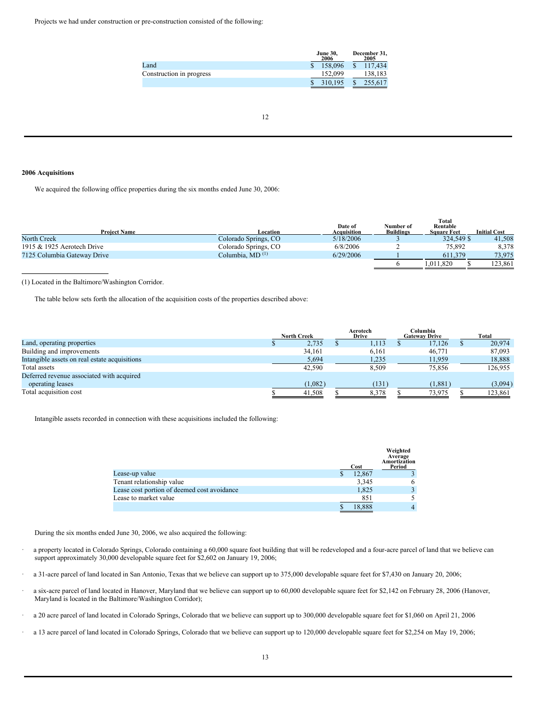|                          | <b>June 30,</b><br>2006 | December 31,<br>2005 |  |
|--------------------------|-------------------------|----------------------|--|
| Land                     | 158,096                 | 117.434              |  |
| Construction in progress | 152.099                 | 138.183              |  |
|                          | 310.195                 | 255.617              |  |

## **2006 Acquisitions**

We acquired the following office properties during the six months ended June 30, 2006:

| <b>Project Name</b>         | Location                    | Date of<br>Acquisition | Number of<br><b>Buildings</b> | Total<br>Rentable<br><b>Square Feet</b> | <b>Initial Cost</b> |
|-----------------------------|-----------------------------|------------------------|-------------------------------|-----------------------------------------|---------------------|
| North Creek                 | Colorado Springs, CO        | 5/18/2006              |                               | 324,549 \$                              | 41,508              |
| 1915 & 1925 Aerotech Drive  | Colorado Springs, CO        | 6/8/2006               |                               | 75.892                                  | 8.378               |
| 7125 Columbia Gateway Drive | Columbia, MD <sup>(1)</sup> | 6/29/2006              |                               | 611.379                                 | 73.975              |
|                             |                             |                        |                               | 1.011.820                               | 123.861             |

(1) Located in the Baltimore/Washington Corridor.

The table below sets forth the allocation of the acquisition costs of the properties described above:

|                                               | <b>North Creek</b> |         | Aerotech<br>Drive |  | Columbia<br><b>Gateway Drive</b> | Total   |
|-----------------------------------------------|--------------------|---------|-------------------|--|----------------------------------|---------|
| Land, operating properties                    |                    | 2.735   | 1.113             |  | 17.126                           | 20.974  |
| Building and improvements                     |                    | 34,161  | 6.161             |  | 46.771                           | 87.093  |
| Intangible assets on real estate acquisitions |                    | 5,694   | 1,235             |  | 11,959                           | 18,888  |
| Total assets                                  |                    | 42,590  | 8,509             |  | 75.856                           | 126.955 |
| Deferred revenue associated with acquired     |                    |         |                   |  |                                  |         |
| operating leases                              |                    | (1,082) | (131)             |  | (1,881)                          | (3,094) |
| Total acquisition cost                        |                    | 41,508  | 8,378             |  | 73,975                           | 123,861 |

Intangible assets recorded in connection with these acquisitions included the following:

|                                             | Cost   | Weighted<br>Average<br>Amortization<br>Period |
|---------------------------------------------|--------|-----------------------------------------------|
| Lease-up value                              | 12,867 |                                               |
| Tenant relationship value                   | 3,345  |                                               |
| Lease cost portion of deemed cost avoidance | 1,825  |                                               |
| Lease to market value                       | 851    |                                               |
|                                             | 18.888 |                                               |

During the six months ended June 30, 2006, we also acquired the following:

- a property located in Colorado Springs, Colorado containing a 60,000 square foot building that will be redeveloped and a four-acre parcel of land that we believe can support approximately 30,000 developable square feet for \$2,602 on January 19, 2006;
- · a 31-acre parcel of land located in San Antonio, Texas that we believe can support up to 375,000 developable square feet for \$7,430 on January 20, 2006;
- a six-acre parcel of land located in Hanover, Maryland that we believe can support up to 60,000 developable square feet for \$2,142 on February 28, 2006 (Hanover, Maryland is located in the Baltimore/Washington Corridor);
- · a 20 acre parcel of land located in Colorado Springs, Colorado that we believe can support up to 300,000 developable square feet for \$1,060 on April 21, 2006
- · a 13 acre parcel of land located in Colorado Springs, Colorado that we believe can support up to 120,000 developable square feet for \$2,254 on May 19, 2006;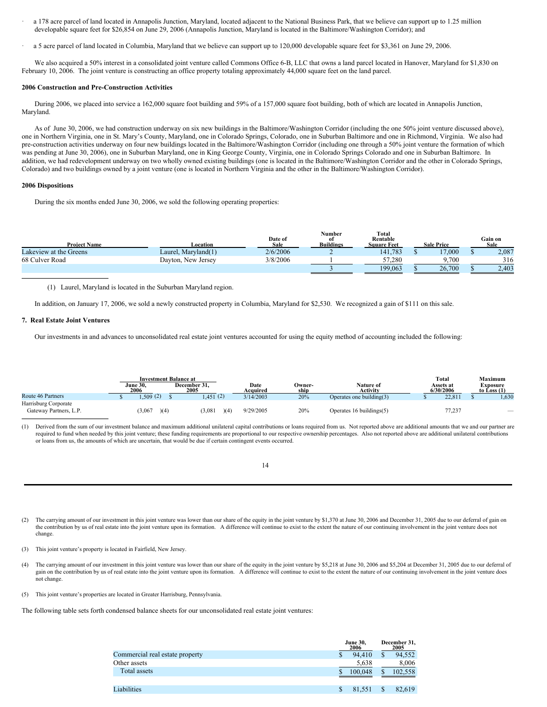- a 178 acre parcel of land located in Annapolis Junction, Maryland, located adjacent to the National Business Park, that we believe can support up to 1.25 million developable square feet for \$26,854 on June 29, 2006 (Annapolis Junction, Maryland is located in the Baltimore/Washington Corridor); and
- · a 5 acre parcel of land located in Columbia, Maryland that we believe can support up to 120,000 developable square feet for \$3,361 on June 29, 2006.

We also acquired a 50% interest in a consolidated joint venture called Commons Office 6-B, LLC that owns a land parcel located in Hanover, Maryland for \$1,830 on February 10, 2006. The joint venture is constructing an office property totaling approximately 44,000 square feet on the land parcel.

#### **2006 Construction and Pre-Construction Activities**

During 2006, we placed into service a 162,000 square foot building and 59% of a 157,000 square foot building, both of which are located in Annapolis Junction, Maryland.

As of June 30, 2006, we had construction underway on six new buildings in the Baltimore/Washington Corridor (including the one 50% joint venture discussed above), one in Northern Virginia, one in St. Mary's County, Maryland, one in Colorado Springs, Colorado, one in Suburban Baltimore and one in Richmond, Virginia. We also had pre-construction activities underway on four new buildings located in the Baltimore/Washington Corridor (including one through a 50% joint venture the formation of which was pending at June 30, 2006), one in Suburban Maryland, one in King George County, Virginia, one in Colorado Springs Colorado and one in Suburban Baltimore. In addition, we had redevelopment underway on two wholly owned existing buildings (one is located in the Baltimore/Washington Corridor and the other in Colorado Springs, Colorado) and two buildings owned by a joint venture (one is located in Northern Virginia and the other in the Baltimore/Washington Corridor).

#### **2006 Dispositions**

During the six months ended June 30, 2006, we sold the following operating properties:

| <b>Project Name</b>    | <b>Location</b>     | Date of<br>Sale | <b>Number</b><br><b>Buildings</b> | Total<br>Rentable<br>Sauare Feet | <b>Sale Price</b> | Gain on<br>Sale |
|------------------------|---------------------|-----------------|-----------------------------------|----------------------------------|-------------------|-----------------|
| Lakeview at the Greens | Laurel, Maryland(1) | 2/6/2006        |                                   | 141.783                          | 17.000            | 2,087           |
| 68 Culver Road         | Dayton, New Jersey  | 3/8/2006        |                                   | 57.280                           | 9.700             | 316             |
|                        |                     |                 |                                   | 199,063                          | 26,700            | 2.403           |

(1) Laurel, Maryland is located in the Suburban Maryland region.

In addition, on January 17, 2006, we sold a newly constructed property in Columbia, Maryland for \$2,530. We recognized a gain of \$111 on this sale.

#### **7. Real Estate Joint Ventures**

Our investments in and advances to unconsolidated real estate joint ventures accounted for using the equity method of accounting included the following:

|                                                |                                                 |                 | <b>Investment Balance at</b> |                                    |           |                       |                             |                        | Total |                           | <b>Maximum</b> |
|------------------------------------------------|-------------------------------------------------|-----------------|------------------------------|------------------------------------|-----------|-----------------------|-----------------------------|------------------------|-------|---------------------------|----------------|
|                                                | <b>June 30.</b><br>December 31.<br>2006<br>2005 |                 |                              | Date<br>Owner-<br>shin<br>Acquired |           | Nature of<br>Activitv |                             | Assets at<br>6/30/2006 |       | Exposure<br>to Loss $(1)$ |                |
| Route 46 Partners                              |                                                 | .509(2)         |                              | .451(2)                            | 3/14/2003 | 20%                   | Operates one building $(3)$ |                        |       | 22.811                    | 1,630          |
| Harrisburg Corporate<br>Gateway Partners, L.P. |                                                 | (3.067)<br>)(4) |                              | (4)<br>3.081                       | 9/29/2005 | 20%                   | Operates 16 buildings(5)    |                        |       | 77,237                    | __             |

(1) Derived from the sum of our investment balance and maximum additional unilateral capital contributions or loans required from us. Not reported above are additional amounts that we and our partner are required to fund when needed by this joint venture; these funding requirements are proportional to our respective ownership percentages. Also not reported above are additional unilateral contributions or loans from us, the amounts of which are uncertain, that would be due if certain contingent events occurred.

(2) The carrying amount of our investment in this joint venture was lower than our share of the equity in the joint venture by \$1,370 at June 30, 2006 and December 31, 2005 due to our deferral of gain on the contribution by us of real estate into the joint venture upon its formation. A difference will continue to exist to the extent the nature of our continuing involvement in the joint venture does not change.

- (3) This joint venture's property is located in Fairfield, New Jersey.
- (4) The carrying amount of our investment in this joint venture was lower than our share of the equity in the joint venture by \$5,218 at June 30, 2006 and \$5,204 at December 31, 2005 due to our deferral of gain on the contribution by us of real estate into the joint venture upon its formation. A difference will continue to exist to the extent the nature of our continuing involvement in the joint venture does not change.
- (5) This joint venture's properties are located in Greater Harrisburg, Pennsylvania.

The following table sets forth condensed balance sheets for our unconsolidated real estate joint ventures:

|                                 | <b>June 30,</b><br>2006 | December 31,<br>2005 |         |  |
|---------------------------------|-------------------------|----------------------|---------|--|
| Commercial real estate property | 94.410                  |                      | 94.552  |  |
| Other assets                    | 5.638                   |                      | 8.006   |  |
| Total assets                    | 100.048                 | S                    | 102,558 |  |
|                                 |                         |                      |         |  |
| Liabilities                     | 81.551                  | \$                   | 82.619  |  |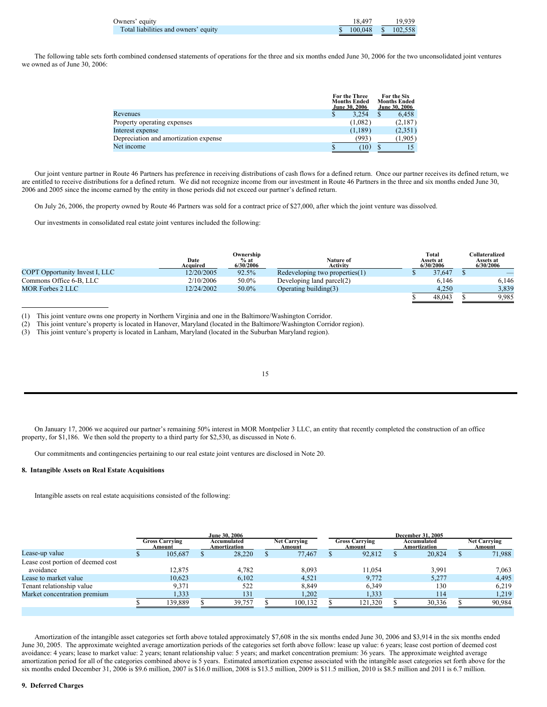| Owners' equity                       | 18.497 | 19.939                |
|--------------------------------------|--------|-----------------------|
| Total liabilities and owners' equity |        | \$ 100,048 \$ 102,558 |

The following table sets forth combined condensed statements of operations for the three and six months ended June 30, 2006 for the two unconsolidated joint ventures we owned as of June 30, 2006:

|                                       | For the Three<br><b>Months Ended</b><br>June 30, 2006 | For the Six<br><b>Months Ended</b><br>June 30, 2006 |         |
|---------------------------------------|-------------------------------------------------------|-----------------------------------------------------|---------|
| Revenues                              | S                                                     | 3.254                                               | 6,458   |
| Property operating expenses           |                                                       | (1,082)                                             | (2,187) |
| Interest expense                      |                                                       | (1, 189)                                            | (2,351) |
| Depreciation and amortization expense |                                                       | (993                                                | (1,905) |
| Net income                            |                                                       | 10)                                                 |         |

Our joint venture partner in Route 46 Partners has preference in receiving distributions of cash flows for a defined return. Once our partner receives its defined return, we are entitled to receive distributions for a defined return. We did not recognize income from our investment in Route 46 Partners in the three and six months ended June 30, 2006 and 2005 since the income earned by the entity in those periods did not exceed our partner's defined return.

On July 26, 2006, the property owned by Route 46 Partners was sold for a contract price of \$27,000, after which the joint venture was dissolved.

Our investments in consolidated real estate joint ventures included the following:

|                                       | Ownership<br>$%$ at<br>Date<br>Nature of<br>6/30/2006<br>Acquired<br>Activity |       | Total<br>Assets at<br>6/30/2006   | Collateralized<br>Assets at<br>6/30/2006 |       |
|---------------------------------------|-------------------------------------------------------------------------------|-------|-----------------------------------|------------------------------------------|-------|
| <b>COPT</b> Opportunity Invest I, LLC | 12/20/2005                                                                    | 92.5% | Redeveloping two properties $(1)$ | 37.647                                   |       |
| Commons Office 6-B. LLC               | 2/10/2006                                                                     | 50.0% | Developing land parcel(2)         | 6.146                                    | 6.146 |
| MOR Forbes 2 LLC                      | 12/24/2002                                                                    | 50.0% | Operating building $(3)$          | 4.250                                    | 3.839 |
|                                       |                                                                               |       |                                   | 48,043                                   | 9.985 |

(1) This joint venture owns one property in Northern Virginia and one in the Baltimore/Washington Corridor.

(2) This joint venture's property is located in Hanover, Maryland (located in the Baltimore/Washington Corridor region).

(3) This joint venture's property is located in Lanham, Maryland (located in the Suburban Maryland region).

## 15

On January 17, 2006 we acquired our partner's remaining 50% interest in MOR Montpelier 3 LLC, an entity that recently completed the construction of an office property, for \$1,186. We then sold the property to a third party for \$2,530, as discussed in Note 6.

Our commitments and contingencies pertaining to our real estate joint ventures are disclosed in Note 20.

## **8. Intangible Assets on Real Estate Acquisitions**

Intangible assets on real estate acquisitions consisted of the following:

|                                   |                                 | June 30, 2006               |                               | <b>December 31, 2005</b> |                                 |  |                             |  |                               |  |
|-----------------------------------|---------------------------------|-----------------------------|-------------------------------|--------------------------|---------------------------------|--|-----------------------------|--|-------------------------------|--|
|                                   | <b>Gross Carrying</b><br>Amount | Accumulated<br>Amortization | <b>Net Carrying</b><br>Amount |                          | <b>Gross Carrying</b><br>Amount |  | Accumulated<br>Amortization |  | <b>Net Carrying</b><br>Amount |  |
| Lease-up value                    | 105,687                         | 28,220                      | 77,467                        |                          | 92,812                          |  | 20,824                      |  | 71,988                        |  |
| Lease cost portion of deemed cost |                                 |                             |                               |                          |                                 |  |                             |  |                               |  |
| avoidance                         | 12.875                          | 4,782                       | 8,093                         |                          | 11.054                          |  | 3,991                       |  | 7,063                         |  |
| Lease to market value             | 10.623                          | 6.102                       | 4,521                         |                          | 9.772                           |  | 5.277                       |  | 4,495                         |  |
| Tenant relationship value         | 9,371                           | 522                         | 8,849                         |                          | 6,349                           |  | 130                         |  | 6,219                         |  |
| Market concentration premium      | 1,333                           | 131                         | 1,202                         |                          | 1,333                           |  | 114                         |  | 1,219                         |  |
|                                   | 139.889                         | 39.757                      | 100.132                       |                          | 121.320                         |  | 30,336                      |  | 90.984                        |  |

Amortization of the intangible asset categories set forth above totaled approximately \$7,608 in the six months ended June 30, 2006 and \$3,914 in the six months ended June 30, 2005. The approximate weighted average amortization periods of the categories set forth above follow: lease up value: 6 years; lease cost portion of deemed cost avoidance: 4 years; lease to market value: 2 years; tenant relationship value: 5 years; and market concentration premium: 36 years. The approximate weighted average amortization period for all of the categories combined above is 5 years. Estimated amortization expense associated with the intangible asset categories set forth above for the six months ended December 31, 2006 is \$9.6 million, 2007 is \$16.0 million, 2008 is \$13.5 million, 2009 is \$11.5 million, 2010 is \$8.5 million and 2011 is 6.7 million.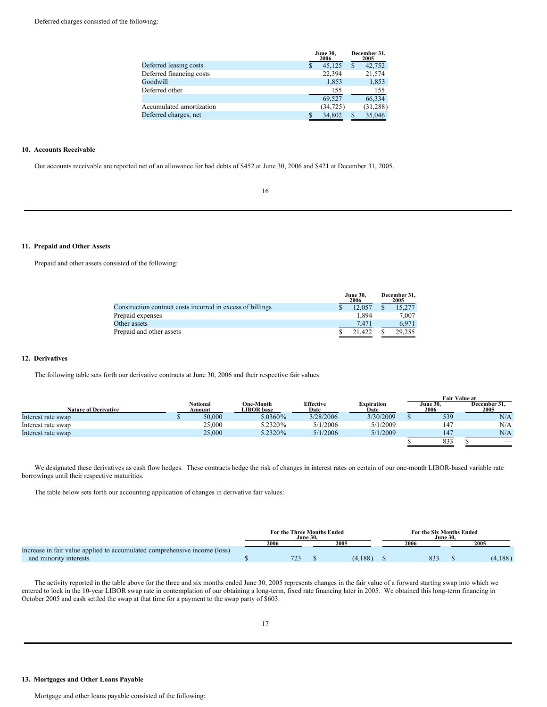|                          | <b>June 30,</b><br>2006 | December 31,<br>2005 |
|--------------------------|-------------------------|----------------------|
| Deferred leasing costs   | 45.125                  | 42,752               |
| Deferred financing costs | 22,394                  | 21,574               |
| Goodwill                 | 1,853                   | 1,853                |
| Deferred other           | 155                     | 155                  |
|                          | 69.527                  | 66,334               |
| Accumulated amortization | (34,725)                | (31, 288)            |
| Deferred charges, net    | 34,802                  | 35,046               |

#### **10. Accounts Receivable**

Our accounts receivable are reported net of an allowance for bad debts of \$452 at June 30, 2006 and \$421 at December 31, 2005.

## **11. Prepaid and Other Assets**

Prepaid and other assets consisted of the following:

|                                                            | <b>June 30.</b><br>2006 | December 31.<br>2005 |
|------------------------------------------------------------|-------------------------|----------------------|
| Construction contract costs incurred in excess of billings | 12.057                  | 15.277               |
| Prepaid expenses                                           | 1.894                   | 7.007                |
| Other assets                                               | 7.471                   | 6971                 |
| Prepaid and other assets                                   | 21.422                  | 29.255               |

## **12. Derivatives**

The following table sets forth our derivative contracts at June 30, 2006 and their respective fair values:

|                             |  |                    |                                       |                          |                    |                         | rair value at |                      |  |
|-----------------------------|--|--------------------|---------------------------------------|--------------------------|--------------------|-------------------------|---------------|----------------------|--|
| <b>Nature of Derivative</b> |  | Notional<br>Amount | <b>One-Month</b><br><b>LIBOR</b> base | <b>Effective</b><br>Date | Expiration<br>Date | <b>June 30.</b><br>2006 |               | December 31,<br>2005 |  |
| Interest rate swap          |  | 50,000             | 5.0360%                               | 3/28/2006                | 3/30/2009          |                         | 539           | N/A                  |  |
| Interest rate swap          |  | 25,000             | $5.2320\%$                            | 5/1/2006                 | 5/1/2009           |                         | 147           | N/A                  |  |
| Interest rate swap          |  | 25,000             | 5.2320%                               | 5/1/2006                 | 5/1/2009           |                         | 147           | N/A                  |  |
|                             |  |                    |                                       |                          |                    |                         | 833           |                      |  |

**Fair Value at**

We designated these derivatives as cash flow hedges. These contracts hedge the risk of changes in interest rates on certain of our one-month LIBOR-based variable rate borrowings until their respective maturities.

The table below sets forth our accounting application of changes in derivative fair values:

| For the Three Months Ended<br>June 30 |  |       |  | For the Six Months Ended<br><b>June 30.</b> |  |        |  |
|---------------------------------------|--|-------|--|---------------------------------------------|--|--------|--|
| 2006                                  |  | 2005  |  | 2006                                        |  | 2005   |  |
|                                       |  |       |  |                                             |  |        |  |
|                                       |  | 4.188 |  |                                             |  | 4,188) |  |
|                                       |  |       |  |                                             |  |        |  |

The activity reported in the table above for the three and six months ended June 30, 2005 represents changes in the fair value of a forward starting swap into which we entered to lock in the 10-year LIBOR swap rate in contemplation of our obtaining a long-term, fixed rate financing later in 2005. We obtained this long-term financing in October 2005 and cash settled the swap at that time for a payment to the swap party of \$603.

## **13. Mortgages and Other Loans Payable**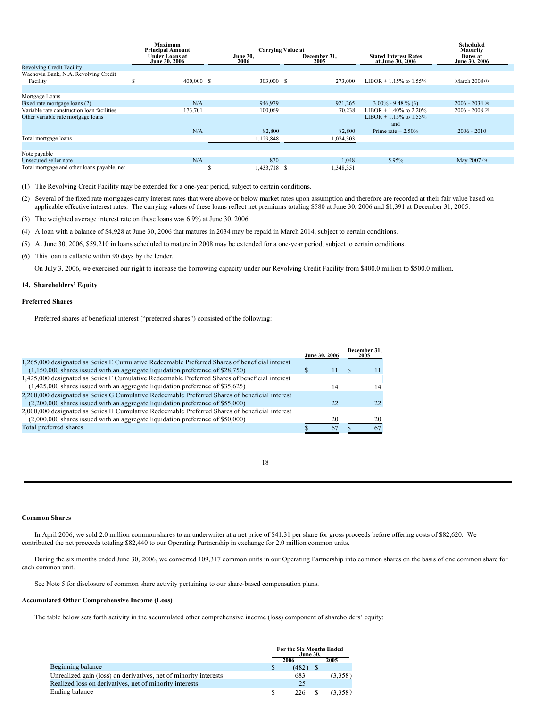|                                             | Maximum<br><b>Principal Amount</b>     |                         | <b>Carrying Value at</b> |                                                  | <b>Scheduled</b><br>Maturity |
|---------------------------------------------|----------------------------------------|-------------------------|--------------------------|--------------------------------------------------|------------------------------|
|                                             | <b>Under Loans at</b><br>June 30, 2006 | <b>June 30,</b><br>2006 | December 31,<br>2005     | <b>Stated Interest Rates</b><br>at June 30, 2006 | Dates at<br>June 30, 2006    |
| <b>Revolving Credit Facility</b>            |                                        |                         |                          |                                                  |                              |
| Wachovia Bank, N.A. Revolving Credit        |                                        |                         |                          |                                                  |                              |
| Facility                                    | $400,000$ \$                           | 303,000 \$              | 273,000                  | LIBOR + 1.15% to $1.55%$                         | March 2008 (1)               |
|                                             |                                        |                         |                          |                                                  |                              |
| <b>Mortgage Loans</b>                       |                                        |                         |                          |                                                  |                              |
| Fixed rate mortgage loans (2)               | N/A                                    | 946,979                 | 921,265                  | $3.00\% - 9.48\%$ (3)                            | $2006 - 2034(4)$             |
| Variable rate construction loan facilities  | 173,701                                | 100,069                 | 70,238                   | LIBOR $+ 1.40\%$ to 2.20%                        | $2006 - 2008$ (5)            |
| Other variable rate mortgage loans          |                                        |                         |                          | LIBOR $+ 1.15\%$ to 1.55%                        |                              |
|                                             |                                        |                         |                          | and                                              |                              |
|                                             | N/A                                    | 82,800                  | 82,800                   | Prime rate $+2.50\%$                             | $2006 - 2010$                |
| Total mortgage loans                        |                                        | 1,129,848               | 1,074,303                |                                                  |                              |
|                                             |                                        |                         |                          |                                                  |                              |
| Note payable                                |                                        |                         |                          |                                                  |                              |
| Unsecured seller note                       | N/A                                    | 870                     | 1,048                    | 5.95%                                            | May 2007 (6)                 |
| Total mortgage and other loans payable, net |                                        | 1,433,718               | 1,348,351                |                                                  |                              |

(1) The Revolving Credit Facility may be extended for a one-year period, subject to certain conditions.

(2) Several of the fixed rate mortgages carry interest rates that were above or below market rates upon assumption and therefore are recorded at their fair value based on applicable effective interest rates. The carrying values of these loans reflect net premiums totaling \$580 at June 30, 2006 and \$1,391 at December 31, 2005.

(3) The weighted average interest rate on these loans was 6.9% at June 30, 2006.

(4) A loan with a balance of \$4,928 at June 30, 2006 that matures in 2034 may be repaid in March 2014, subject to certain conditions.

(5) At June 30, 2006, \$59,210 in loans scheduled to mature in 2008 may be extended for a one-year period, subject to certain conditions.

(6) This loan is callable within 90 days by the lender.

On July 3, 2006, we exercised our right to increase the borrowing capacity under our Revolving Credit Facility from \$400.0 million to \$500.0 million.

## **14. Shareholders' Equity**

## **Preferred Shares**

Preferred shares of beneficial interest ("preferred shares") consisted of the following:

|                                                                                                                                                                                     | June 30, 2006 |    | December 31,<br>2005 |
|-------------------------------------------------------------------------------------------------------------------------------------------------------------------------------------|---------------|----|----------------------|
| 1,265,000 designated as Series E Cumulative Redeemable Preferred Shares of beneficial interest                                                                                      |               |    |                      |
| $(1,150,000$ shares issued with an aggregate liquidation preference of \$28,750)                                                                                                    |               |    |                      |
| 1,425,000 designated as Series F Cumulative Redeemable Preferred Shares of beneficial interest                                                                                      |               |    |                      |
| $(1,425,000)$ shares issued with an aggregate liquidation preference of \$35,625)                                                                                                   |               | 14 | 14                   |
| 2,200,000 designated as Series G Cumulative Redeemable Preferred Shares of beneficial interest<br>$(2,200,000)$ shares issued with an aggregate liquidation preference of \$55,000) |               | 22 |                      |
| 2,000,000 designated as Series H Cumulative Redeemable Preferred Shares of beneficial interest                                                                                      |               |    |                      |
| $(2,000,000)$ shares issued with an aggregate liquidation preference of \$50,000)                                                                                                   |               | 20 | 20                   |
| Total preferred shares                                                                                                                                                              |               | 67 |                      |

18

#### **Common Shares**

In April 2006, we sold 2.0 million common shares to an underwriter at a net price of \$41.31 per share for gross proceeds before offering costs of \$82,620. We contributed the net proceeds totaling \$82,440 to our Operating Partnership in exchange for 2.0 million common units.

During the six months ended June 30, 2006, we converted 109,317 common units in our Operating Partnership into common shares on the basis of one common share for each common unit.

See Note 5 for disclosure of common share activity pertaining to our share-based compensation plans.

#### **Accumulated Other Comprehensive Income (Loss)**

The table below sets forth activity in the accumulated other comprehensive income (loss) component of shareholders' equity:

|                                                                  | For the Six Months Ended<br><b>June 30.</b> |       |  |         |  |  |  |
|------------------------------------------------------------------|---------------------------------------------|-------|--|---------|--|--|--|
|                                                                  |                                             | 2006  |  | 2005    |  |  |  |
| Beginning balance                                                |                                             | (482) |  |         |  |  |  |
| Unrealized gain (loss) on derivatives, net of minority interests |                                             | 683   |  | (3,358) |  |  |  |
| Realized loss on derivatives, net of minority interests          |                                             | 25    |  |         |  |  |  |
| Ending balance                                                   |                                             | 226   |  | (3.358) |  |  |  |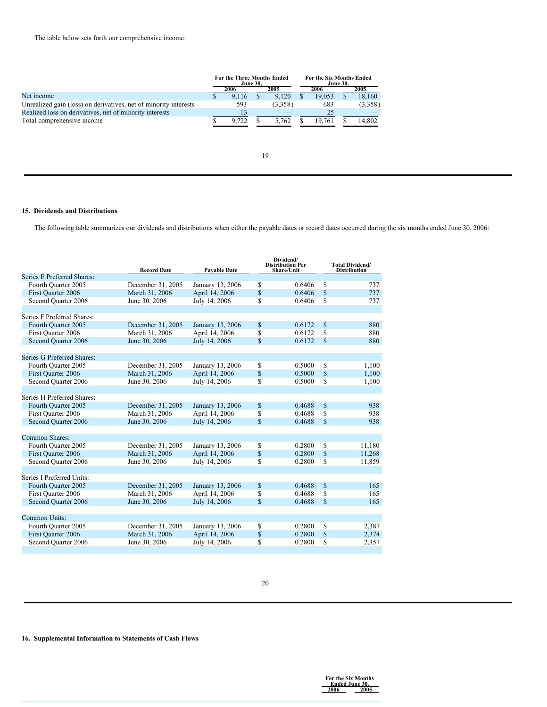|                                                                  | For the Three Months Ended<br><b>June 30.</b> |         | For the Six Months Ended | <b>June 30.</b> |         |  |
|------------------------------------------------------------------|-----------------------------------------------|---------|--------------------------|-----------------|---------|--|
|                                                                  | 2006                                          | 2005    | 2006                     |                 | 2005    |  |
| Net income                                                       | 9.116                                         | 9.120   | 19.053                   |                 | 18.160  |  |
| Unrealized gain (loss) on derivatives, net of minority interests | 593                                           | (3.358) | 683                      |                 | (3,358) |  |
| Realized loss on derivatives, net of minority interests          |                                               |         | 25                       |                 |         |  |
| Total comprehensive income                                       | 9.722                                         | 5.762   | 19.761                   |                 | 14.802  |  |

## **15. Dividends and Distributions**

The following table summarizes our dividends and distributions when either the payable dates or record dates occurred during the six months ended June 30, 2006:

|                            | <b>Record Date</b> | <b>Pavable Date</b> |    | Dividend/<br><b>Distribution Per</b><br><b>Share/Unit</b> |              | <b>Total Dividend/</b><br><b>Distribution</b> |
|----------------------------|--------------------|---------------------|----|-----------------------------------------------------------|--------------|-----------------------------------------------|
| Series E Preferred Shares: |                    |                     |    |                                                           |              |                                               |
| Fourth Quarter 2005        | December 31, 2005  | January 13, 2006    | S  | 0.6406                                                    | S            | 737                                           |
| First Ouarter 2006         | March 31, 2006     | April 14, 2006      | \$ | 0.6406                                                    | \$           | 737                                           |
| Second Ouarter 2006        | June 30, 2006      | July 14, 2006       | \$ | 0.6406                                                    | S            | 737                                           |
|                            |                    |                     |    |                                                           |              |                                               |
| Series F Preferred Shares: |                    |                     |    |                                                           |              |                                               |
| Fourth Ouarter 2005        | December 31, 2005  | January 13, 2006    | \$ | 0.6172                                                    | \$           | 880                                           |
| First Ouarter 2006         | March 31, 2006     | April 14, 2006      | \$ | 0.6172                                                    | S            | 880                                           |
| Second Ouarter 2006        | June 30, 2006      | July 14, 2006       | \$ | 0.6172                                                    | $\mathbb{S}$ | 880                                           |
|                            |                    |                     |    |                                                           |              |                                               |
| Series G Preferred Shares: |                    |                     |    |                                                           |              |                                               |
| Fourth Quarter 2005        | December 31, 2005  | January 13, 2006    | \$ | 0.5000                                                    | \$           | 1.100                                         |
| First Ouarter 2006         | March 31, 2006     | April 14, 2006      | \$ | 0.5000                                                    | \$           | 1,100                                         |
| Second Ouarter 2006        | June 30, 2006      | July 14, 2006       | \$ | 0.5000                                                    | S            | 1,100                                         |
|                            |                    |                     |    |                                                           |              |                                               |
| Series H Preferred Shares: |                    |                     |    |                                                           |              |                                               |
| Fourth Ouarter 2005        | December 31, 2005  | January 13, 2006    | \$ | 0.4688                                                    | \$           | 938                                           |
| First Ouarter 2006         | March 31, 2006     | April 14, 2006      | \$ | 0.4688                                                    | $\mathbf S$  | 938                                           |
| Second Ouarter 2006        | June 30, 2006      | July 14, 2006       | \$ | 0.4688                                                    | $\mathbb{S}$ | 938                                           |
|                            |                    |                     |    |                                                           |              |                                               |
| <b>Common Shares:</b>      |                    |                     |    |                                                           |              |                                               |
| Fourth Ouarter 2005        | December 31, 2005  | January 13, 2006    | \$ | 0.2800                                                    | \$           | 11,180                                        |
| First Ouarter 2006         | March 31, 2006     | April 14, 2006      | \$ | 0.2800                                                    | \$           | 11.268                                        |
| Second Ouarter 2006        | June 30, 2006      | July 14, 2006       | \$ | 0.2800                                                    | S            | 11,859                                        |
|                            |                    |                     |    |                                                           |              |                                               |
| Series I Preferred Units:  |                    |                     |    |                                                           |              |                                               |
| Fourth Ouarter 2005        | December 31, 2005  | January 13, 2006    | \$ | 0.4688                                                    | \$           | 165                                           |
| First Ouarter 2006         | March 31, 2006     | April 14, 2006      | \$ | 0.4688                                                    | S            | 165                                           |
| Second Ouarter 2006        | June 30, 2006      | July 14, 2006       | \$ | 0.4688                                                    | $\mathbb{S}$ | 165                                           |
|                            |                    |                     |    |                                                           |              |                                               |
| <b>Common Units:</b>       |                    |                     |    |                                                           |              |                                               |
| Fourth Quarter 2005        | December 31, 2005  | January 13, 2006    | \$ | 0.2800                                                    | S            | 2,387                                         |
| First Ouarter 2006         | March 31, 2006     | April 14, 2006      | \$ | 0.2800                                                    | \$           | 2,374                                         |
| Second Ouarter 2006        | June 30, 2006      | July 14, 2006       | \$ | 0.2800                                                    | \$           | 2,357                                         |
|                            |                    |                     |    |                                                           |              |                                               |

**16. Supplemental Information to Statements of Cash Flows**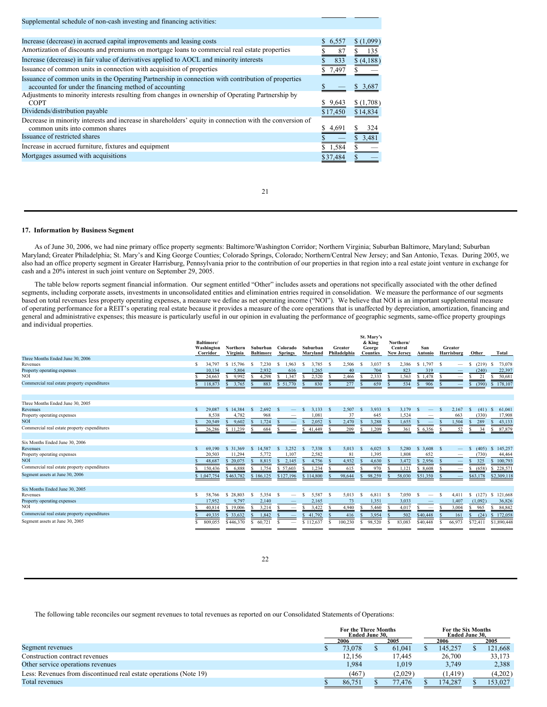| Supplemental schedule of non-cash investing and financing activities:                                                                                         |          |           |
|---------------------------------------------------------------------------------------------------------------------------------------------------------------|----------|-----------|
|                                                                                                                                                               |          |           |
| Increase (decrease) in accrued capital improvements and leasing costs                                                                                         | 6,557    | \$(1,099) |
| Amortization of discounts and premiums on mortgage loans to commercial real estate properties                                                                 | 87       | 135       |
| Increase (decrease) in fair value of derivatives applied to AOCL and minority interests                                                                       | 833      | \$(4,188) |
| Issuance of common units in connection with acquisition of properties                                                                                         | 7,497    |           |
| Issuance of common units in the Operating Partnership in connection with contribution of properties<br>accounted for under the financing method of accounting |          | 3,687     |
| Adjustments to minority interests resulting from changes in ownership of Operating Partnership by<br><b>COPT</b>                                              | 9,643    | \$(1,708) |
| Dividends/distribution payable                                                                                                                                | \$17,450 | \$14,834  |
| Decrease in minority interests and increase in shareholders' equity in connection with the conversion of<br>common units into common shares                   | 4,691    | 324       |
| Issuance of restricted shares                                                                                                                                 |          | \$3,481   |
| Increase in accrued furniture, fixtures and equipment                                                                                                         | 1,584    |           |
| Mortgages assumed with acquisitions                                                                                                                           | \$37,484 |           |

## **17. Information by Business Segment**

As of June 30, 2006, we had nine primary office property segments: Baltimore/Washington Corridor; Northern Virginia; Suburban Baltimore, Maryland; Suburban Maryland; Greater Philadelphia; St. Mary's and King George Counties; Colorado Springs, Colorado; Northern/Central New Jersey; and San Antonio, Texas. During 2005, we also had an office property segment in Greater Harrisburg, Pennsylvania prior to the contribution of our properties in that region into a real estate joint venture in exchange for cash and a 20% interest in such joint venture on September 29, 2005.

The table below reports segment financial information. Our segment entitled "Other" includes assets and operations not specifically associated with the other defined segments, including corporate assets, investments in unconsolidated entities and elimination entries required in consolidation. We measure the performance of our segments based on total revenues less property operating expenses, a measure we define as net operating income ("NOI"). We believe that NOI is an important supplemental measure of operating performance for a REIT's operating real estate because it provides a measure of the core operations that is unaffected by depreciation, amortization, financing and general and administrative expenses; this measure is particularly useful in our opinion in evaluating the performance of geographic segments, same-office property groupings and individual properties.

|                                              | Baltimore/<br>Washington<br>Corridor |         | Northern<br>Virginia | Suburban<br><b>Baltimore</b> | Colorado<br><b>Springs</b> | Suburban<br>Maryland |     | Greater<br>Philadelphia |    | St. Mary's<br>& King<br>George<br><b>Counties</b> |     | Northern/<br>Central<br><b>New Jersey</b> | San<br>Antonio                       |     | Greater<br>Harrisburg           | Other       | Total         |
|----------------------------------------------|--------------------------------------|---------|----------------------|------------------------------|----------------------------|----------------------|-----|-------------------------|----|---------------------------------------------------|-----|-------------------------------------------|--------------------------------------|-----|---------------------------------|-------------|---------------|
| Three Months Ended June 30, 2006             |                                      |         |                      |                              |                            |                      |     |                         |    |                                                   |     |                                           |                                      |     |                                 |             |               |
| Revenues                                     | S                                    | 34.797  | \$15,796             | 7.230                        | .963                       | 3.785                | -8  | 2.506                   | -S | 3.037                                             |     | 2.386                                     | \$1,797                              | - S | $\hspace{0.1mm}-\hspace{0.1mm}$ | (219)<br>s  | 73,078<br>-S  |
| Property operating expenses                  |                                      | 10,134  | 5,804                | 2,932                        | 616                        | 1,265                |     | 40                      |    | 704                                               |     | 823                                       | 319                                  |     |                                 | (240)       | 22,397        |
| <b>NOI</b>                                   |                                      | 24,663  | 9,992                | 4,298                        | 1,347<br>S.                | 2,520                |     | 2,466                   |    | 2,333                                             |     | 1,563                                     | \$1,478                              |     | $\overline{\phantom{a}}$        | 21          | 50,681<br>s   |
| Commercial real estate property expenditures |                                      | 118,873 | 3,765<br>S.          | 883                          | \$51,770                   | 830                  |     | 277                     |    | 659                                               |     | 534                                       | 906<br>S                             |     | --                              | (390)       | \$178,107     |
| Three Months Ended June 30, 2005             |                                      |         |                      |                              |                            |                      |     |                         |    |                                                   |     |                                           |                                      |     |                                 |             |               |
| Revenues                                     | $\mathcal{S}$                        | 29.087  | \$14,384             | 2.692                        |                            | 3.133                | - 8 | 2,507                   | S  | 3.933                                             | -8  | 3,179                                     | -S                                   |     | 2,167                           | (41)        | S<br>61,041   |
| Property operating expenses                  |                                      | 8,538   | 4,782                | 968                          |                            | 1,081                |     | 37                      |    | 645                                               |     | 1,524                                     |                                      |     | 663                             | (330)       | 17,908        |
| <b>NOI</b>                                   |                                      | 20,549  | 9,602                | 1,724                        |                            | 2,052                |     | 2,470                   |    | 3,288                                             |     | 1,655                                     |                                      |     | 1,504                           | 289         | 43,133        |
| Commercial real estate property expenditures |                                      | 26,286  | \$11,239             | 684                          |                            | 41,449               |     | 209                     |    | 1,209                                             |     | 361                                       | 6,356<br>s                           |     | 52                              | 34          | 87,879<br>s   |
| Six Months Ended June 30, 2006               |                                      |         |                      |                              |                            |                      |     |                         |    |                                                   |     |                                           |                                      |     |                                 |             |               |
| Revenues                                     | s.                                   | 69.190  | \$ 31,369            | 14,587<br>s.                 | 3.252<br>-S                | 7.338<br>-S          | - 8 | 5.013                   | -S | 6.025                                             | -S  | 5.280                                     | \$ 3,608                             | - S | $\hspace{0.1mm}-\hspace{0.1mm}$ | (405)<br>-S | -S<br>145,257 |
| Property operating expenses                  |                                      | 20,503  | 11,294               | 5,772                        | 1,107                      | 2,582                |     | 81                      |    | 1,395                                             |     | 1,808                                     | 652                                  |     | $\overline{\phantom{a}}$        | (730)       | 44,464        |
| <b>NOI</b>                                   |                                      | 48,687  | 20,075<br>S          | 8,815                        | 2,145<br>Ъ                 | 4,756                |     | 4,932                   |    | 4,630                                             |     | 3,472                                     | 2,956<br>S                           |     | $\qquad \qquad -$               | 325         | 100,793<br>ъ  |
| Commercial real estate property expenditures |                                      | 150,436 | 6,888<br>S.          | 1,754<br>S.                  | \$57,603                   | 1,234                |     | 615                     |    | 970                                               |     | 1,121                                     | \$ 8,608                             |     | $\overline{\phantom{m}}$        | (658)       | \$228,571     |
| Segment assets at June 30, 2006              | \$1,047,754                          |         | \$463,782            | \$186,125                    | \$127,196                  | \$114,800            |     | 98,644                  | -S | 98,259                                            |     | 58,030                                    | \$51,350                             |     |                                 | \$63,178    | \$2,309,118   |
| Six Months Ended June 30, 2005               |                                      |         |                      |                              |                            |                      |     |                         |    |                                                   |     |                                           |                                      |     |                                 |             |               |
| Revenues                                     | s                                    | 58,766  | \$28,803             | 5.354<br>S                   | -S                         | 5.587                | - S | 5,013                   | S  | 6,811                                             | - S | 7,050                                     | -S                                   | -S  | 4,411                           | (127)<br>s  | 121,668<br>S  |
| Property operating expenses                  |                                      | 17,952  | 9,797                | 2,140                        |                            | 2,165                |     | 73                      |    | 1,351                                             |     | 3,033                                     |                                      |     | 1,407                           | (1,092)     | 36,826        |
| <b>NOI</b>                                   |                                      | 40,814  | \$19,006             | 3,214                        | $\overline{\phantom{m}}$   | 3,422                |     | 4,940                   |    | 5,460                                             |     | 4,017                                     | s<br>$\hspace{0.1mm}-\hspace{0.1mm}$ |     | 3,004                           | \$965       | 84,842<br>s   |
| Commercial real estate property expenditures |                                      | 49,335  | \$ 33,632            | 1,842                        |                            | 41,792               |     | 416                     |    | 3,954                                             |     | 502                                       | \$40,448                             |     | 161                             | (24)        | 172,058<br>-S |
| Segment assets at June 30, 2005              |                                      | 809,055 | \$446,370            | \$ 60,721                    |                            | \$112,637            | £.  | 100,230                 | S. | 98,520                                            |     | 83,083                                    | \$40,448                             |     | 66.973                          | \$72,411    | \$1,890,448   |

The following table reconciles our segment revenues to total revenues as reported on our Consolidated Statements of Operations:

|                                                                   | <b>For the Three Months</b><br>Ended June 30. |        |  |         |  | For the Six Months<br>Ended June 30. |  |         |
|-------------------------------------------------------------------|-----------------------------------------------|--------|--|---------|--|--------------------------------------|--|---------|
|                                                                   |                                               | 2006   |  | 2005    |  | 2006                                 |  | 2005    |
| Segment revenues                                                  |                                               | 73,078 |  | 61.041  |  | 145.257                              |  | 121.668 |
| Construction contract revenues                                    |                                               | 12.156 |  | 17.445  |  | 26,700                               |  | 33.173  |
| Other service operations revenues                                 |                                               | 1,984  |  | 1,019   |  | 3.749                                |  | 2,388   |
| Less: Revenues from discontinued real estate operations (Note 19) |                                               | (467)  |  | (2.029) |  | 1,419                                |  | (4,202) |
| Total revenues                                                    |                                               | 86.751 |  | 77,476  |  | 174.287                              |  | 153,027 |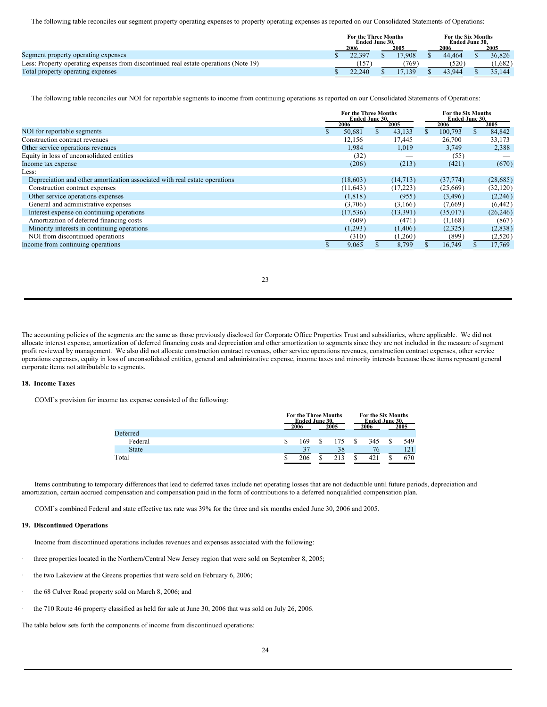The following table reconciles our segment property operating expenses to property operating expenses as reported on our Consolidated Statements of Operations:

|                                                                                      | <b>For the Three Months</b><br>Ended June 30. |        |  |        |  | <b>For the Six Months</b><br>Ended June 30. |  |                 |
|--------------------------------------------------------------------------------------|-----------------------------------------------|--------|--|--------|--|---------------------------------------------|--|-----------------|
|                                                                                      |                                               | 2006   |  | 2005   |  | 2006                                        |  | 2005            |
| Segment property operating expenses                                                  |                                               | 22.397 |  | 17.908 |  | 44.464                                      |  | 36,826          |
| Less: Property operating expenses from discontinued real estate operations (Note 19) |                                               | (157)  |  | ، 769  |  | 1520                                        |  | $1.682^{\circ}$ |
| Total property operating expenses                                                    |                                               | 22,240 |  | 1.139  |  | 43.944                                      |  | 35,144          |

The following table reconciles our NOI for reportable segments to income from continuing operations as reported on our Consolidated Statements of Operations:

|                                                                            | <b>For the Three Months</b><br>Ended June 30, |           |               |           |   | For the Six Months<br><b>Ended June 30.</b> |           |
|----------------------------------------------------------------------------|-----------------------------------------------|-----------|---------------|-----------|---|---------------------------------------------|-----------|
|                                                                            |                                               | 2006      |               | 2005      |   | 2006                                        | 2005      |
| NOI for reportable segments                                                | Ъ.                                            | 50.681    | <sup>\$</sup> | 43,133    | S | 100.793                                     | 84,842    |
| Construction contract revenues                                             |                                               | 12,156    |               | 17,445    |   | 26,700                                      | 33,173    |
| Other service operations revenues                                          |                                               | 1,984     |               | 1,019     |   | 3,749                                       | 2,388     |
| Equity in loss of unconsolidated entities                                  |                                               | (32)      |               |           |   | (55)                                        |           |
| Income tax expense                                                         |                                               | (206)     |               | (213)     |   | (421)                                       | (670)     |
| Less:                                                                      |                                               |           |               |           |   |                                             |           |
| Depreciation and other amortization associated with real estate operations |                                               | (18,603)  |               | (14, 713) |   | (37,774)                                    | (28,685)  |
| Construction contract expenses                                             |                                               | (11, 643) |               | (17,223)  |   | (25,669)                                    | (32, 120) |
| Other service operations expenses                                          |                                               | (1,818)   |               | (955)     |   | (3, 496)                                    | (2,246)   |
| General and administrative expenses                                        |                                               | (3,706)   |               | (3,166)   |   | (7,669)                                     | (6, 442)  |
| Interest expense on continuing operations                                  |                                               | (17, 536) |               | (13, 391) |   | (35,017)                                    | (26, 246) |
| Amortization of deferred financing costs                                   |                                               | (609)     |               | (471)     |   | (1, 168)                                    | (867)     |
| Minority interests in continuing operations                                |                                               | (1,293)   |               | (1,406)   |   | (2,325)                                     | (2,838)   |
| NOI from discontinued operations                                           |                                               | (310)     |               | (1,260)   |   | (899)                                       | (2,520)   |
| Income from continuing operations                                          |                                               | 9,065     |               | 8,799     |   | 16,749                                      | 17,769    |

23

The accounting policies of the segments are the same as those previously disclosed for Corporate Office Properties Trust and subsidiaries, where applicable. We did not allocate interest expense, amortization of deferred financing costs and depreciation and other amortization to segments since they are not included in the measure of segment profit reviewed by management. We also did not allocate construction contract revenues, other service operations revenues, construction contract expenses, other service operations expenses, equity in loss of unconsolidated entities, general and administrative expense, income taxes and minority interests because these items represent general corporate items not attributable to segments.

#### **18. Income Taxes**

COMI's provision for income tax expense consisted of the following:

|              | <b>For the Three Months</b><br><b>Ended June 30.</b> |  |     | For the Six Months<br><b>Ended June 30.</b> |                 |      |     |  |  |
|--------------|------------------------------------------------------|--|-----|---------------------------------------------|-----------------|------|-----|--|--|
|              | 2005<br>2006                                         |  |     |                                             |                 | 2005 |     |  |  |
| Deferred     |                                                      |  |     |                                             |                 |      |     |  |  |
| Federal      | 169                                                  |  |     |                                             | 345             |      | 549 |  |  |
| <b>State</b> |                                                      |  | 38  |                                             | 76              |      |     |  |  |
| Total        | 206                                                  |  | 213 |                                             | 42 <sub>1</sub> |      | 670 |  |  |

Items contributing to temporary differences that lead to deferred taxes include net operating losses that are not deductible until future periods, depreciation and amortization, certain accrued compensation and compensation paid in the form of contributions to a deferred nonqualified compensation plan.

COMI's combined Federal and state effective tax rate was 39% for the three and six months ended June 30, 2006 and 2005.

## **19. Discontinued Operations**

Income from discontinued operations includes revenues and expenses associated with the following:

- three properties located in the Northern/Central New Jersey region that were sold on September 8, 2005;
- the two Lakeview at the Greens properties that were sold on February 6, 2006;
- the 68 Culver Road property sold on March 8, 2006; and
- the 710 Route 46 property classified as held for sale at June 30, 2006 that was sold on July 26, 2006.

The table below sets forth the components of income from discontinued operations: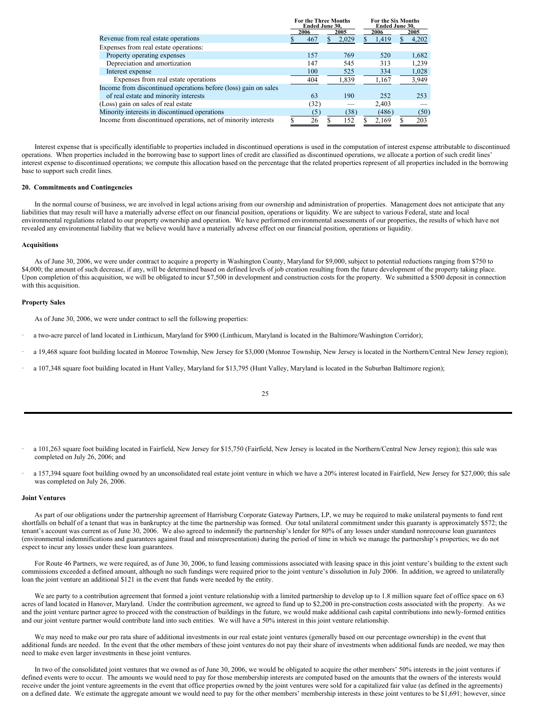|                                                                 | <b>For the Three Months</b><br>Ended June 30. |      |  |       | <b>For the Six Months</b><br><b>Ended June 30.</b> |       |  |
|-----------------------------------------------------------------|-----------------------------------------------|------|--|-------|----------------------------------------------------|-------|--|
|                                                                 |                                               | 2006 |  | 2005  | 2006                                               | 2005  |  |
| Revenue from real estate operations                             |                                               | 467  |  | 2,029 | 1,419                                              | 4,202 |  |
| Expenses from real estate operations:                           |                                               |      |  |       |                                                    |       |  |
| Property operating expenses                                     |                                               | 157  |  | 769   | 520                                                | 1,682 |  |
| Depreciation and amortization                                   |                                               | 147  |  | 545   | 313                                                | 1,239 |  |
| Interest expense                                                |                                               | 100  |  | 525   | 334                                                | 1,028 |  |
| Expenses from real estate operations                            |                                               | 404  |  | 1,839 | 1,167                                              | 3,949 |  |
| Income from discontinued operations before (loss) gain on sales |                                               |      |  |       |                                                    |       |  |
| of real estate and minority interests                           |                                               | 63   |  | 190   | 252                                                | 253   |  |
| (Loss) gain on sales of real estate                             |                                               | (32) |  |       | 2,403                                              |       |  |
| Minority interests in discontinued operations                   |                                               | (5)  |  | (38)  | (486)                                              | (50)  |  |
| Income from discontinued operations, net of minority interests  |                                               | 26   |  | 152   | 2,169                                              | 203   |  |

Interest expense that is specifically identifiable to properties included in discontinued operations is used in the computation of interest expense attributable to discontinued operations. When properties included in the borrowing base to support lines of credit are classified as discontinued operations, we allocate a portion of such credit lines' interest expense to discontinued operations; we compute this allocation based on the percentage that the related properties represent of all properties included in the borrowing base to support such credit lines.

#### **20. Commitments and Contingencies**

In the normal course of business, we are involved in legal actions arising from our ownership and administration of properties. Management does not anticipate that any liabilities that may result will have a materially adverse effect on our financial position, operations or liquidity. We are subject to various Federal, state and local environmental regulations related to our property ownership and operation. We have performed environmental assessments of our properties, the results of which have not revealed any environmental liability that we believe would have a materially adverse effect on our financial position, operations or liquidity.

## **Acquisitions**

As of June 30, 2006, we were under contract to acquire a property in Washington County, Maryland for \$9,000, subject to potential reductions ranging from \$750 to \$4,000; the amount of such decrease, if any, will be determined based on defined levels of job creation resulting from the future development of the property taking place. Upon completion of this acquisition, we will be obligated to incur \$7,500 in development and construction costs for the property. We submitted a \$500 deposit in connection with this acquisition.

#### **Property Sales**

As of June 30, 2006, we were under contract to sell the following properties:

- a two-acre parcel of land located in Linthicum, Maryland for \$900 (Linthicum, Maryland is located in the Baltimore/Washington Corridor);
- a 19,468 square foot building located in Monroe Township, New Jersey for \$3,000 (Monroe Township, New Jersey is located in the Northern/Central New Jersey region);
- · a 107,348 square foot building located in Hunt Valley, Maryland for \$13,795 (Hunt Valley, Maryland is located in the Suburban Baltimore region);

- a 101,263 square foot building located in Fairfield, New Jersey for \$15,750 (Fairfield, New Jersey is located in the Northern/Central New Jersey region); this sale was completed on July 26, 2006; and
- a 157,394 square foot building owned by an unconsolidated real estate joint venture in which we have a 20% interest located in Fairfield, New Jersey for \$27,000; this sale was completed on July 26, 2006.

#### **Joint Ventures**

As part of our obligations under the partnership agreement of Harrisburg Corporate Gateway Partners, LP, we may be required to make unilateral payments to fund rent shortfalls on behalf of a tenant that was in bankruptcy at the time the partnership was formed. Our total unilateral commitment under this guaranty is approximately \$572; the tenant's account was current as of June 30, 2006. We also agreed to indemnify the partnership's lender for 80% of any losses under standard nonrecourse loan guarantees (environmental indemnifications and guarantees against fraud and misrepresentation) during the period of time in which we manage the partnership's properties; we do not expect to incur any losses under these loan guarantees.

For Route 46 Partners, we were required, as of June 30, 2006, to fund leasing commissions associated with leasing space in this joint venture's building to the extent such commissions exceeded a defined amount, although no such fundings were required prior to the joint venture's dissolution in July 2006. In addition, we agreed to unilaterally loan the joint venture an additional \$121 in the event that funds were needed by the entity.

We are party to a contribution agreement that formed a joint venture relationship with a limited partnership to develop up to 1.8 million square feet of office space on 63 acres of land located in Hanover, Maryland. Under the contribution agreement, we agreed to fund up to \$2,200 in pre-construction costs associated with the property. As we and the joint venture partner agree to proceed with the construction of buildings in the future, we would make additional cash capital contributions into newly-formed entities and our joint venture partner would contribute land into such entities. We will have a 50% interest in this joint venture relationship.

We may need to make our pro rata share of additional investments in our real estate joint ventures (generally based on our percentage ownership) in the event that additional funds are needed. In the event that the other members of these joint ventures do not pay their share of investments when additional funds are needed, we may then need to make even larger investments in these joint ventures.

In two of the consolidated joint ventures that we owned as of June 30, 2006, we would be obligated to acquire the other members' 50% interests in the joint ventures if defined events were to occur. The amounts we would need to pay for those membership interests are computed based on the amounts that the owners of the interests would receive under the joint venture agreements in the event that office properties owned by the joint ventures were sold for a capitalized fair value (as defined in the agreements) on a defined date. We estimate the aggregate amount we would need to pay for the other members' membership interests in these joint ventures to be \$1,691; however, since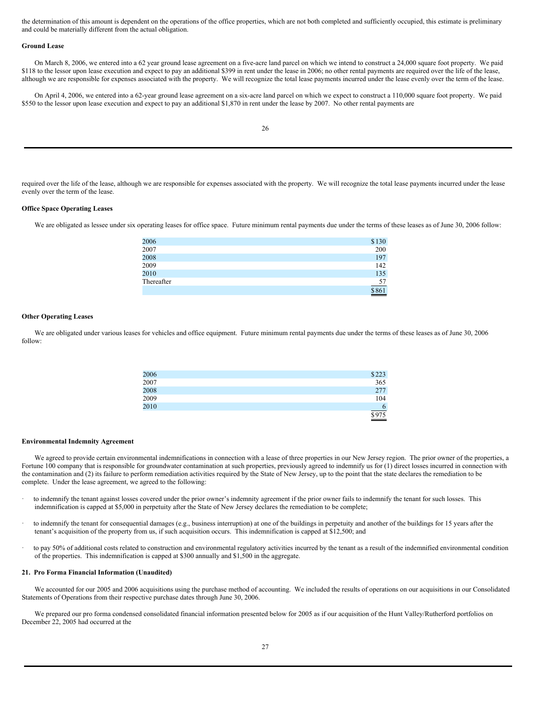the determination of this amount is dependent on the operations of the office properties, which are not both completed and sufficiently occupied, this estimate is preliminary and could be materially different from the actual obligation.

#### **Ground Lease**

On March 8, 2006, we entered into a 62 year ground lease agreement on a five-acre land parcel on which we intend to construct a 24,000 square foot property. We paid \$118 to the lessor upon lease execution and expect to pay an additional \$399 in rent under the lease in 2006; no other rental payments are required over the life of the lease, although we are responsible for expenses associated with the property. We will recognize the total lease payments incurred under the lease evenly over the term of the lease.

On April 4, 2006, we entered into a 62-year ground lease agreement on a six-acre land parcel on which we expect to construct a 110,000 square foot property. We paid \$550 to the lessor upon lease execution and expect to pay an additional \$1,870 in rent under the lease by 2007. No other rental payments are

required over the life of the lease, although we are responsible for expenses associated with the property. We will recognize the total lease payments incurred under the lease evenly over the term of the lease.

#### **Office Space Operating Leases**

We are obligated as lessee under six operating leases for office space. Future minimum rental payments due under the terms of these leases as of June 30, 2006 follow:

| 2006       | \$130            |
|------------|------------------|
| 2007       | 200              |
| 2008       | 197              |
| 2009       | 142              |
| 2010       | 135              |
| Thereafter |                  |
|            | $rac{57}{\$861}$ |

#### **Other Operating Leases**

We are obligated under various leases for vehicles and office equipment. Future minimum rental payments due under the terms of these leases as of June 30, 2006 follow:

| 2006 | \$223       |
|------|-------------|
| 2007 | 365         |
| 2008 | 277         |
| 2009 | 104         |
| 2010 | 6           |
|      | $rac{8}{1}$ |

#### **Environmental Indemnity Agreement**

We agreed to provide certain environmental indemnifications in connection with a lease of three properties in our New Jersey region. The prior owner of the properties, a Fortune 100 company that is responsible for groundwater contamination at such properties, previously agreed to indemnify us for (1) direct losses incurred in connection with the contamination and (2) its failure to perform remediation activities required by the State of New Jersey, up to the point that the state declares the remediation to be complete. Under the lease agreement, we agreed to the following:

- to indemnify the tenant against losses covered under the prior owner's indemnity agreement if the prior owner fails to indemnify the tenant for such losses. This indemnification is capped at \$5,000 in perpetuity after the State of New Jersey declares the remediation to be complete;
- · to indemnify the tenant for consequential damages (e.g., business interruption) at one of the buildings in perpetuity and another of the buildings for 15 years after the tenant's acquisition of the property from us, if such acquisition occurs. This indemnification is capped at \$12,500; and
- to pay 50% of additional costs related to construction and environmental regulatory activities incurred by the tenant as a result of the indemnified environmental condition of the properties. This indemnification is capped at \$300 annually and \$1,500 in the aggregate.

## **21. Pro Forma Financial Information (Unaudited)**

We accounted for our 2005 and 2006 acquisitions using the purchase method of accounting. We included the results of operations on our acquisitions in our Consolidated Statements of Operations from their respective purchase dates through June 30, 2006.

We prepared our pro forma condensed consolidated financial information presented below for 2005 as if our acquisition of the Hunt Valley/Rutherford portfolios on December 22, 2005 had occurred at the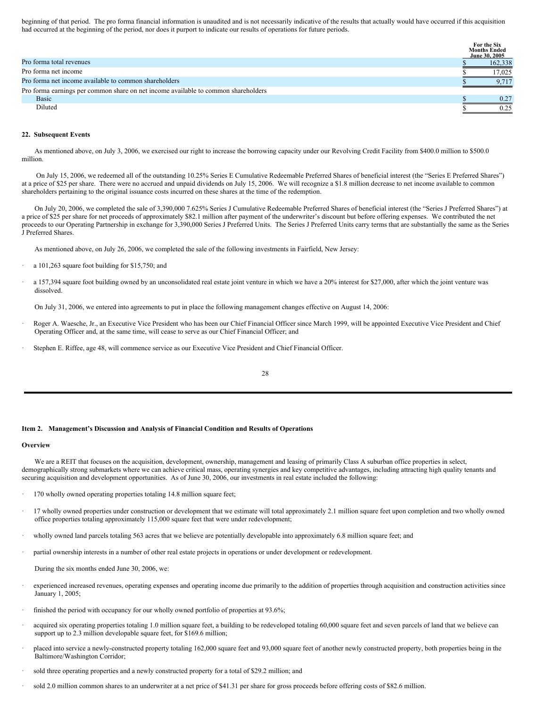beginning of that period. The pro forma financial information is unaudited and is not necessarily indicative of the results that actually would have occurred if this acquisition had occurred at the beginning of the period, nor does it purport to indicate our results of operations for future periods.

|                                                                                    | For the Six<br><b>Months Ended</b><br>June 30, 2005 |
|------------------------------------------------------------------------------------|-----------------------------------------------------|
| Pro forma total revenues                                                           | 162,338                                             |
| Pro forma net income                                                               | 17.025                                              |
| Pro forma net income available to common shareholders                              | 9.717                                               |
| Pro forma earnings per common share on net income available to common shareholders |                                                     |
| Basic                                                                              | 0.27                                                |
| Diluted                                                                            | 0.25                                                |

#### **22. Subsequent Events**

As mentioned above, on July 3, 2006, we exercised our right to increase the borrowing capacity under our Revolving Credit Facility from \$400.0 million to \$500.0 million.

On July 15, 2006, we redeemed all of the outstanding 10.25% Series E Cumulative Redeemable Preferred Shares of beneficial interest (the "Series E Preferred Shares") at a price of \$25 per share. There were no accrued and unpaid dividends on July 15, 2006. We will recognize a \$1.8 million decrease to net income available to common shareholders pertaining to the original issuance costs incurred on these shares at the time of the redemption.

On July 20, 2006, we completed the sale of 3,390,000 7.625% Series J Cumulative Redeemable Preferred Shares of beneficial interest (the "Series J Preferred Shares") at a price of \$25 per share for net proceeds of approximately \$82.1 million after payment of the underwriter's discount but before offering expenses. We contributed the net proceeds to our Operating Partnership in exchange for 3,390,000 Series J Preferred Units. The Series J Preferred Units carry terms that are substantially the same as the Series J Preferred Shares.

As mentioned above, on July 26, 2006, we completed the sale of the following investments in Fairfield, New Jersey:

- a 101,263 square foot building for \$15,750; and
- a 157,394 square foot building owned by an unconsolidated real estate joint venture in which we have a 20% interest for \$27,000, after which the joint venture was dissolved.

On July 31, 2006, we entered into agreements to put in place the following management changes effective on August 14, 2006:

- · Roger A. Waesche, Jr., an Executive Vice President who has been our Chief Financial Officer since March 1999, will be appointed Executive Vice President and Chief Operating Officer and, at the same time, will cease to serve as our Chief Financial Officer; and
- Stephen E. Riffee, age 48, will commence service as our Executive Vice President and Chief Financial Officer.

<span id="page-18-0"></span>28

## **Item 2. Management's Discussion and Analysis of Financial Condition and Results of Operations**

#### **Overview**

We are a REIT that focuses on the acquisition, development, ownership, management and leasing of primarily Class A suburban office properties in select, demographically strong submarkets where we can achieve critical mass, operating synergies and key competitive advantages, including attracting high quality tenants and securing acquisition and development opportunities. As of June 30, 2006, our investments in real estate included the following:

- 170 wholly owned operating properties totaling 14.8 million square feet;
- · 17 wholly owned properties under construction or development that we estimate will total approximately 2.1 million square feet upon completion and two wholly owned office properties totaling approximately 115,000 square feet that were under redevelopment;
- wholly owned land parcels totaling 563 acres that we believe are potentially developable into approximately 6.8 million square feet; and
- partial ownership interests in a number of other real estate projects in operations or under development or redevelopment.

During the six months ended June 30, 2006, we:

- · experienced increased revenues, operating expenses and operating income due primarily to the addition of properties through acquisition and construction activities since January 1, 2005;
- finished the period with occupancy for our wholly owned portfolio of properties at 93.6%;
- acquired six operating properties totaling 1.0 million square feet, a building to be redeveloped totaling 60,000 square feet and seven parcels of land that we believe can support up to 2.3 million developable square feet, for \$169.6 million;
- placed into service a newly-constructed property totaling 162,000 square feet and 93,000 square feet of another newly constructed property, both properties being in the Baltimore/Washington Corridor;
- sold three operating properties and a newly constructed property for a total of \$29.2 million; and
- sold 2.0 million common shares to an underwriter at a net price of \$41.31 per share for gross proceeds before offering costs of \$82.6 million.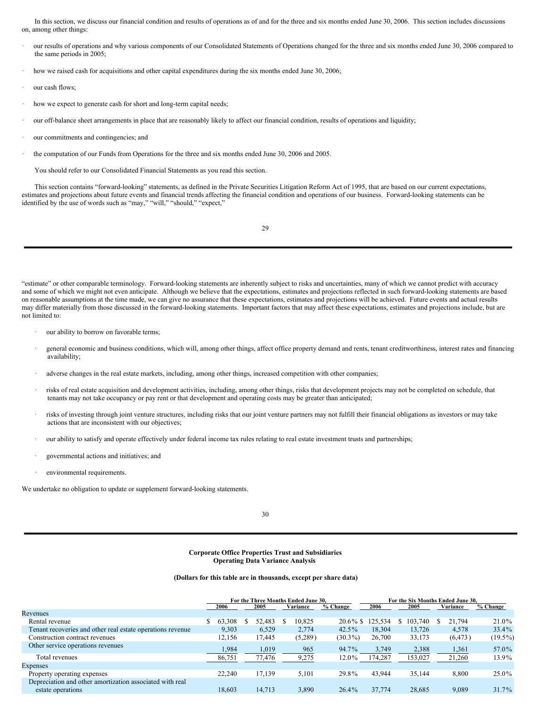In this section, we discuss our financial condition and results of operations as of and for the three and six months ended June 30, 2006. This section includes discussions on, among other things:

- our results of operations and why various components of our Consolidated Statements of Operations changed for the three and six months ended June 30, 2006 compared to the same periods in 2005;
- how we raised cash for acquisitions and other capital expenditures during the six months ended June 30, 2006;
- our cash flows:
- how we expect to generate cash for short and long-term capital needs;
- · our off-balance sheet arrangements in place that are reasonably likely to affect our financial condition, results of operations and liquidity;
- our commitments and contingencies; and
- the computation of our Funds from Operations for the three and six months ended June 30, 2006 and 2005.

You should refer to our Consolidated Financial Statements as you read this section.

This section contains "forward-looking" statements, as defined in the Private Securities Litigation Reform Act of 1995, that are based on our current expectations, estimates and projections about future events and financial trends affecting the financial condition and operations of our business. Forward-looking statements can be identified by the use of words such as "may," "will," "should," "expect,"

29

"estimate" or other comparable terminology. Forward-looking statements are inherently subject to risks and uncertainties, many of which we cannot predict with accuracy and some of which we might not even anticipate. Although we believe that the expectations, estimates and projections reflected in such forward-looking statements are based on reasonable assumptions at the time made, we can give no assurance that these expectations, estimates and projections will be achieved. Future events and actual results may differ materially from those discussed in the forward-looking statements. Important factors that may affect these expectations, estimates and projections include, but are not limited to:

- our ability to borrow on favorable terms;
- · general economic and business conditions, which will, among other things, affect office property demand and rents, tenant creditworthiness, interest rates and financing availability;
- adverse changes in the real estate markets, including, among other things, increased competition with other companies;
- · risks of real estate acquisition and development activities, including, among other things, risks that development projects may not be completed on schedule, that tenants may not take occupancy or pay rent or that development and operating costs may be greater than anticipated;
- · risks of investing through joint venture structures, including risks that our joint venture partners may not fulfill their financial obligations as investors or may take actions that are inconsistent with our objectives;
- our ability to satisfy and operate effectively under federal income tax rules relating to real estate investment trusts and partnerships;
- · governmental actions and initiatives; and
- environmental requirements.

We undertake no obligation to update or supplement forward-looking statements.

30

**Corporate Office Properties Trust and Subsidiaries Operating Data Variance Analysis**

#### **(Dollars for this table are in thousands, except per share data)**

|                                                            |  |        |      |        | For the Three Months Ended June 30. |         | For the Six Months Ended June 30. |         |  |         |  |          |            |
|------------------------------------------------------------|--|--------|------|--------|-------------------------------------|---------|-----------------------------------|---------|--|---------|--|----------|------------|
|                                                            |  | 2006   | 2005 |        | Variance                            |         | % Change                          | 2006    |  | 2005    |  | Variance | % Change   |
| Revenues                                                   |  |        |      |        |                                     |         |                                   |         |  |         |  |          |            |
| Rental revenue                                             |  | 63.308 |      | 52,483 |                                     | 10,825  | $20.6\%$ \$                       | 125.534 |  | 103,740 |  | 21,794   | 21.0%      |
| Tenant recoveries and other real estate operations revenue |  | 9,303  |      | 6,529  |                                     | 2.774   | 42.5%                             | 18.304  |  | 13,726  |  | 4,578    | 33.4%      |
| Construction contract revenues                             |  | 12,156 |      | 17,445 |                                     | (5,289) | $(30.3\%)$                        | 26,700  |  | 33,173  |  | (6, 473) | $(19.5\%)$ |
| Other service operations revenues                          |  | 1,984  |      | 1,019  |                                     | 965     | 94.7%                             | 3,749   |  | 2,388   |  | 1,361    | 57.0%      |
| Total revenues                                             |  | 86,751 |      | 77,476 |                                     | 9,275   | 12.0%                             | 174,287 |  | 153,027 |  | 21,260   | 13.9%      |
| <b>Expenses</b>                                            |  |        |      |        |                                     |         |                                   |         |  |         |  |          |            |
| Property operating expenses                                |  | 22.240 |      | 17,139 |                                     | 5,101   | 29.8%                             | 43.944  |  | 35,144  |  | 8,800    | 25.0%      |
| Depreciation and other amortization associated with real   |  |        |      |        |                                     |         |                                   |         |  |         |  |          |            |
| estate operations                                          |  | 18.603 |      | 14.713 |                                     | 3.890   | 26.4%                             | 37,774  |  | 28.685  |  | 9,089    | 31.7%      |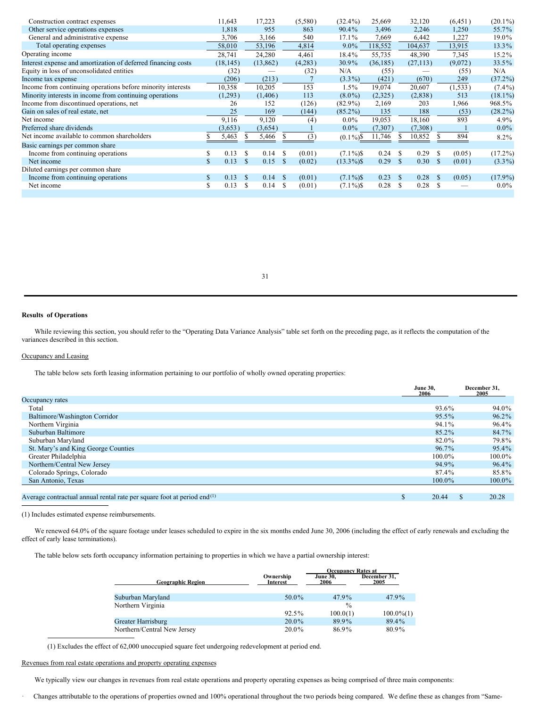| Construction contract expenses                                | 11,643     |               | 17,223   |      | (5,580) | $(32.4\%)$    | 25,669    |               | 32,120    |               | (6, 451) | $(20.1\%)$ |
|---------------------------------------------------------------|------------|---------------|----------|------|---------|---------------|-----------|---------------|-----------|---------------|----------|------------|
| Other service operations expenses                             | 1,818      |               | 955      |      | 863     | $90.4\%$      | 3,496     |               | 2,246     |               | 1,250    | 55.7%      |
| General and administrative expense                            | 3,706      |               | 3,166    |      | 540     | $17.1\%$      | 7,669     |               | 6,442     |               | 1,227    | 19.0%      |
| Total operating expenses                                      | 58,010     |               | 53,196   |      | 4,814   | $9.0\%$       | 118,552   |               | 104,637   |               | 13.915   | 13.3%      |
| Operating income                                              | 28,741     |               | 24,280   |      | 4,461   | 18.4%         | 55,735    |               | 48,390    |               | 7,345    | 15.2%      |
| Interest expense and amortization of deferred financing costs | (18, 145)  |               | (13,862) |      | (4,283) | 30.9%         | (36, 185) |               | (27, 113) |               | (9,072)  | 33.5%      |
| Equity in loss of unconsolidated entities                     | (32)       |               |          |      | (32)    | N/A           | (55)      |               |           |               | (55)     | N/A        |
| Income tax expense                                            | (206)      |               | (213)    |      |         | $(3.3\%)$     | (421)     |               | (670)     |               | 249      | $(37.2\%)$ |
| Income from continuing operations before minority interests   | 10,358     |               | 10,205   |      | 153     | $1.5\%$       | 19,074    |               | 20,607    |               | (1, 533) | $(7.4\%)$  |
| Minority interests in income from continuing operations       | (1,293)    |               | (1, 406) |      | 113     | $(8.0\%)$     | (2,325)   |               | (2,838)   |               | 513      | $(18.1\%)$ |
| Income from discontinued operations, net                      | 26         |               | 152      |      | (126)   | $(82.9\%)$    | 2,169     |               | 203       |               | 1,966    | 968.5%     |
| Gain on sales of real estate, net                             | 25         |               | 169      |      | (144)   | $(85.2\%)$    | 135       |               | 188       |               | (53)     | $(28.2\%)$ |
| Net income                                                    | 9,116      |               | 9,120    |      | (4)     | $0.0\%$       | 19,053    |               | 18,160    |               | 893      | 4.9%       |
| Preferred share dividends                                     | (3,653)    |               | (3,654)  |      |         | $0.0\%$       | (7, 307)  |               | (7,308)   |               |          | $0.0\%$    |
| Net income available to common shareholders                   | 5,463      |               | 5,466    |      | (3)     | $(0.1\%)\$    | 11,746    | ъ             | 10,852    |               | 894      | 8.2%       |
| Basic earnings per common share                               |            |               |          |      |         |               |           |               |           |               |          |            |
| Income from continuing operations                             | \$<br>0.13 | \$.           | 0.14     | -S   | (0.01)  | $(7.1\%)$ \$  | 0.24      | \$.           | 0.29      | \$.           | (0.05)   | $(17.2\%)$ |
| Net income                                                    | \$<br>0.13 | <sup>\$</sup> | 0.15     | -S   | (0.02)  | $(13.3\%)$ \$ | 0.29      | <sup>\$</sup> | 0.30      | <sup>\$</sup> | (0.01)   | $(3.3\%)$  |
| Diluted earnings per common share                             |            |               |          |      |         |               |           |               |           |               |          |            |
| Income from continuing operations                             | \$<br>0.13 | <sup>\$</sup> | 0.14     | - \$ | (0.01)  | $(7.1\%)$ \$  | 0.23      | <b>S</b>      | 0.28      | <sup>\$</sup> | (0.05)   | $(17.9\%)$ |
| Net income                                                    | \$<br>0.13 | \$            | 0.14     | -S   | (0.01)  | $(7.1\%)\$    | 0.28      | \$.           | 0.28      | \$.           |          | $0.0\%$    |
|                                                               |            |               |          |      |         |               |           |               |           |               |          |            |

## **Results of Operations**

While reviewing this section, you should refer to the "Operating Data Variance Analysis" table set forth on the preceding page, as it reflects the computation of the variances described in this section.

## Occupancy and Leasing

The table below sets forth leasing information pertaining to our portfolio of wholly owned operating properties:

|                                                                            | <b>June 30,</b><br>2006 | December 31.<br>2005 |
|----------------------------------------------------------------------------|-------------------------|----------------------|
| Occupancy rates                                                            |                         |                      |
| Total                                                                      | 93.6%                   | 94.0%                |
| Baltimore/Washington Corridor                                              | 95.5%                   | 96.2%                |
| Northern Virginia                                                          | 94.1%                   | 96.4%                |
| Suburban Baltimore                                                         | 85.2%                   | 84.7%                |
| Suburban Maryland                                                          | 82.0%                   | 79.8%                |
| St. Mary's and King George Counties                                        | 96.7%                   | 95.4%                |
| Greater Philadelphia                                                       | 100.0%                  | 100.0%               |
| Northern/Central New Jersey                                                | 94.9%                   | 96.4%                |
| Colorado Springs, Colorado                                                 | 87.4%                   | 85.8%                |
| San Antonio, Texas                                                         | 100.0%                  | 100.0%               |
|                                                                            |                         |                      |
| Average contractual annual rental rate per square foot at period end $(1)$ | 20.44                   | 20.28                |

(1) Includes estimated expense reimbursements.

We renewed 64.0% of the square footage under leases scheduled to expire in the six months ended June 30, 2006 (including the effect of early renewals and excluding the effect of early lease terminations).

The table below sets forth occupancy information pertaining to properties in which we have a partial ownership interest:

|                             |                       | <b>Occupancy Rates at</b> |                      |
|-----------------------------|-----------------------|---------------------------|----------------------|
| <b>Geographic Region</b>    | Ownership<br>Interest | <b>June 30,</b><br>2006   | December 31,<br>2005 |
| Suburban Maryland           | 50.0%                 | 47.9%                     | 47.9%                |
| Northern Virginia           |                       | $\frac{0}{0}$             |                      |
|                             | 92.5%                 | 100.0(1)                  | $100.0\%(1)$         |
| Greater Harrisburg          | $20.0\%$              | 89.9%                     | 89.4%                |
| Northern/Central New Jersey | 20.0%                 | 86.9%                     | 80.9%                |

(1) Excludes the effect of 62,000 unoccupied square feet undergoing redevelopment at period end.

## Revenues from real estate operations and property operating expenses

We typically view our changes in revenues from real estate operations and property operating expenses as being comprised of three main components:

· Changes attributable to the operations of properties owned and 100% operational throughout the two periods being compared. We define these as changes from "Same-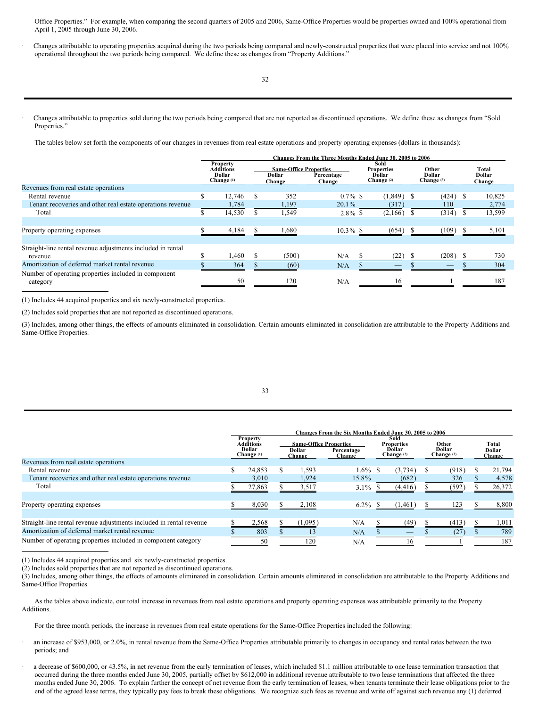Office Properties." For example, when comparing the second quarters of 2005 and 2006, Same-Office Properties would be properties owned and 100% operational from April 1, 2005 through June 30, 2006.

· Changes attributable to operating properties acquired during the two periods being compared and newly-constructed properties that were placed into service and not 100% operational throughout the two periods being compared. We define these as changes from "Property Additions."

· Changes attributable to properties sold during the two periods being compared that are not reported as discontinued operations. We define these as changes from "Sold Properties."

The tables below set forth the components of our changes in revenues from real estate operations and property operating expenses (dollars in thousands):

|                                                             | Changes From the Three Months Ended June 30, 2005 to 2006   |        |                                                   |       |                      |                                                   |              |  |                                 |  |                                  |
|-------------------------------------------------------------|-------------------------------------------------------------|--------|---------------------------------------------------|-------|----------------------|---------------------------------------------------|--------------|--|---------------------------------|--|----------------------------------|
|                                                             | Property<br><b>Additions</b><br><b>Dollar</b><br>Change (1) |        | <b>Same-Office Properties</b><br>Dollar<br>Change |       | Percentage<br>Change | Sold<br><b>Properties</b><br>Dollar<br>Change (2) |              |  | Other<br>Dollar<br>Change $(3)$ |  | Total<br><b>Dollar</b><br>Change |
| Revenues from real estate operations                        |                                                             |        |                                                   |       |                      |                                                   |              |  |                                 |  |                                  |
| Rental revenue                                              | э                                                           | 12,746 |                                                   | 352   | $0.7\%$ \$           |                                                   | $(1,849)$ \$ |  | $(424)$ \$                      |  | 10,825                           |
| Tenant recoveries and other real estate operations revenue  |                                                             | 1,784  |                                                   | 1,197 | $20.1\%$             |                                                   | (317)        |  | 110                             |  | 2,774                            |
| Total                                                       |                                                             | 14,530 |                                                   | 1,549 | $2.8\%$ \$           |                                                   | (2,166)      |  | (314)                           |  | 13,599                           |
|                                                             |                                                             |        |                                                   |       |                      |                                                   |              |  |                                 |  |                                  |
| Property operating expenses                                 |                                                             | 4,184  |                                                   | 1,680 | $10.3\%$ \$          |                                                   | (654)        |  | (109)                           |  | 5,101                            |
|                                                             |                                                             |        |                                                   |       |                      |                                                   |              |  |                                 |  |                                  |
| Straight-line rental revenue adjustments included in rental |                                                             |        |                                                   |       |                      |                                                   |              |  |                                 |  |                                  |
| revenue                                                     |                                                             | 1,460  |                                                   | (500) | N/A                  |                                                   | (22)         |  | (208)                           |  | 730                              |
| Amortization of deferred market rental revenue              |                                                             | 364    |                                                   | (60)  | N/A                  |                                                   |              |  |                                 |  | 304                              |
| Number of operating properties included in component        |                                                             |        |                                                   |       |                      |                                                   |              |  |                                 |  |                                  |
| category                                                    |                                                             | 50     |                                                   | 120   | N/A                  |                                                   | 16           |  |                                 |  | 187                              |

(1) Includes 44 acquired properties and six newly-constructed properties.

(2) Includes sold properties that are not reported as discontinued operations.

(3) Includes, among other things, the effects of amounts eliminated in consolidation. Certain amounts eliminated in consolidation are attributable to the Property Additions and Same-Office Properties.

| I<br>I<br>$\sim$ | I<br>ı<br>×<br>۰. |
|------------------|-------------------|

|                                                                     | Changes From the Six Months Ended June 30, 2005 to 2006     |        |                                                   |         |                      |  |                                                              |                               |       |  |                                  |
|---------------------------------------------------------------------|-------------------------------------------------------------|--------|---------------------------------------------------|---------|----------------------|--|--------------------------------------------------------------|-------------------------------|-------|--|----------------------------------|
|                                                                     | <b>Property</b><br>Additions<br><b>Dollar</b><br>Change (1) |        | <b>Same-Office Properties</b><br>Dollar<br>Change |         | Percentage<br>Change |  | Sold<br><b>Properties</b><br>Dollar<br>Change <sup>(2)</sup> | Other<br>Dollar<br>Change (3) |       |  | Total<br><b>Dollar</b><br>Change |
| Revenues from real estate operations                                |                                                             |        |                                                   |         |                      |  |                                                              |                               |       |  |                                  |
| Rental revenue                                                      |                                                             | 24.853 |                                                   | 1.593   | $1.6\%$              |  | (3,734)                                                      | -S                            | (918) |  | 21,794                           |
| Tenant recoveries and other real estate operations revenue          |                                                             | 3,010  |                                                   | 1,924   | 15.8%                |  | (682)                                                        |                               | 326   |  | 4,578                            |
| Total                                                               |                                                             | 27,863 |                                                   | 3,517   | $3.1\%$              |  | (4, 416)                                                     |                               | (592) |  | 26,372                           |
|                                                                     |                                                             |        |                                                   |         |                      |  |                                                              |                               |       |  |                                  |
| Property operating expenses                                         |                                                             | 8,030  |                                                   | 2,108   | $6.2\%$              |  | (1,461)                                                      |                               | 123   |  | 8,800                            |
|                                                                     |                                                             |        |                                                   |         |                      |  |                                                              |                               |       |  |                                  |
| Straight-line rental revenue adjustments included in rental revenue |                                                             | 2,568  |                                                   | (1,095) | N/A                  |  | (49)                                                         |                               | (413) |  | 1,011                            |
| Amortization of deferred market rental revenue                      |                                                             | 803    |                                                   | 13      | N/A                  |  |                                                              |                               | (27)  |  | 789                              |
| Number of operating properties included in component category       |                                                             | 50     |                                                   | 120     | N/A                  |  |                                                              |                               |       |  | 187                              |

(1) Includes 44 acquired properties and six newly-constructed properties.

(2) Includes sold properties that are not reported as discontinued operations.

(3) Includes, among other things, the effects of amounts eliminated in consolidation. Certain amounts eliminated in consolidation are attributable to the Property Additions and Same-Office Properties.

As the tables above indicate, our total increase in revenues from real estate operations and property operating expenses was attributable primarily to the Property Additions.

For the three month periods, the increase in revenues from real estate operations for the Same-Office Properties included the following:

- an increase of \$953,000, or 2.0%, in rental revenue from the Same-Office Properties attributable primarily to changes in occupancy and rental rates between the two periods; and
- a decrease of \$600,000, or 43.5%, in net revenue from the early termination of leases, which included \$1.1 million attributable to one lease termination transaction that occurred during the three months ended June 30, 2005, partially offset by \$612,000 in additional revenue attributable to two lease terminations that affected the three months ended June 30, 2006. To explain further the concept of net revenue from the early termination of leases, when tenants terminate their lease obligations prior to the end of the agreed lease terms, they typically pay fees to break these obligations. We recognize such fees as revenue and write off against such revenue any (1) deferred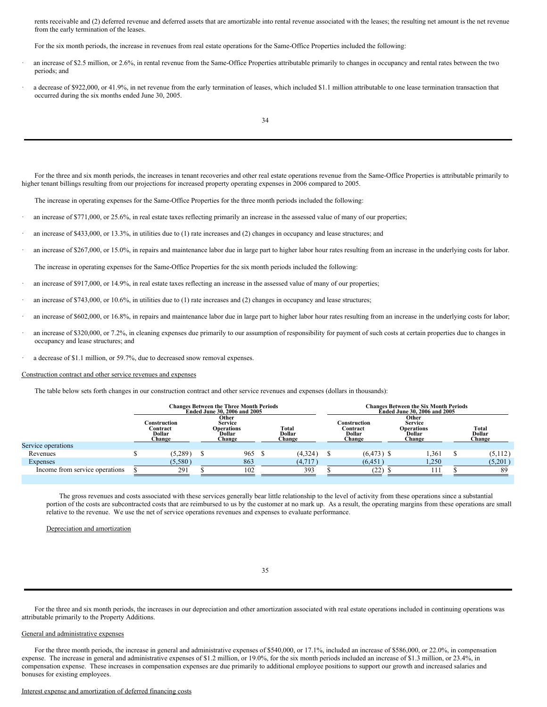rents receivable and (2) deferred revenue and deferred assets that are amortizable into rental revenue associated with the leases; the resulting net amount is the net revenue from the early termination of the leases.

For the six month periods, the increase in revenues from real estate operations for the Same-Office Properties included the following:

- an increase of \$2.5 million, or 2.6%, in rental revenue from the Same-Office Properties attributable primarily to changes in occupancy and rental rates between the two periods; and
- a decrease of \$922,000, or 41.9%, in net revenue from the early termination of leases, which included \$1.1 million attributable to one lease termination transaction that occurred during the six months ended June 30, 2005.

For the three and six month periods, the increases in tenant recoveries and other real estate operations revenue from the Same-Office Properties is attributable primarily to higher tenant billings resulting from our projections for increased property operating expenses in 2006 compared to 2005.

The increase in operating expenses for the Same-Office Properties for the three month periods included the following:

- an increase of \$771,000, or 25.6%, in real estate taxes reflecting primarily an increase in the assessed value of many of our properties;
- an increase of \$433,000, or 13.3%, in utilities due to (1) rate increases and (2) changes in occupancy and lease structures; and
- an increase of \$267,000, or 15.0%, in repairs and maintenance labor due in large part to higher labor hour rates resulting from an increase in the underlying costs for labor.

The increase in operating expenses for the Same-Office Properties for the six month periods included the following:

- an increase of \$917,000, or 14.9%, in real estate taxes reflecting an increase in the assessed value of many of our properties;
- an increase of \$743,000, or 10.6%, in utilities due to (1) rate increases and (2) changes in occupancy and lease structures;
- an increase of \$602,000, or 16.8%, in repairs and maintenance labor due in large part to higher labor hour rates resulting from an increase in the underlying costs for labor;
- an increase of \$320,000, or 7.2%, in cleaning expenses due primarily to our assumption of responsibility for payment of such costs at certain properties due to changes in occupancy and lease structures; and
- a decrease of \$1.1 million, or 59.7%, due to decreased snow removal expenses.

#### Construction contract and other service revenues and expenses

The table below sets forth changes in our construction contract and other service revenues and expenses (dollars in thousands):

|                                | <b>Changes Between the Three Month Periods</b><br><b>Ended June 30, 2006 and 2005</b> |  |                                                                  |  |                           |  |                                              | <b>Changes Between the Six Month Periods</b><br><b>Ended June 30. 2006 and 2005</b> |                           |
|--------------------------------|---------------------------------------------------------------------------------------|--|------------------------------------------------------------------|--|---------------------------|--|----------------------------------------------|-------------------------------------------------------------------------------------|---------------------------|
|                                | Construction<br>Contract<br><b>Dollar</b><br>Change                                   |  | Other<br><b>Service</b><br><b>Operations</b><br>Dollar<br>Change |  | Total<br>Dollar<br>Change |  | Construction<br>Contract<br>Dollar<br>Change | Other<br><b>Service</b><br>Operations<br><b>Dollar</b><br>Change                    | Total<br>Dollar<br>Change |
| Service operations             |                                                                                       |  |                                                                  |  |                           |  |                                              |                                                                                     |                           |
| Revenues                       | (5,289)                                                                               |  | 965 \$                                                           |  | (4,324)                   |  | $(6, 473)$ \$                                | 1,361                                                                               | (5,112)                   |
| Expenses                       | (5,580)                                                                               |  | 863                                                              |  | (4,717)                   |  | (6, 451)                                     | 1,250                                                                               | (5,201)                   |
| Income from service operations | 291                                                                                   |  | 102                                                              |  | 393                       |  | (22)                                         |                                                                                     | 89                        |

The gross revenues and costs associated with these services generally bear little relationship to the level of activity from these operations since a substantial portion of the costs are subcontracted costs that are reimbursed to us by the customer at no mark up. As a result, the operating margins from these operations are small relative to the revenue. We use the net of service operations revenues and expenses to evaluate performance.

Depreciation and amortization

For the three and six month periods, the increases in our depreciation and other amortization associated with real estate operations included in continuing operations was attributable primarily to the Property Additions.

## General and administrative expenses

For the three month periods, the increase in general and administrative expenses of \$540,000, or 17.1%, included an increase of \$586,000, or 22.0%, in compensation expense. The increase in general and administrative expenses of \$1.2 million, or 19.0%, for the six month periods included an increase of \$1.3 million, or 23.4%, in compensation expense. These increases in compensation expenses are due primarily to additional employee positions to support our growth and increased salaries and bonuses for existing employees.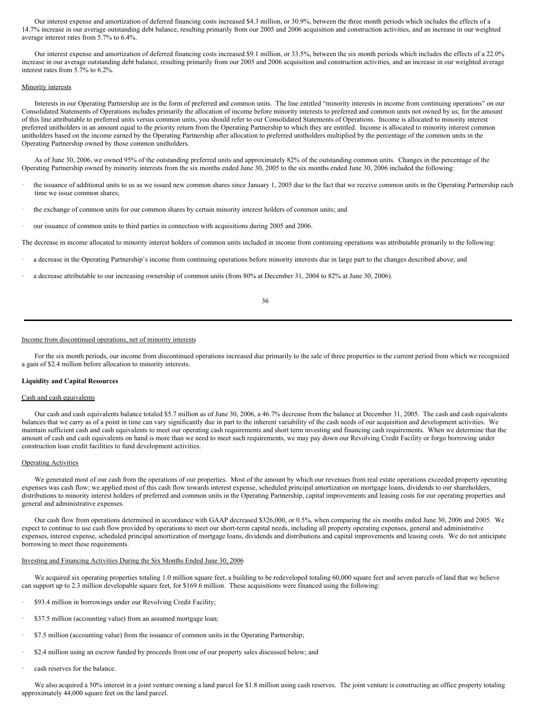Our interest expense and amortization of deferred financing costs increased \$4.3 million, or 30.9%, between the three month periods which includes the effects of a 14.7% increase in our average outstanding debt balance, resulting primarily from our 2005 and 2006 acquisition and construction activities, and an increase in our weighted average interest rates from 5.7% to 6.4%.

Our interest expense and amortization of deferred financing costs increased \$9.1 million, or 33.5%, between the six month periods which includes the effects of a 22.0% increase in our average outstanding debt balance, resulting primarily from our 2005 and 2006 acquisition and construction activities, and an increase in our weighted average interest rates from 5.7% to 6.2%.

#### **Minority** interests

Interests in our Operating Partnership are in the form of preferred and common units. The line entitled "minority interests in income from continuing operations" on our Consolidated Statements of Operations includes primarily the allocation of income before minority interests to preferred and common units not owned by us; for the amount of this line attributable to preferred units versus common units, you should refer to our Consolidated Statements of Operations. Income is allocated to minority interest preferred unitholders in an amount equal to the priority return from the Operating Partnership to which they are entitled. Income is allocated to minority interest common unitholders based on the income earned by the Operating Partnership after allocation to preferred unitholders multiplied by the percentage of the common units in the Operating Partnership owned by those common unitholders.

As of June 30, 2006, we owned 95% of the outstanding preferred units and approximately 82% of the outstanding common units. Changes in the percentage of the Operating Partnership owned by minority interests from the six months ended June 30, 2005 to the six months ended June 30, 2006 included the following:

- the issuance of additional units to us as we issued new common shares since January 1, 2005 due to the fact that we receive common units in the Operating Partnership each time we issue common shares;
- the exchange of common units for our common shares by certain minority interest holders of common units; and
- our issuance of common units to third parties in connection with acquisitions during 2005 and 2006.

The decrease in income allocated to minority interest holders of common units included in income from continuing operations was attributable primarily to the following:

- a decrease in the Operating Partnership's income from continuing operations before minority interests due in large part to the changes described above; and
- · a decrease attributable to our increasing ownership of common units (from 80% at December 31, 2004 to 82% at June 30, 2006).

36

#### Income from discontinued operations, net of minority interests

For the six month periods, our income from discontinued operations increased due primarily to the sale of three properties in the current period from which we recognized a gain of \$2.4 million before allocation to minority interests.

#### **Liquidity and Capital Resources**

#### Cash and cash equivalents

Our cash and cash equivalents balance totaled \$5.7 million as of June 30, 2006, a 46.7% decrease from the balance at December 31, 2005. The cash and cash equivalents balances that we carry as of a point in time can vary significantly due in part to the inherent variability of the cash needs of our acquisition and development activities. We maintain sufficient cash and cash equivalents to meet our operating cash requirements and short term investing and financing cash requirements. When we determine that the amount of cash and cash equivalents on hand is more than we need to meet such requirements, we may pay down our Revolving Credit Facility or forgo borrowing under construction loan credit facilities to fund development activities.

#### Operating Activities

We generated most of our cash from the operations of our properties. Most of the amount by which our revenues from real estate operations exceeded property operating expenses was cash flow; we applied most of this cash flow towards interest expense, scheduled principal amortization on mortgage loans, dividends to our shareholders, distributions to minority interest holders of preferred and common units in the Operating Partnership, capital improvements and leasing costs for our operating properties and general and administrative expenses.

Our cash flow from operations determined in accordance with GAAP decreased \$326,000, or 0.5%, when comparing the six months ended June 30, 2006 and 2005. We expect to continue to use cash flow provided by operations to meet our short-term capital needs, including all property operating expenses, general and administrative expenses, interest expense, scheduled principal amortization of mortgage loans, dividends and distributions and capital improvements and leasing costs. We do not anticipate borrowing to meet these requirements.

#### Investing and Financing Activities During the Six Months Ended June 30, 2006

We acquired six operating properties totaling 1.0 million square feet, a building to be redeveloped totaling 60,000 square feet and seven parcels of land that we believe can support up to 2.3 million developable square feet, for \$169.6 million. These acquisitions were financed using the following:

- · \$93.4 million in borrowings under our Revolving Credit Facility;
- · \$37.5 million (accounting value) from an assumed mortgage loan;
- · \$7.5 million (accounting value) from the issuance of common units in the Operating Partnership;
- · \$2.4 million using an escrow funded by proceeds from one of our property sales discussed below; and
- cash reserves for the balance.

We also acquired a 50% interest in a joint venture owning a land parcel for \$1.8 million using cash reserves. The joint venture is constructing an office property totaling approximately 44,000 square feet on the land parcel.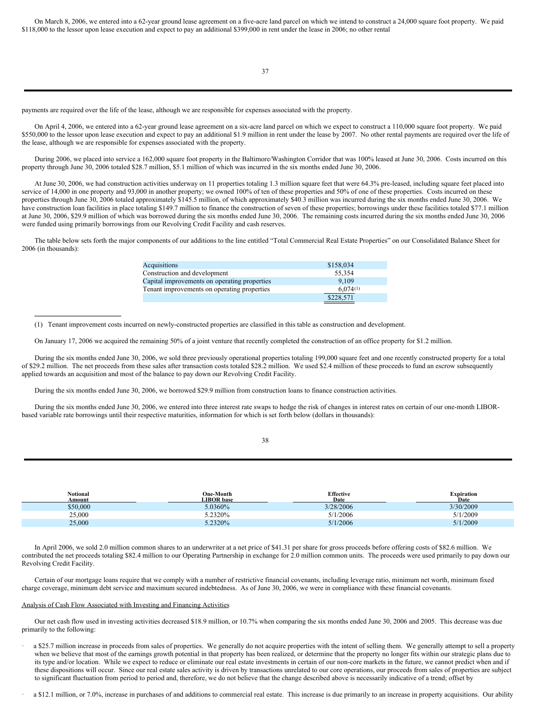On March 8, 2006, we entered into a 62-year ground lease agreement on a five-acre land parcel on which we intend to construct a 24,000 square foot property. We paid \$118,000 to the lessor upon lease execution and expect to pay an additional \$399,000 in rent under the lease in 2006; no other rental

payments are required over the life of the lease, although we are responsible for expenses associated with the property.

On April 4, 2006, we entered into a 62-year ground lease agreement on a six-acre land parcel on which we expect to construct a 110,000 square foot property. We paid \$550,000 to the lessor upon lease execution and expect to pay an additional \$1.9 million in rent under the lease by 2007. No other rental payments are required over the life of the lease, although we are responsible for expenses associated with the property.

During 2006, we placed into service a 162,000 square foot property in the Baltimore/Washington Corridor that was 100% leased at June 30, 2006. Costs incurred on this property through June 30, 2006 totaled \$28.7 million, \$5.1 million of which was incurred in the six months ended June 30, 2006.

At June 30, 2006, we had construction activities underway on 11 properties totaling 1.3 million square feet that were 64.3% pre-leased, including square feet placed into service of 14,000 in one property and 93,000 in another property; we owned 100% of ten of these properties and 50% of one of these properties. Costs incurred on these properties through June 30, 2006 totaled approximately \$145.5 million, of which approximately \$40.3 million was incurred during the six months ended June 30, 2006. We have construction loan facilities in place totaling \$149.7 million to finance the construction of seven of these properties; borrowings under these facilities totaled \$77.1 million at June 30, 2006, \$29.9 million of which was borrowed during the six months ended June 30, 2006. The remaining costs incurred during the six months ended June 30, 2006 were funded using primarily borrowings from our Revolving Credit Facility and cash reserves.

The table below sets forth the major components of our additions to the line entitled "Total Commercial Real Estate Properties" on our Consolidated Balance Sheet for 2006 (in thousands):

| Acquisitions                                 | \$158,034 |
|----------------------------------------------|-----------|
| Construction and development                 | 55.354    |
| Capital improvements on operating properties | 9.109     |
| Tenant improvements on operating properties  | 6.074(1)  |
|                                              | \$228,571 |

(1) Tenant improvement costs incurred on newly-constructed properties are classified in this table as construction and development.

On January 17, 2006 we acquired the remaining 50% of a joint venture that recently completed the construction of an office property for \$1.2 million.

During the six months ended June 30, 2006, we sold three previously operational properties totaling 199,000 square feet and one recently constructed property for a total of \$29.2 million. The net proceeds from these sales after transaction costs totaled \$28.2 million. We used \$2.4 million of these proceeds to fund an escrow subsequently applied towards an acquisition and most of the balance to pay down our Revolving Credit Facility.

During the six months ended June 30, 2006, we borrowed \$29.9 million from construction loans to finance construction activities.

During the six months ended June 30, 2006, we entered into three interest rate swaps to hedge the risk of changes in interest rates on certain of our one-month LIBORbased variable rate borrowings until their respective maturities, information for which is set forth below (dollars in thousands):

| v<br>۹<br>۰<br>$\sim$ | I<br>٠ |
|-----------------------|--------|

| Notional<br>Amount | One-Month<br><b>LIBOR</b> base | <b>Effective</b><br>Date | <b>Expiration</b><br>Date |
|--------------------|--------------------------------|--------------------------|---------------------------|
| \$50,000           | 5.0360%                        | 3/28/2006                | 3/30/2009                 |
| 25,000             | 5.2320%                        | 5/1/2006                 | 5/1/2009                  |
| 25,000             | 5.2320%                        | 5/1/2006                 | 5/1/2009                  |

In April 2006, we sold 2.0 million common shares to an underwriter at a net price of \$41.31 per share for gross proceeds before offering costs of \$82.6 million. We contributed the net proceeds totaling \$82.4 million to our Operating Partnership in exchange for 2.0 million common units. The proceeds were used primarily to pay down our Revolving Credit Facility.

Certain of our mortgage loans require that we comply with a number of restrictive financial covenants, including leverage ratio, minimum net worth, minimum fixed charge coverage, minimum debt service and maximum secured indebtedness. As of June 30, 2006, we were in compliance with these financial covenants.

## Analysis of Cash Flow Associated with Investing and Financing Activities

Our net cash flow used in investing activities decreased \$18.9 million, or 10.7% when comparing the six months ended June 30, 2006 and 2005. This decrease was due primarily to the following:

- a \$25.7 million increase in proceeds from sales of properties. We generally do not acquire properties with the intent of selling them. We generally attempt to sell a property when we believe that most of the earnings growth potential in that property has been realized, or determine that the property no longer fits within our strategic plans due to its type and/or location. While we expect to reduce or eliminate our real estate investments in certain of our non-core markets in the future, we cannot predict when and if these dispositions will occur. Since our real estate sales activity is driven by transactions unrelated to our core operations, our proceeds from sales of properties are subject to significant fluctuation from period to period and, therefore, we do not believe that the change described above is necessarily indicative of a trend; offset by
- a \$12.1 million, or 7.0%, increase in purchases of and additions to commercial real estate. This increase is due primarily to an increase in property acquisitions. Our ability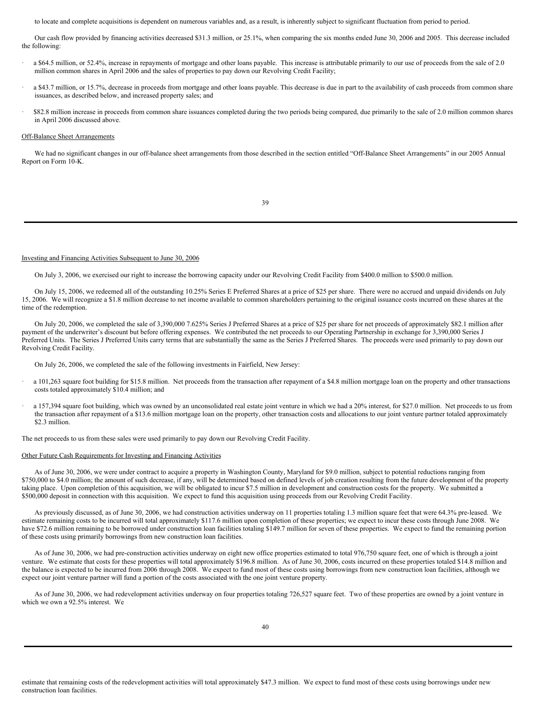to locate and complete acquisitions is dependent on numerous variables and, as a result, is inherently subject to significant fluctuation from period to period.

Our cash flow provided by financing activities decreased \$31.3 million, or 25.1%, when comparing the six months ended June 30, 2006 and 2005. This decrease included the following:

- · a \$64.5 million, or 52.4%, increase in repayments of mortgage and other loans payable. This increase is attributable primarily to our use of proceeds from the sale of 2.0 million common shares in April 2006 and the sales of properties to pay down our Revolving Credit Facility;
- a \$43.7 million, or 15.7%, decrease in proceeds from mortgage and other loans payable. This decrease is due in part to the availability of cash proceeds from common share issuances, as described below, and increased property sales; and
- · \$82.8 million increase in proceeds from common share issuances completed during the two periods being compared, due primarily to the sale of 2.0 million common shares in April 2006 discussed above.

## Off-Balance Sheet Arrangements

We had no significant changes in our off-balance sheet arrangements from those described in the section entitled "Off-Balance Sheet Arrangements" in our 2005 Annual Report on Form 10-K.

| I<br>I<br>- | ¢<br>۰.<br>۰.<br>۰,<br>٧ |
|-------------|--------------------------|

#### Investing and Financing Activities Subsequent to June 30, 2006

On July 3, 2006, we exercised our right to increase the borrowing capacity under our Revolving Credit Facility from \$400.0 million to \$500.0 million.

On July 15, 2006, we redeemed all of the outstanding 10.25% Series E Preferred Shares at a price of \$25 per share. There were no accrued and unpaid dividends on July 15, 2006. We will recognize a \$1.8 million decrease to net income available to common shareholders pertaining to the original issuance costs incurred on these shares at the time of the redemption.

On July 20, 2006, we completed the sale of 3,390,000 7.625% Series J Preferred Shares at a price of \$25 per share for net proceeds of approximately \$82.1 million after payment of the underwriter's discount but before offering expenses. We contributed the net proceeds to our Operating Partnership in exchange for 3,390,000 Series J Preferred Units. The Series J Preferred Units carry terms that are substantially the same as the Series J Preferred Shares. The proceeds were used primarily to pay down our Revolving Credit Facility.

On July 26, 2006, we completed the sale of the following investments in Fairfield, New Jersey:

- · a 101,263 square foot building for \$15.8 million. Net proceeds from the transaction after repayment of a \$4.8 million mortgage loan on the property and other transactions costs totaled approximately \$10.4 million; and
- a 157,394 square foot building, which was owned by an unconsolidated real estate joint venture in which we had a 20% interest, for \$27.0 million. Net proceeds to us from the transaction after repayment of a \$13.6 million mortgage loan on the property, other transaction costs and allocations to our joint venture partner totaled approximately \$2.3 million.

The net proceeds to us from these sales were used primarily to pay down our Revolving Credit Facility.

#### Other Future Cash Requirements for Investing and Financing Activities

As of June 30, 2006, we were under contract to acquire a property in Washington County, Maryland for \$9.0 million, subject to potential reductions ranging from \$750,000 to \$4.0 million; the amount of such decrease, if any, will be determined based on defined levels of job creation resulting from the future development of the property taking place. Upon completion of this acquisition, we will be obligated to incur \$7.5 million in development and construction costs for the property. We submitted a \$500,000 deposit in connection with this acquisition. We expect to fund this acquisition using proceeds from our Revolving Credit Facility.

As previously discussed, as of June 30, 2006, we had construction activities underway on 11 properties totaling 1.3 million square feet that were 64.3% pre-leased. We estimate remaining costs to be incurred will total approximately \$117.6 million upon completion of these properties; we expect to incur these costs through June 2008. We have \$72.6 million remaining to be borrowed under construction loan facilities totaling \$149.7 million for seven of these properties. We expect to fund the remaining portion of these costs using primarily borrowings from new construction loan facilities.

As of June 30, 2006, we had pre-construction activities underway on eight new office properties estimated to total 976,750 square feet, one of which is through a joint venture. We estimate that costs for these properties will total approximately \$196.8 million. As of June 30, 2006, costs incurred on these properties totaled \$14.8 million and the balance is expected to be incurred from 2006 through 2008. We expect to fund most of these costs using borrowings from new construction loan facilities, although we expect our joint venture partner will fund a portion of the costs associated with the one joint venture property.

As of June 30, 2006, we had redevelopment activities underway on four properties totaling 726,527 square feet. Two of these properties are owned by a joint venture in which we own a 92.5% interest. We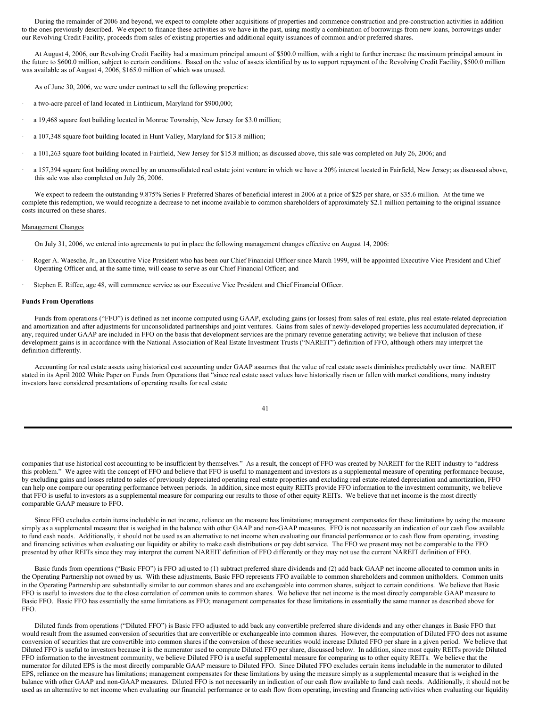During the remainder of 2006 and beyond, we expect to complete other acquisitions of properties and commence construction and pre-construction activities in addition to the ones previously described. We expect to finance these activities as we have in the past, using mostly a combination of borrowings from new loans, borrowings under our Revolving Credit Facility, proceeds from sales of existing properties and additional equity issuances of common and/or preferred shares.

At August 4, 2006, our Revolving Credit Facility had a maximum principal amount of \$500.0 million, with a right to further increase the maximum principal amount in the future to \$600.0 million, subject to certain conditions. Based on the value of assets identified by us to support repayment of the Revolving Credit Facility, \$500.0 million was available as of August 4, 2006, \$165.0 million of which was unused.

As of June 30, 2006, we were under contract to sell the following properties:

- a two-acre parcel of land located in Linthicum, Maryland for \$900,000;
- · a 19,468 square foot building located in Monroe Township, New Jersey for \$3.0 million;
- a 107,348 square foot building located in Hunt Valley, Maryland for \$13.8 million;
- · a 101,263 square foot building located in Fairfield, New Jersey for \$15.8 million; as discussed above, this sale was completed on July 26, 2006; and
- · a 157,394 square foot building owned by an unconsolidated real estate joint venture in which we have a 20% interest located in Fairfield, New Jersey; as discussed above, this sale was also completed on July 26, 2006.

We expect to redeem the outstanding 9.875% Series F Preferred Shares of beneficial interest in 2006 at a price of \$25 per share, or \$35.6 million. At the time we complete this redemption, we would recognize a decrease to net income available to common shareholders of approximately \$2.1 million pertaining to the original issuance costs incurred on these shares.

#### Management Changes

On July 31, 2006, we entered into agreements to put in place the following management changes effective on August 14, 2006:

- · Roger A. Waesche, Jr., an Executive Vice President who has been our Chief Financial Officer since March 1999, will be appointed Executive Vice President and Chief Operating Officer and, at the same time, will cease to serve as our Chief Financial Officer; and
- Stephen E. Riffee, age 48, will commence service as our Executive Vice President and Chief Financial Officer.

#### **Funds From Operations**

Funds from operations ("FFO") is defined as net income computed using GAAP, excluding gains (or losses) from sales of real estate, plus real estate-related depreciation and amortization and after adjustments for unconsolidated partnerships and joint ventures. Gains from sales of newly-developed properties less accumulated depreciation, if any, required under GAAP are included in FFO on the basis that development services are the primary revenue generating activity; we believe that inclusion of these development gains is in accordance with the National Association of Real Estate Investment Trusts ("NAREIT") definition of FFO, although others may interpret the definition differently.

Accounting for real estate assets using historical cost accounting under GAAP assumes that the value of real estate assets diminishes predictably over time. NAREIT stated in its April 2002 White Paper on Funds from Operations that "since real estate asset values have historically risen or fallen with market conditions, many industry investors have considered presentations of operating results for real estate

companies that use historical cost accounting to be insufficient by themselves." As a result, the concept of FFO was created by NAREIT for the REIT industry to "address this problem." We agree with the concept of FFO and believe that FFO is useful to management and investors as a supplemental measure of operating performance because, by excluding gains and losses related to sales of previously depreciated operating real estate properties and excluding real estate-related depreciation and amortization, FFO can help one compare our operating performance between periods. In addition, since most equity REITs provide FFO information to the investment community, we believe that FFO is useful to investors as a supplemental measure for comparing our results to those of other equity REITs. We believe that net income is the most directly comparable GAAP measure to FFO.

Since FFO excludes certain items includable in net income, reliance on the measure has limitations; management compensates for these limitations by using the measure simply as a supplemental measure that is weighed in the balance with other GAAP and non-GAAP measures. FFO is not necessarily an indication of our cash flow available to fund cash needs. Additionally, it should not be used as an alternative to net income when evaluating our financial performance or to cash flow from operating, investing and financing activities when evaluating our liquidity or ability to make cash distributions or pay debt service. The FFO we present may not be comparable to the FFO presented by other REITs since they may interpret the current NAREIT definition of FFO differently or they may not use the current NAREIT definition of FFO.

Basic funds from operations ("Basic FFO") is FFO adjusted to (1) subtract preferred share dividends and (2) add back GAAP net income allocated to common units in the Operating Partnership not owned by us. With these adjustments, Basic FFO represents FFO available to common shareholders and common unitholders. Common units in the Operating Partnership are substantially similar to our common shares and are exchangeable into common shares, subject to certain conditions. We believe that Basic FFO is useful to investors due to the close correlation of common units to common shares. We believe that net income is the most directly comparable GAAP measure to Basic FFO. Basic FFO has essentially the same limitations as FFO; management compensates for these limitations in essentially the same manner as described above for FFO.

Diluted funds from operations ("Diluted FFO") is Basic FFO adjusted to add back any convertible preferred share dividends and any other changes in Basic FFO that would result from the assumed conversion of securities that are convertible or exchangeable into common shares. However, the computation of Diluted FFO does not assume conversion of securities that are convertible into common shares if the conversion of those securities would increase Diluted FFO per share in a given period. We believe that Diluted FFO is useful to investors because it is the numerator used to compute Diluted FFO per share, discussed below. In addition, since most equity REITs provide Diluted FFO information to the investment community, we believe Diluted FFO is a useful supplemental measure for comparing us to other equity REITs. We believe that the numerator for diluted EPS is the most directly comparable GAAP measure to Diluted FFO. Since Diluted FFO excludes certain items includable in the numerator to diluted EPS, reliance on the measure has limitations; management compensates for these limitations by using the measure simply as a supplemental measure that is weighed in the balance with other GAAP and non-GAAP measures. Diluted FFO is not necessarily an indication of our cash flow available to fund cash needs. Additionally, it should not be used as an alternative to net income when evaluating our financial performance or to cash flow from operating, investing and financing activities when evaluating our liquidity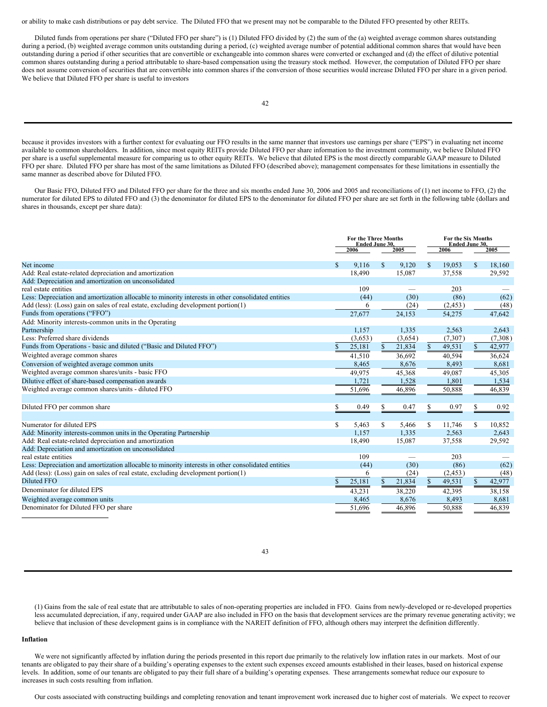or ability to make cash distributions or pay debt service. The Diluted FFO that we present may not be comparable to the Diluted FFO presented by other REITs.

Diluted funds from operations per share ("Diluted FFO per share") is (1) Diluted FFO divided by (2) the sum of the (a) weighted average common shares outstanding during a period, (b) weighted average common units outstanding during a period, (c) weighted average number of potential additional common shares that would have been outstanding during a period if other securities that are convertible or exchangeable into common shares were converted or exchanged and (d) the effect of dilutive potential common shares outstanding during a period attributable to share-based compensation using the treasury stock method. However, the computation of Diluted FFO per share does not assume conversion of securities that are convertible into common shares if the conversion of those securities would increase Diluted FFO per share in a given period. We believe that Diluted FFO per share is useful to investors

because it provides investors with a further context for evaluating our FFO results in the same manner that investors use earnings per share ("EPS") in evaluating net income available to common shareholders. In addition, since most equity REITs provide Diluted FFO per share information to the investment community, we believe Diluted FFO per share is a useful supplemental measure for comparing us to other equity REITs. We believe that diluted EPS is the most directly comparable GAAP measure to Diluted FFO per share. Diluted FFO per share has most of the same limitations as Diluted FFO (described above); management compensates for these limitations in essentially the same manner as described above for Diluted FFO.

Our Basic FFO, Diluted FFO and Diluted FFO per share for the three and six months ended June 30, 2006 and 2005 and reconciliations of (1) net income to FFO, (2) the numerator for diluted EPS to diluted FFO and (3) the denominator for diluted EPS to the denominator for diluted FFO per share are set forth in the following table (dollars and shares in thousands, except per share data):

|                                                                                                    |     | For the Three Months<br>Ended June 30.<br>2006 |              | 2005    |              | For the Six Months<br>Ended June 30,<br>2006 |              | 2005    |
|----------------------------------------------------------------------------------------------------|-----|------------------------------------------------|--------------|---------|--------------|----------------------------------------------|--------------|---------|
| Net income                                                                                         | \$. | 9,116                                          | \$           | 9,120   | S.           | 19,053                                       | $\mathbb{S}$ | 18,160  |
| Add: Real estate-related depreciation and amortization                                             |     | 18,490                                         |              | 15,087  |              | 37,558                                       |              | 29,592  |
| Add: Depreciation and amortization on unconsolidated                                               |     |                                                |              |         |              |                                              |              |         |
| real estate entities                                                                               |     | 109                                            |              |         |              | 203                                          |              |         |
| Less: Depreciation and amortization allocable to minority interests in other consolidated entities |     | (44)                                           |              | (30)    |              | (86)                                         |              | (62)    |
| Add (less): (Loss) gain on sales of real estate, excluding development portion(1)                  |     | 6                                              |              | (24)    |              | (2, 453)                                     |              | (48)    |
| Funds from operations ("FFO")                                                                      |     | 27,677                                         |              | 24,153  |              | 54,275                                       |              | 47,642  |
| Add: Minority interests-common units in the Operating                                              |     |                                                |              |         |              |                                              |              |         |
| Partnership                                                                                        |     | 1,157                                          |              | 1,335   |              | 2,563                                        |              | 2,643   |
| Less: Preferred share dividends                                                                    |     | (3,653)                                        |              | (3,654) |              | (7, 307)                                     |              | (7,308) |
| Funds from Operations - basic and diluted ("Basic and Diluted FFO")                                | \$  | 25,181                                         | $\mathbb{S}$ | 21,834  | \$           | 49,531                                       | $\mathbb{S}$ | 42,977  |
| Weighted average common shares                                                                     |     | 41,510                                         |              | 36,692  |              | 40,594                                       |              | 36,624  |
| Conversion of weighted average common units                                                        |     | 8,465                                          |              | 8,676   |              | 8,493                                        |              | 8,681   |
| Weighted average common shares/units - basic FFO                                                   |     | 49,975                                         |              | 45,368  |              | 49,087                                       |              | 45,305  |
| Dilutive effect of share-based compensation awards                                                 |     | 1,721                                          |              | 1,528   |              | 1,801                                        |              | 1,534   |
| Weighted average common shares/units - diluted FFO                                                 |     | 51,696                                         |              | 46,896  |              | 50,888                                       |              | 46,839  |
|                                                                                                    |     |                                                |              |         |              |                                              |              |         |
| Diluted FFO per common share                                                                       |     | 0.49                                           | S            | 0.47    |              | 0.97                                         |              | 0.92    |
|                                                                                                    |     |                                                |              |         |              |                                              |              |         |
| Numerator for diluted EPS                                                                          | S   | 5,463                                          | S.           | 5,466   | S            | 11,746                                       | S            | 10,852  |
| Add: Minority interests-common units in the Operating Partnership                                  |     | 1,157                                          |              | 1,335   |              | 2,563                                        |              | 2,643   |
| Add: Real estate-related depreciation and amortization                                             |     | 18,490                                         |              | 15,087  |              | 37,558                                       |              | 29,592  |
| Add: Depreciation and amortization on unconsolidated                                               |     |                                                |              |         |              |                                              |              |         |
| real estate entities                                                                               |     | 109                                            |              |         |              | 203                                          |              |         |
| Less: Depreciation and amortization allocable to minority interests in other consolidated entities |     | (44)                                           |              | (30)    |              | (86)                                         |              | (62)    |
| Add (less): (Loss) gain on sales of real estate, excluding development portion(1)                  |     | 6                                              |              | (24)    |              | (2, 453)                                     |              | (48)    |
| <b>Diluted FFO</b>                                                                                 |     | 25,181                                         | \$           | 21,834  | $\mathbb{S}$ | 49,531                                       | $\mathbb{S}$ | 42,977  |
| Denominator for diluted EPS                                                                        |     | 43,231                                         |              | 38,220  |              | 42,395                                       |              | 38,158  |
| Weighted average common units                                                                      |     | 8,465                                          |              | 8,676   |              | 8,493                                        |              | 8,681   |
| Denominator for Diluted FFO per share                                                              |     | 51,696                                         |              | 46,896  |              | 50,888                                       |              | 46,839  |

43

(1) Gains from the sale of real estate that are attributable to sales of non-operating properties are included in FFO. Gains from newly-developed or re-developed properties less accumulated depreciation, if any, required under GAAP are also included in FFO on the basis that development services are the primary revenue generating activity; we believe that inclusion of these development gains is in compliance with the NAREIT definition of FFO, although others may interpret the definition differently.

## **Inflation**

We were not significantly affected by inflation during the periods presented in this report due primarily to the relatively low inflation rates in our markets. Most of our tenants are obligated to pay their share of a building's operating expenses to the extent such expenses exceed amounts established in their leases, based on historical expense levels. In addition, some of our tenants are obligated to pay their full share of a building's operating expenses. These arrangements somewhat reduce our exposure to increases in such costs resulting from inflation.

Our costs associated with constructing buildings and completing renovation and tenant improvement work increased due to higher cost of materials. We expect to recover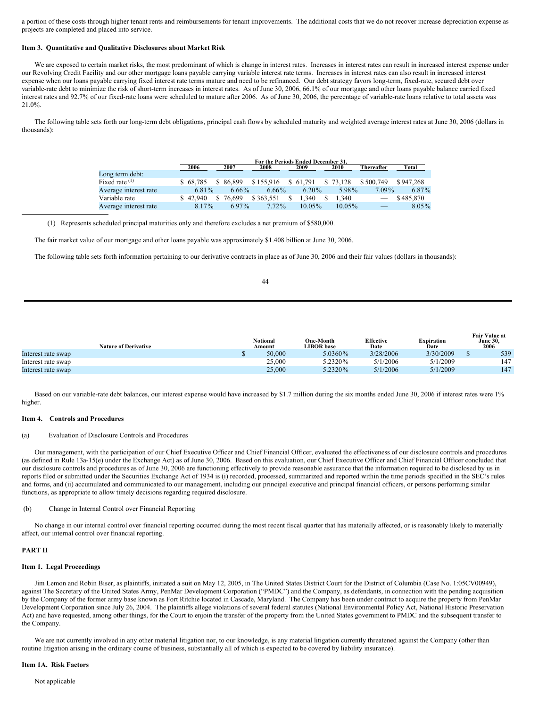a portion of these costs through higher tenant rents and reimbursements for tenant improvements. The additional costs that we do not recover increase depreciation expense as projects are completed and placed into service.

## **Item 3. Quantitative and Qualitative Disclosures about Market Risk**

We are exposed to certain market risks, the most predominant of which is change in interest rates. Increases in interest rates can result in increased interest expense under our Revolving Credit Facility and our other mortgage loans payable carrying variable interest rate terms. Increases in interest rates can also result in increased interest expense when our loans payable carrying fixed interest rate terms mature and need to be refinanced. Our debt strategy favors long-term, fixed-rate, secured debt over variable-rate debt to minimize the risk of short-term increases in interest rates. As of June 30, 2006, 66.1% of our mortgage and other loans payable balance carried fixed interest rates and 92.7% of our fixed-rate loans were scheduled to mature after 2006. As of June 30, 2006, the percentage of variable-rate loans relative to total assets was 21.0%.

The following table sets forth our long-term debt obligations, principal cash flows by scheduled maturity and weighted average interest rates at June 30, 2006 (dollars in thousands):

<span id="page-28-0"></span>

|                           |          |               |          | For the Periods Ended December 31.      |           |           |                   |           |
|---------------------------|----------|---------------|----------|-----------------------------------------|-----------|-----------|-------------------|-----------|
|                           | 2006     |               | 2007     | 2008                                    | 2009      | 2010      | <b>Thereafter</b> | Total     |
| Long term debt:           |          |               |          |                                         |           |           |                   |           |
| Fixed rate <sup>(1)</sup> | \$68.785 |               |          | \$ 86,899 \$155,916 \$ 61,791 \$ 73,128 |           |           | \$500,749         | \$947.268 |
| Average interest rate     | $6.81\%$ |               | $6.66\%$ | $6.66\%$                                | $6.20\%$  | 5.98%     | $7.09\%$          | 6.87%     |
| Variable rate             | \$42,940 | <sup>\$</sup> | 76.699   | \$363,551                               | 1.340     | 1.340     |                   | \$485,870 |
| Average interest rate     | $8.17\%$ |               | $6.97\%$ | $7.72\%$                                | $10.05\%$ | $10.05\%$ |                   | $8.05\%$  |

(1) Represents scheduled principal maturities only and therefore excludes a net premium of \$580,000.

The fair market value of our mortgage and other loans payable was approximately \$1.408 billion at June 30, 2006.

The following table sets forth information pertaining to our derivative contracts in place as of June 30, 2006 and their fair values (dollars in thousands):

44

| <b>Nature of Derivative</b> | Notional<br>Amount | One-Month<br><b>LIBOR base</b> | Effective<br>Date | Expiration<br>Date | <b>Fair Value at</b><br><b>June 30,</b><br>2006 |
|-----------------------------|--------------------|--------------------------------|-------------------|--------------------|-------------------------------------------------|
| Interest rate swap          | 50,000             | 5.0360%                        | 3/28/2006         | 3/30/2009          | 539                                             |
| Interest rate swap          | 25,000             | 5.2320%                        | 5/1/2006          | 5/1/2009           | 147                                             |
| Interest rate swap          | 25,000             | 5.2320%                        | 5/1/2006          | 5/1/2009           | 147                                             |

Based on our variable-rate debt balances, our interest expense would have increased by \$1.7 million during the six months ended June 30, 2006 if interest rates were 1% higher.

#### <span id="page-28-1"></span>**Item 4. Controls and Procedures**

#### (a) Evaluation of Disclosure Controls and Procedures

Our management, with the participation of our Chief Executive Officer and Chief Financial Officer, evaluated the effectiveness of our disclosure controls and procedures (as defined in Rule 13a-15(e) under the Exchange Act) as of June 30, 2006. Based on this evaluation, our Chief Executive Officer and Chief Financial Officer concluded that our disclosure controls and procedures as of June 30, 2006 are functioning effectively to provide reasonable assurance that the information required to be disclosed by us in reports filed or submitted under the Securities Exchange Act of 1934 is (i) recorded, processed, summarized and reported within the time periods specified in the SEC's rules and forms, and (ii) accumulated and communicated to our management, including our principal executive and principal financial officers, or persons performing similar functions, as appropriate to allow timely decisions regarding required disclosure.

#### (b) Change in Internal Control over Financial Reporting

No change in our internal control over financial reporting occurred during the most recent fiscal quarter that has materially affected, or is reasonably likely to materially affect, our internal control over financial reporting.

#### <span id="page-28-2"></span>**PART II**

#### <span id="page-28-3"></span>**Item 1. Legal Proceedings**

Jim Lemon and Robin Biser, as plaintiffs, initiated a suit on May 12, 2005, in The United States District Court for the District of Columbia (Case No. 1:05CV00949), against The Secretary of the United States Army, PenMar Development Corporation ("PMDC") and the Company, as defendants, in connection with the pending acquisition by the Company of the former army base known as Fort Ritchie located in Cascade, Maryland. The Company has been under contract to acquire the property from PenMar Development Corporation since July 26, 2004. The plaintiffs allege violations of several federal statutes (National Environmental Policy Act, National Historic Preservation Act) and have requested, among other things, for the Court to enjoin the transfer of the property from the United States government to PMDC and the subsequent transfer to the Company.

We are not currently involved in any other material litigation nor, to our knowledge, is any material litigation currently threatened against the Company (other than routine litigation arising in the ordinary course of business, substantially all of which is expected to be covered by liability insurance).

#### <span id="page-28-4"></span>**Item 1A. Risk Factors**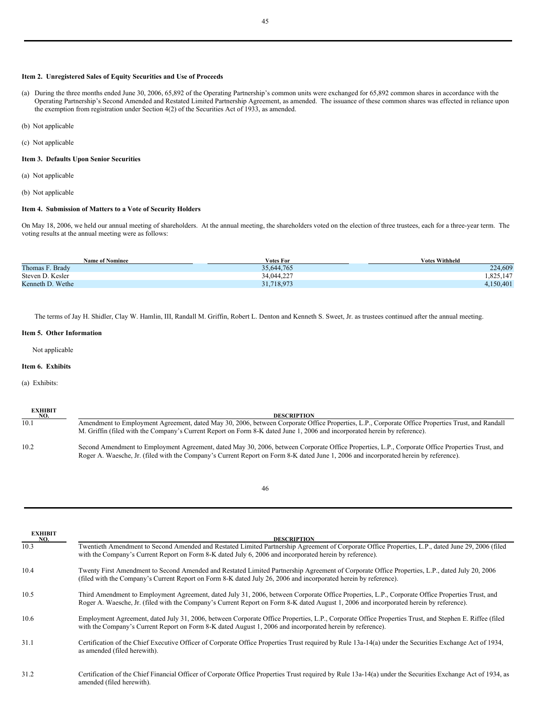## <span id="page-29-0"></span>**Item 2. Unregistered Sales of Equity Securities and Use of Proceeds**

- (a) During the three months ended June 30, 2006, 65,892 of the Operating Partnership's common units were exchanged for 65,892 common shares in accordance with the Operating Partnership's Second Amended and Restated Limited Partnership Agreement, as amended. The issuance of these common shares was effected in reliance upon the exemption from registration under Section 4(2) of the Securities Act of 1933, as amended.
- (b) Not applicable

(c) Not applicable

## <span id="page-29-1"></span>**Item 3. Defaults Upon Senior Securities**

- (a) Not applicable
- (b) Not applicable

#### <span id="page-29-2"></span>**Item 4. Submission of Matters to a Vote of Security Holders**

On May 18, 2006, we held our annual meeting of shareholders. At the annual meeting, the shareholders voted on the election of three trustees, each for a three-year term. The voting results at the annual meeting were as follows:

| Name of Nominee  | <b>Votes For</b> | <b>Votes Withheld</b> |
|------------------|------------------|-----------------------|
| Thomas F. Brady  | 35,644,765       | 224,609               |
| Steven D. Kesler | 34,044,227       | .825,147              |
| Kenneth D. Wethe | 31,718,973       | 4.150.401             |

<span id="page-29-3"></span>The terms of Jay H. Shidler, Clay W. Hamlin, III, Randall M. Griffin, Robert L. Denton and Kenneth S. Sweet, Jr. as trustees continued after the annual meeting.

## **Item 5. Other Information**

<span id="page-29-4"></span>Not applicable

## **Item 6. Exhibits**

(a) Exhibits:

| <b>EXHIBIT</b><br>NO. | <b>DESCRIPTION</b>                                                                                                                                                                                                                                                                      |
|-----------------------|-----------------------------------------------------------------------------------------------------------------------------------------------------------------------------------------------------------------------------------------------------------------------------------------|
| 10.1                  | Amendment to Employment Agreement, dated May 30, 2006, between Corporate Office Properties, L.P., Corporate Office Properties Trust, and Randall                                                                                                                                        |
|                       | M. Griffin (filed with the Company's Current Report on Form 8-K dated June 1, 2006 and incorporated herein by reference).                                                                                                                                                               |
| 10.2                  | Second Amendment to Employment Agreement, dated May 30, 2006, between Corporate Office Properties, L.P., Corporate Office Properties Trust, and<br>Roger A. Waesche, Jr. (filed with the Company's Current Report on Form 8-K dated June 1, 2006 and incorporated herein by reference). |

| <b>EXHIBIT</b><br>NO. | <b>DESCRIPTION</b>                                                                                                                                                                                                                                                                        |
|-----------------------|-------------------------------------------------------------------------------------------------------------------------------------------------------------------------------------------------------------------------------------------------------------------------------------------|
| 10.3                  | Twentieth Amendment to Second Amended and Restated Limited Partnership Agreement of Corporate Office Properties, L.P., dated June 29, 2006 (filed<br>with the Company's Current Report on Form 8-K dated July 6, 2006 and incorporated herein by reference).                              |
| 10.4                  | Twenty First Amendment to Second Amended and Restated Limited Partnership Agreement of Corporate Office Properties, L.P., dated July 20, 2006<br>(filed with the Company's Current Report on Form 8-K dated July 26, 2006 and incorporated herein by reference).                          |
| 10.5                  | Third Amendment to Employment Agreement, dated July 31, 2006, between Corporate Office Properties, L.P., Corporate Office Properties Trust, and<br>Roger A. Waesche, Jr. (filed with the Company's Current Report on Form 8-K dated August 1, 2006 and incorporated herein by reference). |
| 10.6                  | Employment Agreement, dated July 31, 2006, between Corporate Office Properties, L.P., Corporate Office Properties Trust, and Stephen E. Riffee (filed<br>with the Company's Current Report on Form 8-K dated August 1, 2006 and incorporated herein by reference).                        |
| 31.1                  | Certification of the Chief Executive Officer of Corporate Office Properties Trust required by Rule 13a-14(a) under the Securities Exchange Act of 1934,<br>as amended (filed herewith).                                                                                                   |
| 31.2                  | Certification of the Chief Financial Officer of Corporate Office Properties Trust required by Rule 13a-14(a) under the Securities Exchange Act of 1934, as<br>amended (filed herewith).                                                                                                   |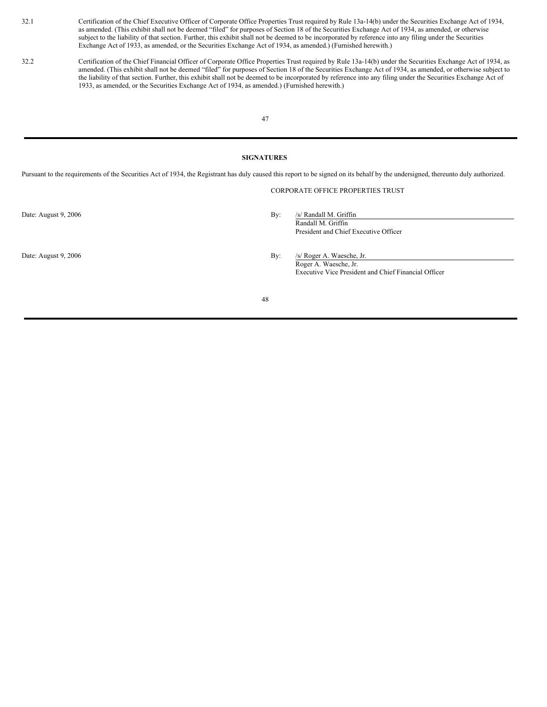32.1 Certification of the Chief Executive Officer of Corporate Office Properties Trust required by Rule 13a-14(b) under the Securities Exchange Act of 1934, as amended. (This exhibit shall not be deemed "filed" for purposes of Section 18 of the Securities Exchange Act of 1934, as amended, or otherwise subject to the liability of that section. Further, this exhibit shall not be deemed to be incorporated by reference into any filing under the Securities Exchange Act of 1933, as amended, or the Securities Exchange Act of 1934, as amended.) (Furnished herewith.)

32.2 Certification of the Chief Financial Officer of Corporate Office Properties Trust required by Rule 13a-14(b) under the Securities Exchange Act of 1934, as amended. (This exhibit shall not be deemed "filed" for purposes of Section 18 of the Securities Exchange Act of 1934, as amended, or otherwise subject to the liability of that section. Further, this exhibit shall not be deemed to be incorporated by reference into any filing under the Securities Exchange Act of 1933, as amended, or the Securities Exchange Act of 1934, as amended.) (Furnished herewith.)

47

## **SIGNATURES**

Pursuant to the requirements of the Securities Act of 1934, the Registrant has duly caused this report to be signed on its behalf by the undersigned, thereunto duly authorized.

<span id="page-30-0"></span>CORPORATE OFFICE PROPERTIES TRUST

- Date: August 9, 2006 By: /s/ Randall M. Griffin
- 
- Randall M. Griffin President and Chief Executive Officer
- Date: August 9, 2006 By: /s/ Roger A. Waesche, Jr. Roger A. Waesche, Jr. Executive Vice President and Chief Financial Officer

48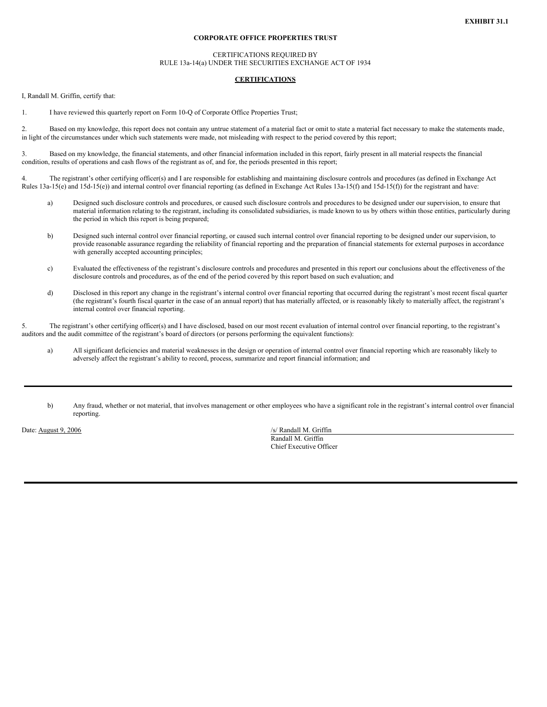## CERTIFICATIONS REQUIRED BY RULE 13a-14(a) UNDER THE SECURITIES EXCHANGE ACT OF 1934

## **CERTIFICATIONS**

I, Randall M. Griffin, certify that:

1. I have reviewed this quarterly report on Form 10-Q of Corporate Office Properties Trust;

2. Based on my knowledge, this report does not contain any untrue statement of a material fact or omit to state a material fact necessary to make the statements made, in light of the circumstances under which such statements were made, not misleading with respect to the period covered by this report;

3. Based on my knowledge, the financial statements, and other financial information included in this report, fairly present in all material respects the financial condition, results of operations and cash flows of the registrant as of, and for, the periods presented in this report;

4. The registrant's other certifying officer(s) and I are responsible for establishing and maintaining disclosure controls and procedures (as defined in Exchange Act Rules 13a-15(e) and 15d-15(e)) and internal control over financial reporting (as defined in Exchange Act Rules 13a-15(f) and 15d-15(f)) for the registrant and have:

- a) Designed such disclosure controls and procedures, or caused such disclosure controls and procedures to be designed under our supervision, to ensure that material information relating to the registrant, including its consolidated subsidiaries, is made known to us by others within those entities, particularly during the period in which this report is being prepared;
- b) Designed such internal control over financial reporting, or caused such internal control over financial reporting to be designed under our supervision, to provide reasonable assurance regarding the reliability of financial reporting and the preparation of financial statements for external purposes in accordance with generally accepted accounting principles;
- c) Evaluated the effectiveness of the registrant's disclosure controls and procedures and presented in this report our conclusions about the effectiveness of the disclosure controls and procedures, as of the end of the period covered by this report based on such evaluation; and
- d) Disclosed in this report any change in the registrant's internal control over financial reporting that occurred during the registrant's most recent fiscal quarter (the registrant's fourth fiscal quarter in the case of an annual report) that has materially affected, or is reasonably likely to materially affect, the registrant's internal control over financial reporting.

5. The registrant's other certifying officer(s) and I have disclosed, based on our most recent evaluation of internal control over financial reporting, to the registrant's auditors and the audit committee of the registrant's board of directors (or persons performing the equivalent functions):

- a) All significant deficiencies and material weaknesses in the design or operation of internal control over financial reporting which are reasonably likely to adversely affect the registrant's ability to record, process, summarize and report financial information; and
- b) Any fraud, whether or not material, that involves management or other employees who have a significant role in the registrant's internal control over financial reporting.

Date: August 9, 2006 /s/ Randall M. Griffin

Randall M. Griffin Chief Executive Officer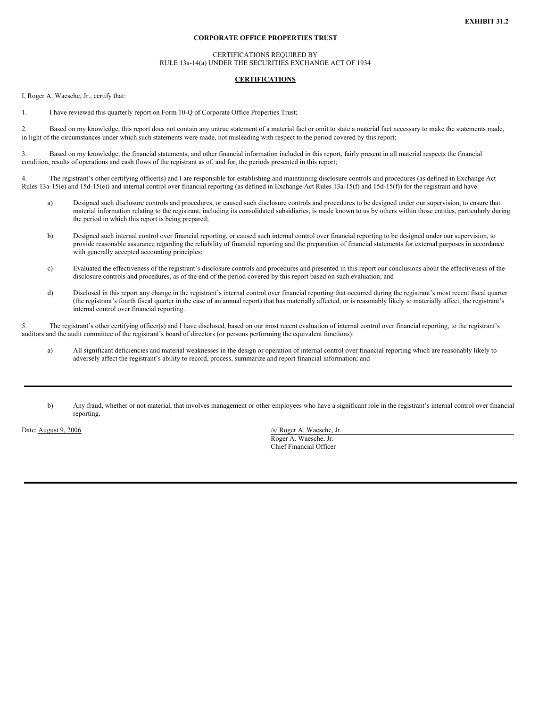## CERTIFICATIONS REQUIRED BY RULE 13a-14(a) UNDER THE SECURITIES EXCHANGE ACT OF 1934

## **CERTIFICATIONS**

I, Roger A. Waesche, Jr., certify that:

1. I have reviewed this quarterly report on Form 10-Q of Corporate Office Properties Trust;

2. Based on my knowledge, this report does not contain any untrue statement of a material fact or omit to state a material fact necessary to make the statements made, in light of the circumstances under which such statements were made, not misleading with respect to the period covered by this report;

3. Based on my knowledge, the financial statements, and other financial information included in this report, fairly present in all material respects the financial condition, results of operations and cash flows of the registrant as of, and for, the periods presented in this report;

4. The registrant's other certifying officer(s) and I are responsible for establishing and maintaining disclosure controls and procedures (as defined in Exchange Act Rules 13a-15(e) and 15d-15(e)) and internal control over financial reporting (as defined in Exchange Act Rules 13a-15(f) and 15d-15(f)) for the registrant and have:

- a) Designed such disclosure controls and procedures, or caused such disclosure controls and procedures to be designed under our supervision, to ensure that material information relating to the registrant, including its consolidated subsidiaries, is made known to us by others within those entities, particularly during the period in which this report is being prepared;
- b) Designed such internal control over financial reporting, or caused such internal control over financial reporting to be designed under our supervision, to provide reasonable assurance regarding the reliability of financial reporting and the preparation of financial statements for external purposes in accordance with generally accepted accounting principles;
- c) Evaluated the effectiveness of the registrant's disclosure controls and procedures and presented in this report our conclusions about the effectiveness of the disclosure controls and procedures, as of the end of the period covered by this report based on such evaluation; and
- d) Disclosed in this report any change in the registrant's internal control over financial reporting that occurred during the registrant's most recent fiscal quarter (the registrant's fourth fiscal quarter in the case of an annual report) that has materially affected, or is reasonably likely to materially affect, the registrant's internal control over financial reporting.

5. The registrant's other certifying officer(s) and I have disclosed, based on our most recent evaluation of internal control over financial reporting, to the registrant's auditors and the audit committee of the registrant's board of directors (or persons performing the equivalent functions):

- a) All significant deficiencies and material weaknesses in the design or operation of internal control over financial reporting which are reasonably likely to adversely affect the registrant's ability to record, process, summarize and report financial information; and
- b) Any fraud, whether or not material, that involves management or other employees who have a significant role in the registrant's internal control over financial reporting.

Date: August 9, 2006 /s/ Roger A. Waesche, Jr. Roger A. Waesche, Jr. Chief Financial Officer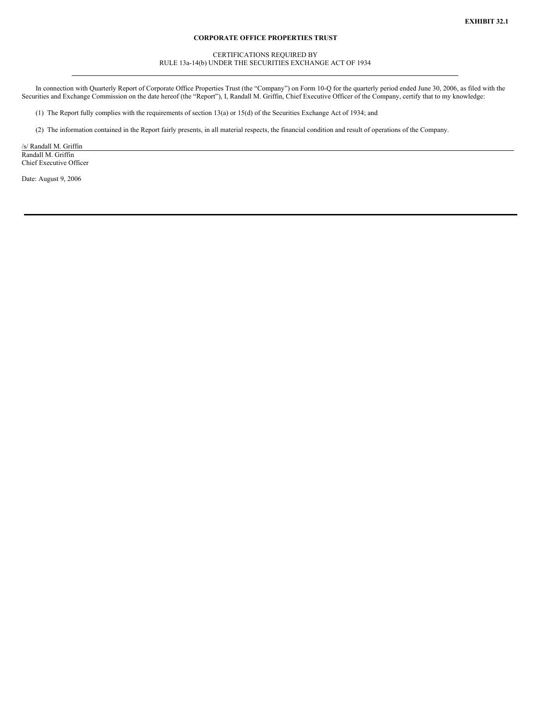## CERTIFICATIONS REQUIRED BY RULE 13a-14(b) UNDER THE SECURITIES EXCHANGE ACT OF 1934

In connection with Quarterly Report of Corporate Office Properties Trust (the "Company") on Form 10-Q for the quarterly period ended June 30, 2006, as filed with the Securities and Exchange Commission on the date hereof (the "Report"), I, Randall M. Griffin, Chief Executive Officer of the Company, certify that to my knowledge:

(1) The Report fully complies with the requirements of section 13(a) or 15(d) of the Securities Exchange Act of 1934; and

(2) The information contained in the Report fairly presents, in all material respects, the financial condition and result of operations of the Company.

/s/ Randall M. Griffin Randall M. Griffin Chief Executive Officer

Date: August 9, 2006